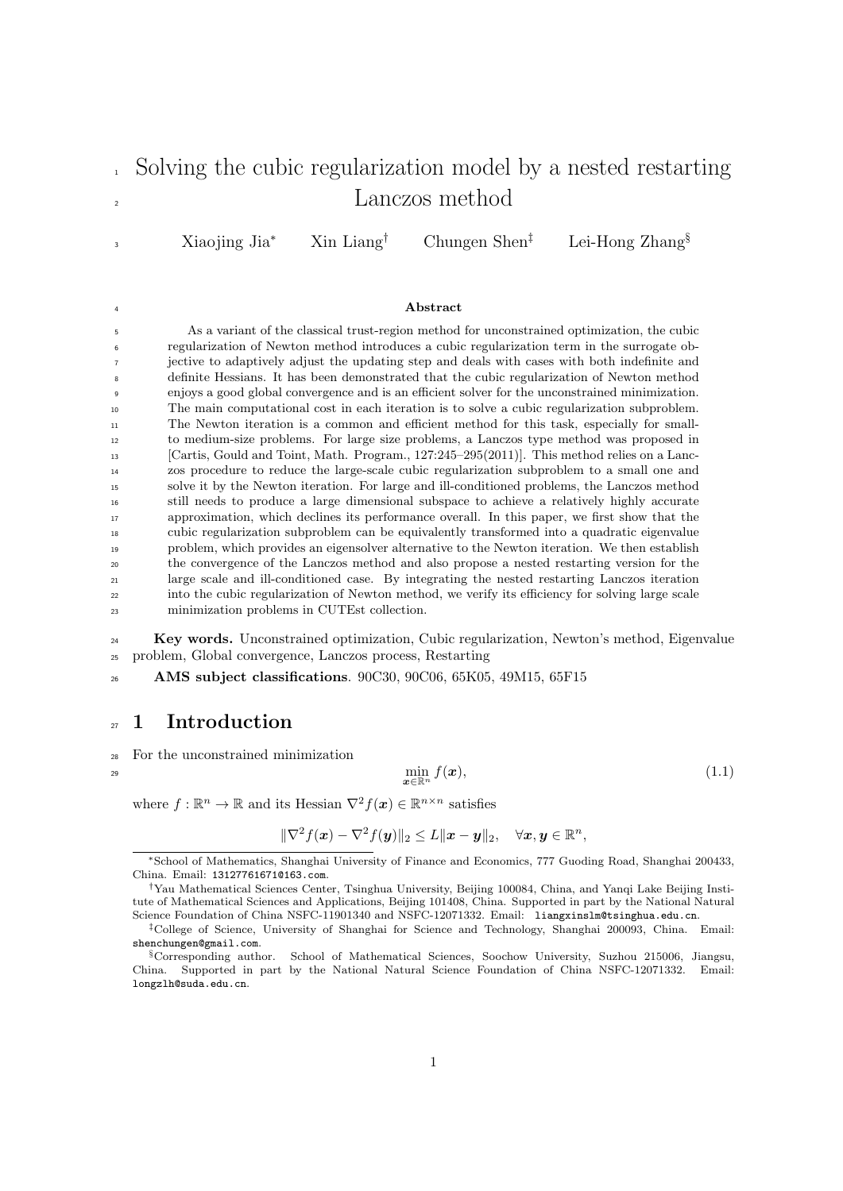# <sup>1</sup> Solving the cubic regularization model by a nested restarting Lanczos method

Xiaojing Jia<sup>∗</sup> Xin Liang† Chungen Shen‡ Lei-Hong Zhang§

#### <sup>4</sup> Abstract

 As a variant of the classical trust-region method for unconstrained optimization, the cubic regularization of Newton method introduces a cubic regularization term in the surrogate ob- jective to adaptively adjust the updating step and deals with cases with both indefinite and definite Hessians. It has been demonstrated that the cubic regularization of Newton method enjoys a good global convergence and is an efficient solver for the unconstrained minimization. The main computational cost in each iteration is to solve a cubic regularization subproblem. The Newton iteration is a common and efficient method for this task, especially for small- to medium-size problems. For large size problems, a Lanczos type method was proposed in [Cartis, Gould and Toint, Math. Program., 127:245–295(2011)]. This method relies on a Lanc- zos procedure to reduce the large-scale cubic regularization subproblem to a small one and solve it by the Newton iteration. For large and ill-conditioned problems, the Lanczos method still needs to produce a large dimensional subspace to achieve a relatively highly accurate approximation, which declines its performance overall. In this paper, we first show that the cubic regularization subproblem can be equivalently transformed into a quadratic eigenvalue problem, which provides an eigensolver alternative to the Newton iteration. We then establish the convergence of the Lanczos method and also propose a nested restarting version for the large scale and ill-conditioned case. By integrating the nested restarting Lanczos iteration into the cubic regularization of Newton method, we verify its efficiency for solving large scale minimization problems in CUTEst collection.

<sup>24</sup> Key words. Unconstrained optimization, Cubic regularization, Newton's method, Eigenvalue <sup>25</sup> problem, Global convergence, Lanczos process, Restarting

<sup>26</sup> AMS subject classifications. 90C30, 90C06, 65K05, 49M15, 65F15

# <sub>27</sub> 1 Introduction

<sup>28</sup> For the unconstrained minimization

3

 $\min_{\boldsymbol{x} \in \mathbb{R}^n} f(\boldsymbol{x}),$  (1.1)

where  $f : \mathbb{R}^n \to \mathbb{R}$  and its Hessian  $\nabla^2 f(x) \in \mathbb{R}^{n \times n}$  satisfies

<span id="page-0-0"></span>
$$
\|\nabla^2 f(\boldsymbol{x}) - \nabla^2 f(\boldsymbol{y})\|_2 \leq L \|\boldsymbol{x} - \boldsymbol{y}\|_2, \quad \forall \boldsymbol{x}, \boldsymbol{y} \in \mathbb{R}^n,
$$

<sup>∗</sup>School of Mathematics, Shanghai University of Finance and Economics, 777 Guoding Road, Shanghai 200433, China. Email: 13127761671@163.com.

<sup>†</sup>Yau Mathematical Sciences Center, Tsinghua University, Beijing 100084, China, and Yanqi Lake Beijing Institute of Mathematical Sciences and Applications, Beijing 101408, China. Supported in part by the National Natural Science Foundation of China NSFC-11901340 and NSFC-12071332. Email: liangxinslm@tsinghua.edu.cn.

<sup>‡</sup>College of Science, University of Shanghai for Science and Technology, Shanghai 200093, China. Email: shenchungen@gmail.com.

<sup>§</sup>Corresponding author. School of Mathematical Sciences, Soochow University, Suzhou 215006, Jiangsu, China. Supported in part by the National Natural Science Foundation of China NSFC-12071332. Email: longzlh@suda.edu.cn.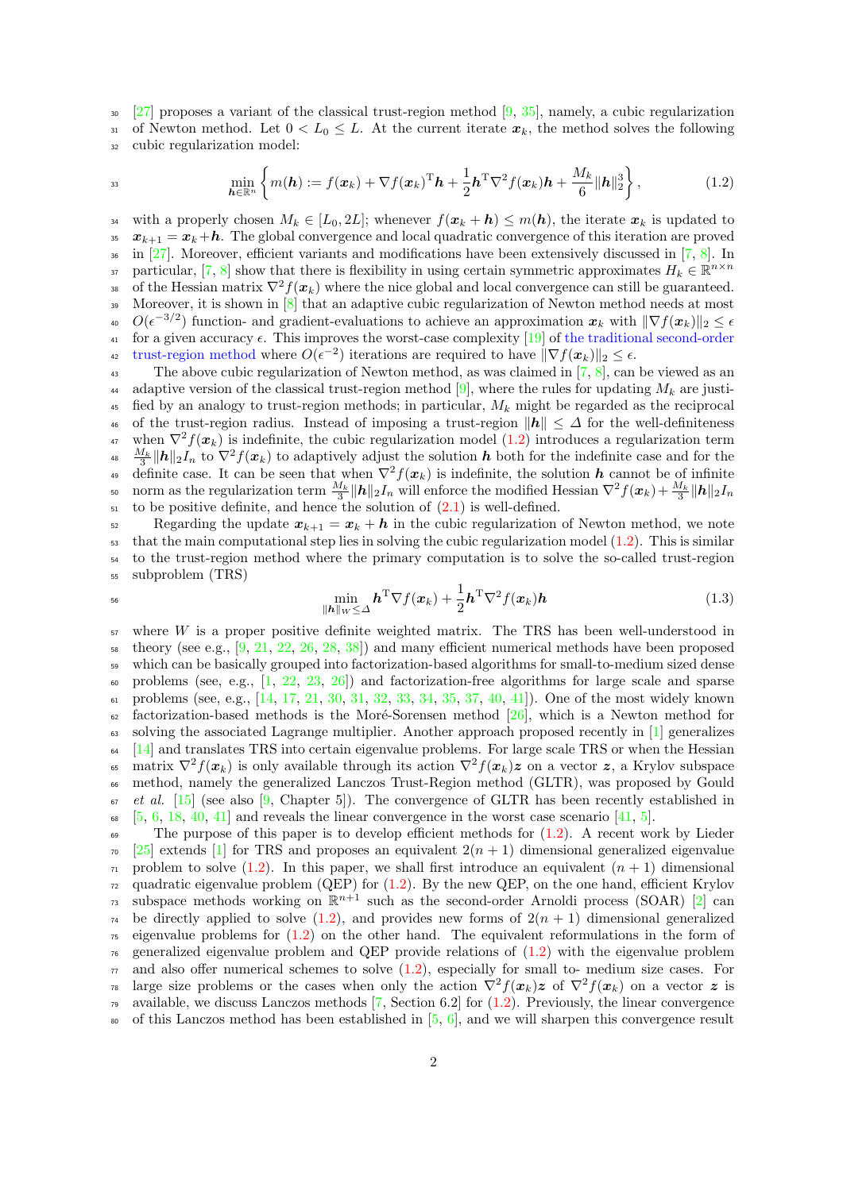$\frac{27}{20}$  proposes a variant of the classical trust-region method [\[9,](#page-22-0) [35\]](#page-23-1), namely, a cubic regularization 31 of Newton method. Let  $0 < L_0 \leq L$ . At the current iterate  $x_k$ , the method solves the following <sup>32</sup> cubic regularization model:

$$
^{33}
$$

<span id="page-1-0"></span>
$$
\min_{\boldsymbol{h}\in\mathbb{R}^n}\left\{m(\boldsymbol{h}):=f(\boldsymbol{x}_k)+\nabla f(\boldsymbol{x}_k)^{\mathrm{T}}\boldsymbol{h}+\frac{1}{2}\boldsymbol{h}^{\mathrm{T}}\nabla^2 f(\boldsymbol{x}_k)\boldsymbol{h}+\frac{M_k}{6}\|\boldsymbol{h}\|_2^3\right\},\tag{1.2}
$$

<sup>34</sup> with a properly chosen  $M_k \in [L_0, 2L]$ ; whenever  $f(x_k + h) \leq m(h)$ , the iterate  $x_k$  is updated to 35  $x_{k+1} = x_k + h$ . The global convergence and local quadratic convergence of this iteration are proved  $_{36}$  in [\[27\]](#page-23-0). Moreover, efficient variants and modifications have been extensively discussed in [\[7,](#page-22-1) [8\]](#page-22-2). In particular, [\[7,](#page-22-1) [8\]](#page-22-2) show that there is flexibility in using certain symmetric approximates  $H_k \in \mathbb{R}^{n \times n}$ 38 of the Hessian matrix  $\nabla^2 f(x_k)$  where the nice global and local convergence can still be guaranteed. 39 Moreover, it is shown in [\[8\]](#page-22-2) that an adaptive cubic regularization of Newton method needs at most <sup>40</sup>  $O(\epsilon^{-3/2})$  function- and gradient-evaluations to achieve an approximation  $x_k$  with  $\|\nabla f(x_k)\|_2 \leq \epsilon$ <sup>41</sup> for a given accuracy  $\epsilon$ . This improves the worst-case complexity [\[19\]](#page-22-3) of the traditional second-order <sup>42</sup> trust-region method where  $O(\epsilon^{-2})$  iterations are required to have  $\|\nabla f(\boldsymbol{x}_k)\|_2 \leq \epsilon$ .

<sup>43</sup> The above cubic regularization of Newton method, as was claimed in  $[7, 8]$  $[7, 8]$  $[7, 8]$ , can be viewed as an 44 adaptive version of the classical trust-region method [\[9\]](#page-22-0), where the rules for updating  $M_k$  are justi- $45$  fied by an analogy to trust-region methods; in particular,  $M_k$  might be regarded as the reciprocal <sup>46</sup> of the trust-region radius. Instead of imposing a trust-region  $||h|| \leq \Delta$  for the well-definiteness <sup>47</sup> when  $\nabla^2 f(x_k)$  is indefinite, the cubic regularization model [\(1.2\)](#page-1-0) introduces a regularization term <sup>48</sup>  $\frac{M_k}{3}$  ||**h**||<sub>2</sub>*I<sub>n</sub>* to  $\nabla^2 f(x_k)$  to adaptively adjust the solution **h** both for the indefinite case and for the definite case. It can be seen that when  $\nabla^2 f(x_k)$  is indefinite, the solution h cannot be of infinite <sup>50</sup> norm as the regularization term  $\frac{M_k}{3} ||h||_2 I_n$  will enforce the modified Hessian  $\nabla^2 f(x_k) + \frac{M_k}{3} ||h||_2 I_n$  $51$  to be positive definite, and hence the solution of  $(2.1)$  is well-defined.

52 Regarding the update  $x_{k+1} = x_k + h$  in the cubic regularization of Newton method, we note that the main computational step lies in solving the cubic regularization model  $(1.2)$ . This is similar to the trust-region method where the primary computation is to solve the so-called trust-region subproblem (TRS)

$$
\min_{\|\boldsymbol{h}\|_{W}\leq\Delta}\boldsymbol{h}^{\mathrm{T}}\nabla f(\boldsymbol{x}_{k})+\frac{1}{2}\boldsymbol{h}^{\mathrm{T}}\nabla^{2}f(\boldsymbol{x}_{k})\boldsymbol{h}\tag{1.3}
$$

 $57$  where W is a proper positive definite weighted matrix. The TRS has been well-understood in  $\frac{1}{58}$  theory (see e.g., [\[9,](#page-22-0) [21,](#page-23-2) [22,](#page-23-3) [26,](#page-23-4) [28,](#page-23-5) [38\]](#page-23-6)) and many efficient numerical methods have been proposed <sup>59</sup> which can be basically grouped into factorization-based algorithms for small-to-medium sized dense  $\omega$  problems (see, e.g.,  $[1, 22, 23, 26]$  $[1, 22, 23, 26]$  $[1, 22, 23, 26]$  $[1, 22, 23, 26]$  $[1, 22, 23, 26]$  $[1, 22, 23, 26]$  $[1, 22, 23, 26]$ ) and factorization-free algorithms for large scale and sparse <sup>61</sup> problems (see, e.g., [\[14,](#page-22-5) [17,](#page-22-6) [21,](#page-23-2) [30,](#page-23-8) [31,](#page-23-9) [32,](#page-23-10) [33,](#page-23-11) [34,](#page-23-12) [35,](#page-23-1) [37,](#page-23-13) [40,](#page-23-14) [41\]](#page-23-15)). One of the most widely known  $\epsilon_2$  factorization-based methods is the Moré-Sorensen method [\[26\]](#page-23-4), which is a Newton method for <sup>63</sup> solving the associated Lagrange multiplier. Another approach proposed recently in [\[1\]](#page-22-4) generalizes  $64$  [\[14\]](#page-22-5) and translates TRS into certain eigenvalue problems. For large scale TRS or when the Hessian <sup>65</sup> matrix  $\nabla^2 f(x_k)$  is only available through its action  $\nabla^2 f(x_k)$ z on a vector z, a Krylov subspace <sup>66</sup> method, namely the generalized Lanczos Trust-Region method (GLTR), was proposed by Gould  $\sigma$  et al. [\[15\]](#page-22-7) (see also [\[9,](#page-22-0) Chapter 5]). The convergence of GLTR has been recently established in  $68\quad 5, 6, 18, 40, 41]$  $68\quad 5, 6, 18, 40, 41]$  $68\quad 5, 6, 18, 40, 41]$  $68\quad 5, 6, 18, 40, 41]$  $68\quad 5, 6, 18, 40, 41]$  $68\quad 5, 6, 18, 40, 41]$  $68\quad 5, 6, 18, 40, 41]$  $68\quad 5, 6, 18, 40, 41]$  and reveals the linear convergence in the worst case scenario [\[41,](#page-23-15) [5\]](#page-22-8).

 $\epsilon_{\theta}$  The purpose of this paper is to develop efficient methods for [\(1.2\)](#page-1-0). A recent work by Lieder  $\sigma$  [\[25\]](#page-23-16) extends [\[1\]](#page-22-4) for TRS and proposes an equivalent  $2(n + 1)$  dimensional generalized eigenvalue  $\pi$  problem to solve [\(1.2\)](#page-1-0). In this paper, we shall first introduce an equivalent  $(n + 1)$  dimensional  $72$  quadratic eigenvalue problem (QEP) for  $(1.2)$ . By the new QEP, on the one hand, efficient Krylov <sup>73</sup> subspace methods working on  $\mathbb{R}^{n+1}$  such as the second-order Arnoldi process (SOAR) [\[2\]](#page-22-11) can <sup>74</sup> be directly applied to solve  $(1.2)$ , and provides new forms of  $2(n + 1)$  dimensional generalized  $\tau$ <sub>5</sub> eigenvalue problems for  $(1.2)$  on the other hand. The equivalent reformulations in the form of  $\tau_6$  generalized eigenvalue problem and QEP provide relations of  $(1.2)$  with the eigenvalue problem  $\pi$  and also offer numerical schemes to solve [\(1.2\)](#page-1-0), especially for small to- medium size cases. For <sup>78</sup> large size problems or the cases when only the action  $\nabla^2 f(x_k)$  z of  $\nabla^2 f(x_k)$  on a vector z is <sup>79</sup> available, we discuss Lanczos methods [\[7,](#page-22-1) Section 6.2] for  $(1.2)$ . Previously, the linear convergence  $\bullet$  of this Lanczos method has been established in [\[5,](#page-22-8) [6\]](#page-22-9), and we will sharpen this convergence result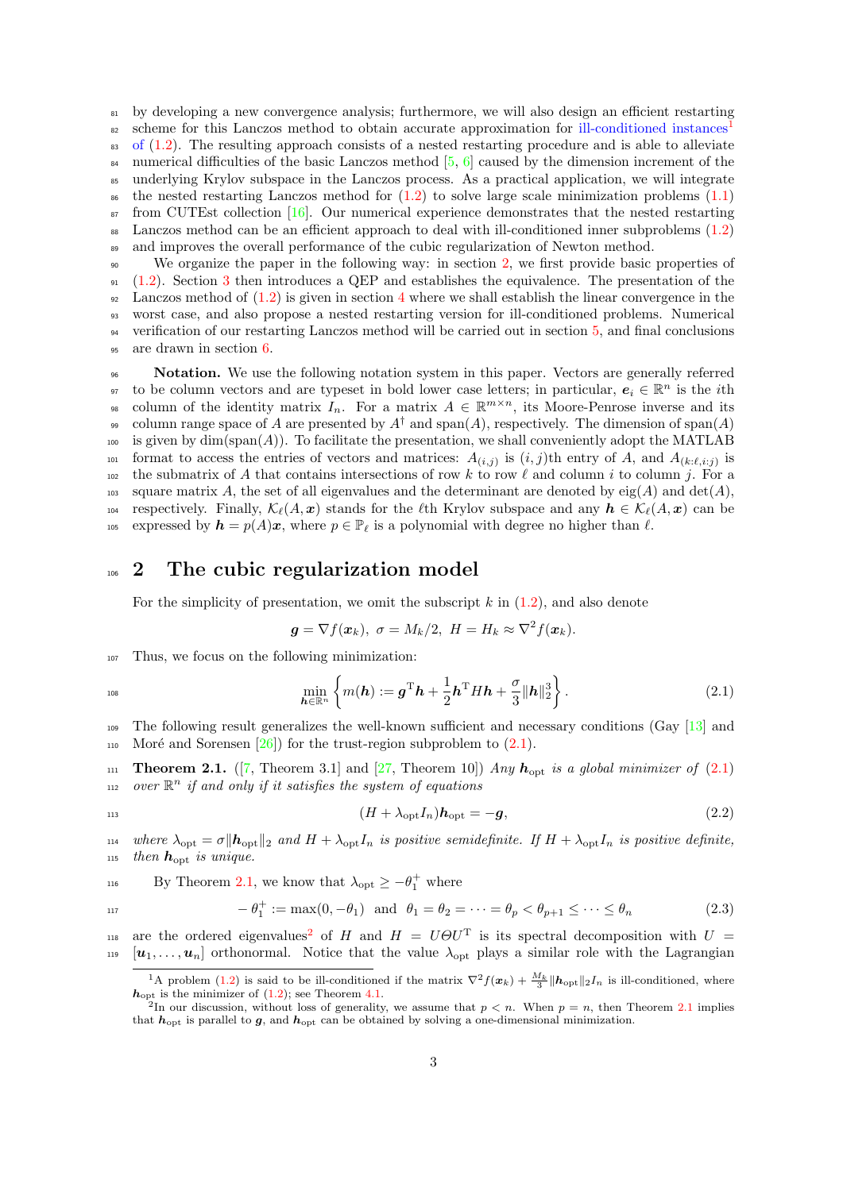<sup>81</sup> by developing a new convergence analysis; furthermore, we will also design an efficient restarting scheme for this Lanczos method to obtain accurate approximation for ill-conditioned instances 82 83 of  $(1.2)$ . The resulting approach consists of a nested restarting procedure and is able to alleviate <sup>84</sup> numerical difficulties of the basic Lanczos method  $[5, 6]$  $[5, 6]$  $[5, 6]$  caused by the dimension increment of the <sup>85</sup> underlying Krylov subspace in the Lanczos process. As a practical application, we will integrate <sup>86</sup> the nested restarting Lanczos method for  $(1.2)$  to solve large scale minimization problems  $(1.1)$  $\sigma_{\rm s7}$  from CUTEst collection [\[16\]](#page-22-12). Our numerical experience demonstrates that the nested restarting <sup>88</sup> Lanczos method can be an efficient approach to deal with ill-conditioned inner subproblems [\(1.2\)](#page-1-0) <sup>89</sup> and improves the overall performance of the cubic regularization of Newton method.

 We organize the paper in the following way: in section [2,](#page-2-2) we first provide basic properties of [\(1.2\)](#page-1-0). Section [3](#page-4-0) then introduces a QEP and establishes the equivalence. The presentation of the  $\frac{92}{2}$  Lanczos method of  $(1.2)$  is given in section [4](#page-8-0) where we shall establish the linear convergence in the worst case, and also propose a nested restarting version for ill-conditioned problems. Numerical verification of our restarting Lanczos method will be carried out in section [5,](#page-16-0) and final conclusions are drawn in section [6.](#page-21-0)

<sup>96</sup> Notation. We use the following notation system in this paper. Vectors are generally referred or to be column vectors and are typeset in bold lower case letters; in particular,  $e_i \in \mathbb{R}^n$  is the *i*th so column of the identity matrix  $I_n$ . For a matrix  $A \in \mathbb{R}^{m \times n}$ , its Moore-Penrose inverse and its of column range space of A are presented by  $A^{\dagger}$  and span(A), respectively. The dimension of span(A)  $_{100}$  is given by dim(span(A)). To facilitate the presentation, we shall conveniently adopt the MATLAB <sup>101</sup> format to access the entries of vectors and matrices:  $A_{(i,j)}$  is  $(i,j)$ th entry of A, and  $A_{(k:\ell,i:j)}$  is <sup>102</sup> the submatrix of A that contains intersections of row k to row l and column i to column j. For a <sup>103</sup> square matrix A, the set of all eigenvalues and the determinant are denoted by eig(A) and det(A), 104 respectively. Finally,  $\mathcal{K}_{\ell}(A, x)$  stands for the  $\ell$ th Krylov subspace and any  $h \in \mathcal{K}_{\ell}(A, x)$  can be 105 expressed by  $h = p(A)x$ , where  $p \in \mathbb{P}_\ell$  is a polynomial with degree no higher than  $\ell$ .

# <span id="page-2-2"></span>106 2 The cubic regularization model

For the simplicity of presentation, we omit the subscript  $k$  in  $(1.2)$ , and also denote

<span id="page-2-5"></span><span id="page-2-0"></span>
$$
\mathbf{g} = \nabla f(\mathbf{x}_k), \ \sigma = M_k/2, \ H = H_k \approx \nabla^2 f(\mathbf{x}_k).
$$

<sup>107</sup> Thus, we focus on the following minimization:

$$
10^{\circ}
$$

$$
\min_{\boldsymbol{h}\in\mathbb{R}^n} \left\{ m(\boldsymbol{h}) := \boldsymbol{g}^{\mathrm{T}} \boldsymbol{h} + \frac{1}{2} \boldsymbol{h}^{\mathrm{T}} H \boldsymbol{h} + \frac{\sigma}{3} \|\boldsymbol{h}\|_2^3 \right\}.
$$
 (2.1)

<sup>109</sup> The following result generalizes the well-known sufficient and necessary conditions (Gay [\[13\]](#page-22-13) and 110 Moré and Sorensen  $[26]$  for the trust-region subproblem to  $(2.1)$ .

<span id="page-2-3"></span>111 **Theorem 2.1.** ([\[7,](#page-22-1) Theorem 3.1] and [\[27,](#page-23-0) Theorem 10]) Any  $h_{\text{opt}}$  is a global minimizer of [\(2.1\)](#page-2-0)  $\mathbb{R}^n$  if and only if it satisfies the system of equations

$$
\mathbf{1}^{\mathbf{1}}
$$

 $(H + \lambda_{\text{opt}} I_n)h_{\text{opt}} = -g,$  (2.2) 114 where  $\lambda_{\text{opt}} = \sigma \|\mathbf{h}_{\text{opt}}\|_2$  and  $H + \lambda_{\text{opt}}I_n$  is positive semidefinite. If  $H + \lambda_{\text{opt}}I_n$  is positive definite,

115 then  $h_{\text{opt}}$  is unique.

<sup>116</sup> By Theorem 2.1, we know that 
$$
\lambda_{opt} \ge -\theta_1^+
$$
 where

$$
-\theta_1^+ := \max(0, -\theta_1) \text{ and } \theta_1 = \theta_2 = \dots = \theta_p < \theta_{p+1} \leq \dots \leq \theta_n \tag{2.3}
$$

118 are the ordered eigenvalues<sup>[2](#page-2-4)</sup> of H and  $H = U \Theta U^{T}$  is its spectral decomposition with  $U =$  $[u_1, \ldots, u_n]$  orthonormal. Notice that the value  $\lambda_{\text{opt}}$  plays a similar role with the Lagrangian

<span id="page-2-1"></span><sup>&</sup>lt;sup>1</sup>A problem [\(1.2\)](#page-1-0) is said to be ill-conditioned if the matrix  $\nabla^2 f(x_k) + \frac{M_k}{3} ||h_{\text{opt}}||_2 I_n$  is ill-conditioned, where  $h_{\text{opt}}$  is the minimizer of [\(1.2\)](#page-1-0); see Theorem [4.1.](#page-11-0)<br><sup>2</sup>In our discussion, without loss of generality, we assume that  $p < n$ . When  $p = n$ , then Theorem [2.1](#page-2-3) implies

<span id="page-2-4"></span>that  $h_{\text{opt}}$  is parallel to  $g$ , and  $h_{\text{opt}}$  can be obtained by solving a one-dimensional minimization.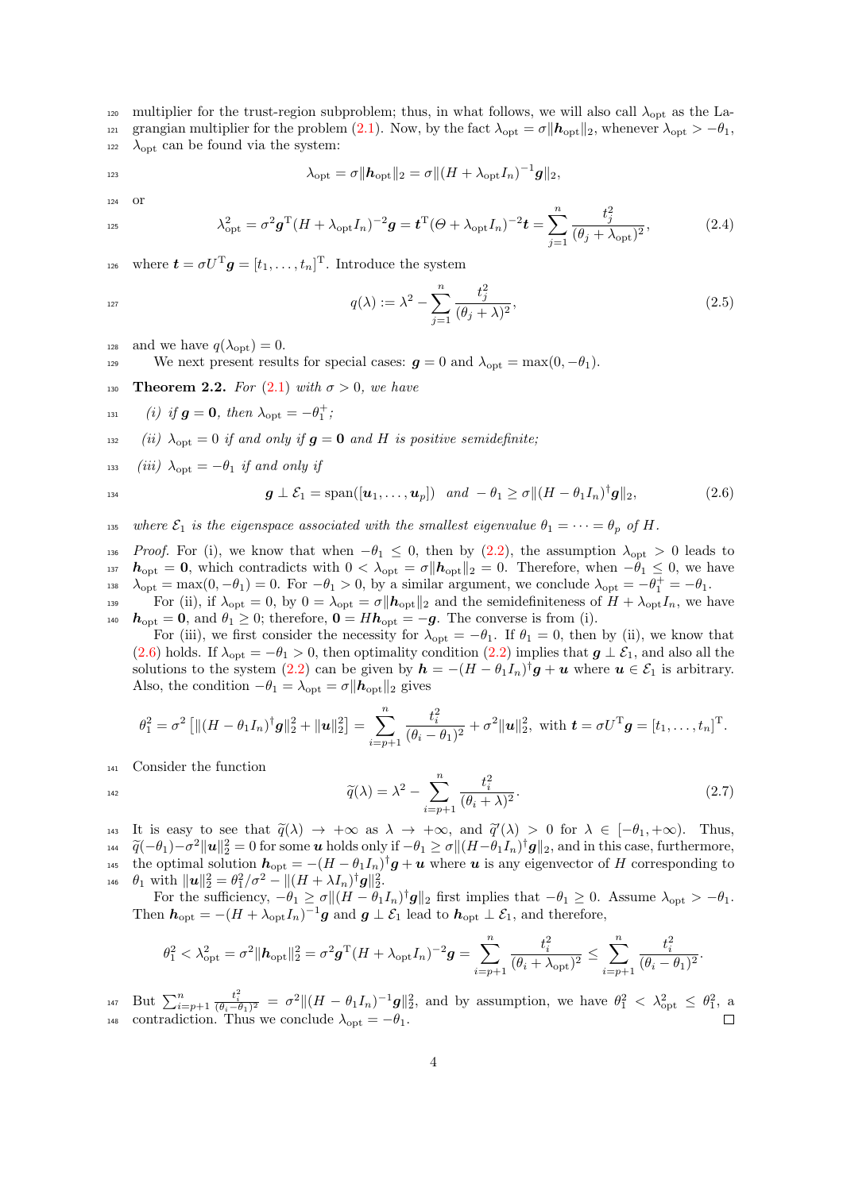120 multiplier for the trust-region subproblem; thus, in what follows, we will also call  $\lambda_{\text{opt}}$  as the La-121 grangian multiplier for the problem [\(2.1\)](#page-2-0). Now, by the fact  $\lambda_{opt} = \sigma ||h_{opt}||_2$ , whenever  $\lambda_{opt} > -\theta_1$ ,  $_{122}$   $\lambda_{\text{opt}}$  can be found via the system:

<span id="page-3-2"></span>
$$
\lambda_{\rm opt} = \sigma \|\boldsymbol{h}_{\rm opt}\|_2 = \sigma \|(H + \lambda_{\rm opt} I_n)^{-1}\boldsymbol{g}\|_2,
$$

<sup>124</sup> or

$$
\lambda_{\rm opt}^2 = \sigma^2 \mathbf{g}^{\rm T} (H + \lambda_{\rm opt} I_n)^{-2} \mathbf{g} = \mathbf{t}^{\rm T} (\Theta + \lambda_{\rm opt} I_n)^{-2} \mathbf{t} = \sum_{j=1}^n \frac{t_j^2}{(\theta_j + \lambda_{\rm opt})^2},\tag{2.4}
$$

<sup>126</sup> where  $\boldsymbol{t} = \sigma U^{\mathrm{T}} \boldsymbol{g} = [t_1, \dots, t_n]^{\mathrm{T}}$ . Introduce the system

<span id="page-3-3"></span>
$$
q(\lambda) := \lambda^2 - \sum_{j=1}^n \frac{t_j^2}{(\theta_j + \lambda)^2},
$$
\n(2.5)

128 and we have  $q(\lambda_{\text{opt}}) = 0$ .

129 We next present results for special cases:  $g = 0$  and  $\lambda_{\text{opt}} = \max(0, -\theta_1)$ .

<span id="page-3-1"></span>**Theorem 2.2.** For [\(2.1\)](#page-2-0) with  $\sigma > 0$ , we have

$$
_{131}\qquad (i)\ \ if\ \boldsymbol{g}=\boldsymbol{0},\ then\ \lambda_{\rm opt}=-\theta_1^+;
$$

132 (ii)  $\lambda_{\text{opt}} = 0$  if and only if  $g = 0$  and H is positive semidefinite;

133 (iii)  $\lambda_{\rm opt} = -\theta_1$  if and only if

<span id="page-3-0"></span>
$$
\boldsymbol{g} \perp \mathcal{E}_1 = \text{span}([\boldsymbol{u}_1,\ldots,\boldsymbol{u}_p]) \quad and \quad -\theta_1 \ge \sigma \| (H - \theta_1 I_n)^{\dagger} \boldsymbol{g} \|_2, \tag{2.6}
$$

135 where  $\mathcal{E}_1$  is the eigenspace associated with the smallest eigenvalue  $\theta_1 = \cdots = \theta_p$  of H.

136 Proof. For (i), we know that when  $-\theta_1 \leq 0$ , then by  $(2.2)$ , the assumption  $\lambda_{\text{opt}} > 0$  leads to 137  $h_{opt} = 0$ , which contradicts with  $0 < \lambda_{opt} = \sigma ||h_{opt}||_2 = 0$ . Therefore, when  $-\theta_1 \leq 0$ , we have  $\lambda_{\text{opt}} = \max(0, -\theta_1) = 0$ . For  $-\theta_1 > 0$ , by a similar argument, we conclude  $\lambda_{\text{opt}} = -\theta_1^+ = -\theta_1$ .

139 For (ii), if  $\lambda_{\text{opt}} = 0$ , by  $0 = \lambda_{\text{opt}} = \sigma ||h_{\text{opt}}||_2$  and the semidefiniteness of  $H + \lambda_{\text{opt}}I_n$ , we have 140  $h_{\text{opt}} = 0$ , and  $\theta_1 \geq 0$ ; therefore,  $0 = Hh_{\text{opt}} = -g$ . The converse is from (i).

For (iii), we first consider the necessity for  $\lambda_{opt} = -\theta_1$ . If  $\theta_1 = 0$ , then by (ii), we know that [\(2.6\)](#page-3-0) holds. If  $\lambda_{opt} = -\theta_1 > 0$ , then optimality condition [\(2.2\)](#page-2-5) implies that  $g \perp \mathcal{E}_1$ , and also all the solutions to the system [\(2.2\)](#page-2-5) can be given by  $h = -(H - \theta_1 I_n)^{\dagger} g + u$  where  $u \in \mathcal{E}_1$  is arbitrary. Also, the condition  $-\theta_1 = \lambda_{\text{opt}} = \sigma || \boldsymbol{h}_{\text{opt}}||_2$  gives

<span id="page-3-4"></span>
$$
\theta_1^2 = \sigma^2 \left[ \|(H - \theta_1 I_n)^{\dagger} \mathbf{g}\|_2^2 + \|\mathbf{u}\|_2^2 \right] = \sum_{i=p+1}^n \frac{t_i^2}{(\theta_i - \theta_1)^2} + \sigma^2 \|\mathbf{u}\|_2^2, \text{ with } \mathbf{t} = \sigma U^{\mathrm{T}} \mathbf{g} = [t_1, \dots, t_n]^{\mathrm{T}}.
$$

<sup>141</sup> Consider the function

$$
\widetilde{q}(\lambda) = \lambda^2 - \sum_{i=p+1}^n \frac{t_i^2}{(\theta_i + \lambda)^2}.
$$
\n(2.7)

143 It is easy to see that  $\tilde{q}(\lambda) \to +\infty$  as  $\lambda \to +\infty$ , and  $\tilde{q}'(\lambda) > 0$  for  $\lambda \in [-\theta_1, +\infty)$ . Thus,<br>  $\tilde{q}(-\theta_1) - \tilde{q}^2 ||q||^2 = 0$  for some u holds only if  $-\theta_1 > \sigma ||(H - \theta_1 I)|$  is and in this case, furthermore  $\tilde{q}(-\theta_1) - \sigma^2 ||\mathbf{u}||_2^2 = 0$  for some **u** holds only if  $-\theta_1 \ge \sigma ||(H-\theta_1I_n)^{\dagger} \mathbf{g}||_2$ , and in this case, furthermore,<br>the optimal solution  $\mathbf{b}_{\alpha\beta} = -(H-\theta_1I_n)^{\dagger} \mathbf{g} + \mathbf{a}I_n$  where *u* is any eigenvecto <sup>145</sup> the optimal solution  $h_{\text{opt}} = -(H - \theta_1 I_n)^{\dagger} g + u$  where u is any eigenvector of H corresponding to 146  $\theta_1$  with  $\|\boldsymbol{u}\|_2^2 = \theta_1^2/\sigma^2 - \|(H + \lambda I_n)^{\dagger} \boldsymbol{g}\|_2^2$ .

For the sufficiency,  $-\theta_1 \ge \sigma ||(H - \theta_1 I_n)^{\dagger} g||_2$  first implies that  $-\theta_1 \ge 0$ . Assume  $\lambda_{\text{opt}} > -\theta_1$ . Then  $h_{\text{opt}} = -(H + \lambda_{\text{opt}} I_n)^{-1} g$  and  $g \perp \mathcal{E}_1$  lead to  $h_{\text{opt}} \perp \mathcal{E}_1$ , and therefore,

$$
\theta_1^2 < \lambda_{\rm opt}^2 = \sigma^2 \|h_{\rm opt}\|_2^2 = \sigma^2 g^{\rm T} (H + \lambda_{\rm opt} I_n)^{-2} g = \sum_{i=p+1}^n \frac{t_i^2}{(\theta_i + \lambda_{\rm opt})^2} \le \sum_{i=p+1}^n \frac{t_i^2}{(\theta_i - \theta_1)^2}.
$$

But  $\sum_{i=p+1}^{n}$ 147 But  $\sum_{i=p+1}^n \frac{t_i^2}{(\theta_i-\theta_1)^2} = \sigma^2 ||(H-\theta_1I_n)^{-1}g||_2^2$ , and by assumption, we have  $\theta_1^2 < \lambda_{\text{opt}}^2 \leq \theta_1^2$ , a <sup>148</sup> contradiction. Thus we conclude  $\lambda_{opt} = -\theta_1$ .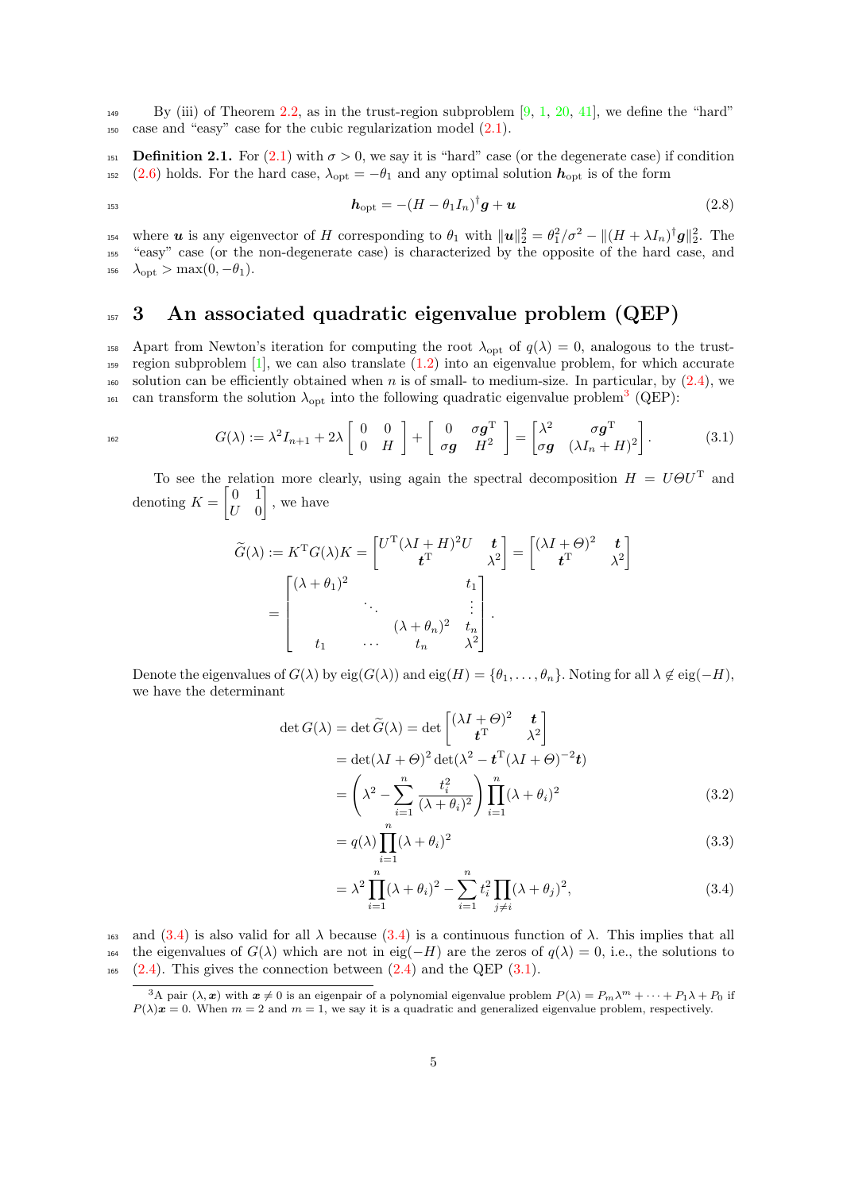$_{149}$  By (iii) of Theorem [2.2,](#page-3-1) as in the trust-region subproblem [\[9,](#page-22-0) [1,](#page-22-4) [20,](#page-23-17) [41\]](#page-23-15), we define the "hard" <sup>150</sup> case and "easy" case for the cubic regularization model [\(2.1\)](#page-2-0).

<span id="page-4-5"></span>151 **Definition 2.1.** For  $(2.1)$  with  $\sigma > 0$ , we say it is "hard" case (or the degenerate case) if condition <sup>152</sup> [\(2.6\)](#page-3-0) holds. For the hard case,  $\lambda_{opt} = -\theta_1$  and any optimal solution  $h_{opt}$  is of the form

<span id="page-4-7"></span>
$$
h_{\rm opt} = -(H - \theta_1 I_n)^{\dagger} g + \boldsymbol{u} \tag{2.8}
$$

<sup>154</sup> where **u** is any eigenvector of H corresponding to  $\theta_1$  with  $\|\mathbf{u}\|_2^2 = \theta_1^2/\sigma^2 - \| (H + \lambda I_n)^{\dagger} \mathbf{g} \|_2^2$ . The <sup>155</sup> "easy" case (or the non-degenerate case) is characterized by the opposite of the hard case, and  $_{156}$   $\lambda_{\rm opt} > \max(0, -\theta_1).$ 

# <span id="page-4-0"></span>157 3 An associated quadratic eigenvalue problem (QEP)

158 Apart from Newton's iteration for computing the root  $\lambda_{\text{opt}}$  of  $q(\lambda) = 0$ , analogous to the trust-159 region subproblem  $[1]$ , we can also translate  $(1.2)$  into an eigenvalue problem, for which accurate  $_{160}$  solution can be efficiently obtained when n is of small- to medium-size. In particular, by [\(2.4\)](#page-3-2), we <sup>161</sup> can transform the solution  $\lambda_{opt}$  into the following quadratic eigenvalue problem<sup>[3](#page-4-1)</sup> (QEP):

$$
^{162}
$$

$$
G(\lambda) := \lambda^2 I_{n+1} + 2\lambda \begin{bmatrix} 0 & 0 \ 0 & H \end{bmatrix} + \begin{bmatrix} 0 & \sigma g^T \\ \sigma g & H^2 \end{bmatrix} = \begin{bmatrix} \lambda^2 & \sigma g^T \\ \sigma g & (\lambda I_n + H)^2 \end{bmatrix}.
$$
 (3.1)

<span id="page-4-3"></span>To see the relation more clearly, using again the spectral decomposition  $H = U \Theta U^{T}$  and denoting  $K = \begin{bmatrix} 0 & 1 \\ 0 & 0 \end{bmatrix}$  $U=0$ , we have

$$
\widetilde{G}(\lambda) := K^{\mathrm{T}} G(\lambda) K = \begin{bmatrix} U^{\mathrm{T}} (\lambda I + H)^2 U & t \\ t^{\mathrm{T}} & \lambda^2 \end{bmatrix} = \begin{bmatrix} (\lambda I + \Theta)^2 & t \\ t^{\mathrm{T}} & \lambda^2 \end{bmatrix}
$$
\n
$$
= \begin{bmatrix}\n(\lambda + \theta_1)^2 & t_1 \\
\vdots & \ddots & \vdots \\
t_1 & \cdots & t_n & \lambda^2\n\end{bmatrix}.
$$

Denote the eigenvalues of  $G(\lambda)$  by  $eig(G(\lambda))$  and  $eig(H) = \{\theta_1, \ldots, \theta_n\}$ . Noting for all  $\lambda \notin eig(-H)$ , we have the determinant

$$
\det G(\lambda) = \det \widetilde{G}(\lambda) = \det \begin{bmatrix} (\lambda I + \Theta)^2 & t \\ t^{\mathrm{T}} & \lambda^2 \end{bmatrix}
$$
  
= 
$$
\det(\lambda I + \Theta)^2 \det(\lambda^2 - t^{\mathrm{T}}(\lambda I + \Theta)^{-2}t)
$$
  
= 
$$
\left(\lambda^2 - \sum_{i=1}^n \frac{t_i^2}{(\lambda + \theta_i)^2}\right) \prod_{i=1}^n (\lambda + \theta_i)^2
$$
(3.2)

<span id="page-4-6"></span>
$$
= q(\lambda) \prod_{i=1}^{n} (\lambda + \theta_i)^2
$$
\n(3.3)

<span id="page-4-4"></span><span id="page-4-2"></span>
$$
= \lambda^2 \prod_{i=1}^n (\lambda + \theta_i)^2 - \sum_{i=1}^n t_i^2 \prod_{j \neq i} (\lambda + \theta_j)^2,
$$
 (3.4)

163 and [\(3.4\)](#page-4-2) is also valid for all  $\lambda$  because (3.4) is a continuous function of  $\lambda$ . This implies that all 164 the eigenvalues of  $G(\lambda)$  which are not in eig(−H) are the zeros of  $q(\lambda) = 0$ , i.e., the solutions to  $_{165}$  [\(2.4\)](#page-3-2). This gives the connection between (2.4) and the QEP [\(3.1\)](#page-4-3).

<span id="page-4-1"></span><sup>&</sup>lt;sup>3</sup>A pair  $(\lambda, x)$  with  $x \neq 0$  is an eigenpair of a polynomial eigenvalue problem  $P(\lambda) = P_m \lambda^m + \cdots + P_1 \lambda + P_0$  if  $P(\lambda)x = 0$ . When  $m = 2$  and  $m = 1$ , we say it is a quadratic and generalized eigenvalue problem, respectively.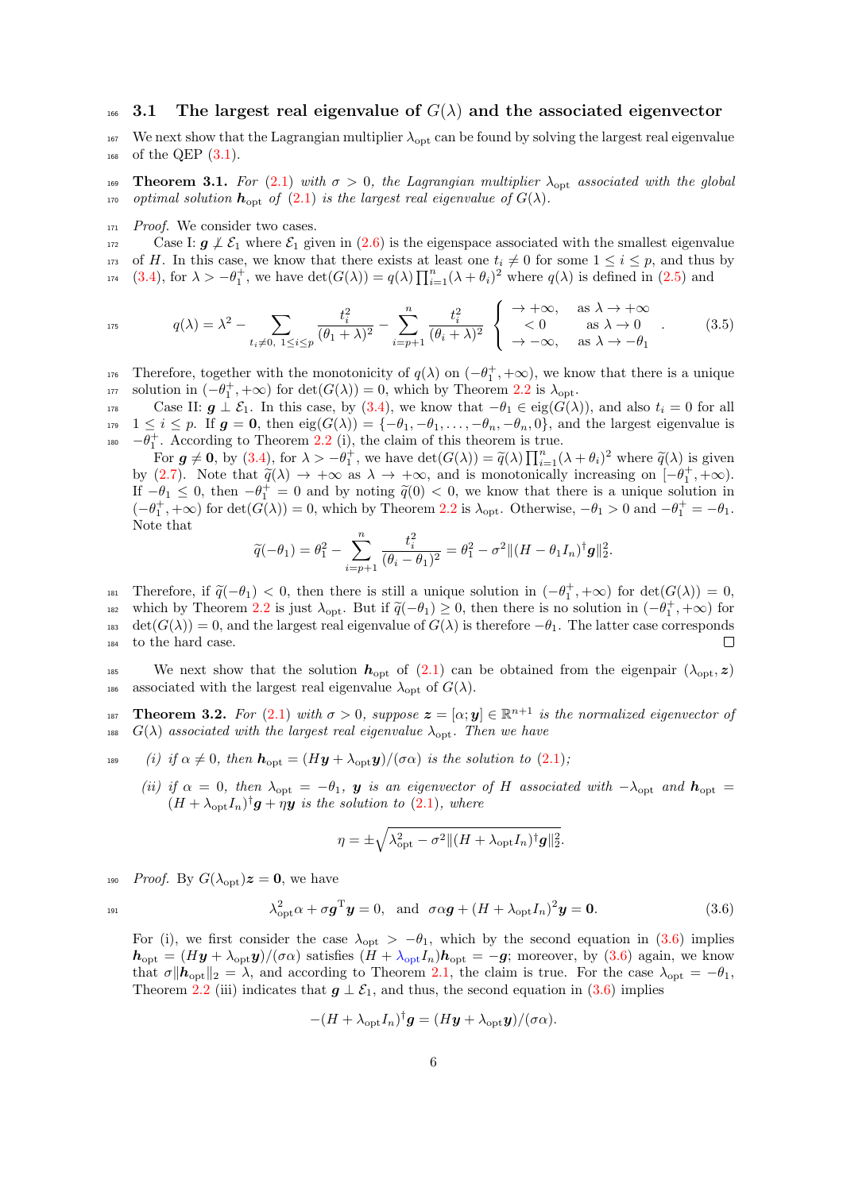## $_{166}$  3.1 The largest real eigenvalue of  $G(\lambda)$  and the associated eigenvector

167 We next show that the Lagrangian multiplier  $\lambda_{opt}$  can be found by solving the largest real eigenvalue  $_{168}$  of the QEP  $(3.1)$ .

169 **Theorem 3.1.** For [\(2.1\)](#page-2-0) with  $\sigma > 0$ , the Lagrangian multiplier  $\lambda_{\text{opt}}$  associated with the global 170 optimal solution  $h_{\text{opt}}$  of  $(2.1)$  is the largest real eigenvalue of  $G(\lambda)$ .

<sup>171</sup> Proof. We consider two cases.

172 Case I:  $g \nmid \mathcal{E}_1$  where  $\mathcal{E}_1$  given in [\(2.6\)](#page-3-0) is the eigenspace associated with the smallest eigenvalue 173 of H. In this case, we know that there exists at least one  $t_i \neq 0$  for some  $1 \leq i \leq p$ , and thus by 174 [\(3.4\)](#page-4-2), for  $\lambda > -\theta_1^+$ , we have  $\det(G(\lambda)) = q(\lambda) \prod_{i=1}^n (\lambda + \theta_i)^2$  where  $q(\lambda)$  is defined in [\(2.5\)](#page-3-3) and

<span id="page-5-2"></span>
$$
q(\lambda) = \lambda^2 - \sum_{t_i \neq 0, 1 \le i \le p} \frac{t_i^2}{(\theta_1 + \lambda)^2} - \sum_{i=p+1}^n \frac{t_i^2}{(\theta_i + \lambda)^2} \begin{cases} \rightarrow +\infty, & \text{as } \lambda \rightarrow +\infty \\ < 0 \quad \text{as } \lambda \rightarrow 0 \\ \rightarrow -\infty, & \text{as } \lambda \rightarrow -\theta_1 \end{cases} . \tag{3.5}
$$

176 Therefore, together with the monotonicity of  $q(\lambda)$  on  $(-\theta_1^+, +\infty)$ , we know that there is a unique 177 solution in  $(-\theta_1^+, +\infty)$  for  $\det(G(\lambda)) = 0$ , which by Theorem [2.2](#page-2-5) is  $\lambda_{opt}$ .

178 Case II:  $g \perp \mathcal{E}_1$ . In this case, by [\(3.4\)](#page-4-2), we know that  $-\theta_1 \in \text{eig}(G(\lambda))$ , and also  $t_i = 0$  for all 179  $1 \leq i \leq p$ . If  $g = 0$ , then  $eig(G(\lambda)) = \{-\theta_1, -\theta_1, \ldots, -\theta_n, -\theta_n, 0\}$ , and the largest eigenvalue is 180  $-\theta_1^+$ . According to Theorem [2.2](#page-3-1) (i), the claim of this theorem is true.

For  $g \neq 0$ , by [\(3.4\)](#page-4-2), for  $\lambda > -\theta_1^{\pm}$ , we have  $\det(G(\lambda)) = \tilde{q}(\lambda) \prod_{i=1}^n (\lambda + \theta_i)^2$  where  $\tilde{q}(\lambda)$  is given by [\(2.7\)](#page-3-4). Note that  $\tilde{q}(\lambda) \to +\infty$  as  $\lambda \to +\infty$ , and is monotonically increasing on  $[-\theta_{\perp}^+, +\infty)$ .<br>If  $-\theta_{\perp} < 0$  then  $-\theta_{\perp}^+ = 0$  and by noting  $\tilde{q}(0) < 0$  we know that there is a unique solution in If  $-\theta_1 \leq 0$ , then  $-\theta_1^+ = 0$  and by noting  $\tilde{q}(0) < 0$ , we know that there is a unique solution in  $(-\theta_1^+ + \infty)$  for  $\det(G(\lambda)) = 0$  which by Theorem 2.2 is  $\lambda$ . Otherwise  $-\theta_1 > 0$  and  $-\theta_1^+ = -\theta_1$ .  $(-\theta_1^+, +\infty)$  for  $\det(\widehat{G}(\lambda)) = 0$ , which by Theorem [2.2](#page-2-5) is  $\lambda_{\text{opt}}$ . Otherwise,  $-\theta_1 > 0$  and  $-\theta_1^+ = -\theta_1$ . Note that

$$
\widetilde{q}(-\theta_1)=\theta_1^2-\sum_{i=p+1}^n\frac{t_i^2}{(\theta_i-\theta_1)^2}=\theta_1^2-\sigma^2\|(H-\theta_1I_n)^\dagger\boldsymbol g\|_2^2.
$$

Therefore, if  $\tilde{q}(-\theta_1) < 0$ , then there is still a unique solution in  $(-\theta_1^+, +\infty)$  for  $\det(G(\lambda)) = 0$ ,<br>which by Theorem 2.2 is just  $\lambda$  . But if  $\tilde{z}(-\theta_1) > 0$ , then there is no solution in  $(-\theta_1^+, +\infty)$  for which by Theorem [2.2](#page-2-5) is just  $\lambda_{\text{opt}}$ . But if  $\tilde{q}(-\theta_1) \geq 0$ , then there is no solution in  $(-\theta_1^+, +\infty)$  for 183 det( $G(\lambda)$ ) = 0, and the largest real eigenvalue of  $G(\lambda)$  is therefore  $-\theta_1$ . The latter case corresponds <sup>184</sup> to the hard case.  $\Box$ 

185 We next show that the solution  $h_{\text{opt}}$  of [\(2.1\)](#page-2-0) can be obtained from the eigenpair  $(\lambda_{\text{opt}}, z)$ 186 associated with the largest real eigenvalue  $\lambda_{\text{opt}}$  of  $G(\lambda)$ .

<span id="page-5-1"></span>187 **Theorem 3.2.** For [\(2.1\)](#page-2-0) with  $\sigma > 0$ , suppose  $\boldsymbol{z} = [\alpha; \boldsymbol{y}] \in \mathbb{R}^{n+1}$  is the normalized eigenvector of 188  $G(\lambda)$  associated with the largest real eigenvalue  $\lambda_{\text{opt}}$ . Then we have

189 (i) if  $\alpha \neq 0$ , then  $h_{\text{opt}} = (Hy + \lambda_{\text{opt}}y)/(\sigma \alpha)$  is the solution to [\(2.1\)](#page-2-0);

(ii) if  $\alpha = 0$ , then  $\lambda_{\text{opt}} = -\theta_1$ , y is an eigenvector of H associated with  $-\lambda_{\text{opt}}$  and  $h_{\text{opt}} =$  $(H + \lambda_{\text{opt}} I_n)^{\dagger} g + \eta y$  is the solution to [\(2.1\)](#page-2-0), where

<span id="page-5-0"></span>
$$
\eta = \pm \sqrt{\lambda_{\rm opt}^2 - \sigma^2 || (H + \lambda_{\rm opt} I_n)^{\dagger} g ||_2^2}.
$$

190 Proof. By  $G(\lambda_{\text{opt}})z = 0$ , we have

$$
^{191}
$$

$$
\lambda_{\text{opt}}^2 \alpha + \sigma \mathbf{g}^{\text{T}} \mathbf{y} = 0, \text{ and } \sigma \alpha \mathbf{g} + (H + \lambda_{\text{opt}} I_n)^2 \mathbf{y} = \mathbf{0}.
$$
 (3.6)

For (i), we first consider the case  $\lambda_{\text{opt}} > -\theta_1$ , which by the second equation in [\(3.6\)](#page-5-0) implies  $h_{\text{opt}} = (Hy + \lambda_{\text{opt}}y)/(\sigma \alpha)$  satisfies  $(H + \lambda_{\text{opt}}I_n)h_{\text{opt}} = -g$ ; moreover, by [\(3.6\)](#page-5-0) again, we know that  $\sigma \|\mathbf{h}_{\text{opt}}\|_2 = \lambda$ , and according to Theorem [2.1,](#page-2-3) the claim is true. For the case  $\lambda_{\text{opt}} = -\theta_1$ , Theorem [2.2](#page-3-1) (iii) indicates that  $g \perp \mathcal{E}_1$ , and thus, the second equation in [\(3.6\)](#page-5-0) implies

$$
-(H+\lambda_{\rm opt}I_n)^{\dagger}\mathbf{g}=(H\mathbf{y}+\lambda_{\rm opt}\mathbf{y})/(\sigma\alpha).
$$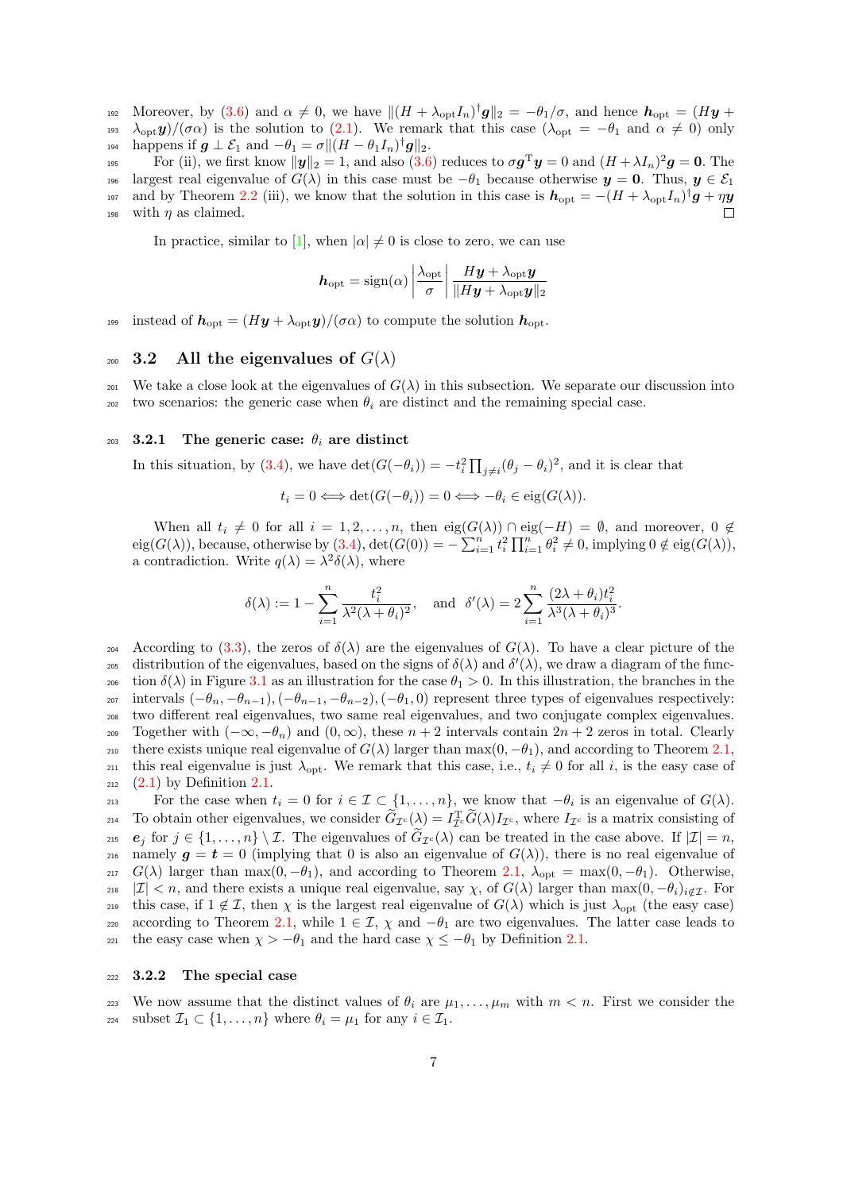192 Moreover, by [\(3.6\)](#page-5-0) and  $\alpha \neq 0$ , we have  $\|(H + \lambda_{\text{opt}} I_n)^{\dagger} g\|_2 = -\theta_1/\sigma$ , and hence  $h_{\text{opt}} = (H\mathbf{y} +$ 193  $\lambda_{\text{opt}} y/(\sigma \alpha)$  is the solution to [\(2.1\)](#page-2-0). We remark that this case ( $\lambda_{\text{opt}} = -\theta_1$  and  $\alpha \neq 0$ ) only  $h{\rm isom} \quad \text{happens if } \bm{g} \perp \mathcal{E}_1 \text{ and } -\theta_1 = \sigma \| (H - \theta_1 I_n)^{\dagger} \bm{g} \|_2.$ 

195 For (ii), we first know  $\|\boldsymbol{y}\|_2 = 1$ , and also  $(3.6)$  reduces to  $\sigma \boldsymbol{g}^{\mathrm{T}} \boldsymbol{y} = 0$  and  $(H + \lambda I_n)^2 \boldsymbol{g} = \boldsymbol{0}$ . The 196 largest real eigenvalue of  $G(\lambda)$  in this case must be  $-\theta_1$  because otherwise  $y = 0$ . Thus,  $y \in \mathcal{E}_1$ 197 and by Theorem [2.2](#page-3-1) (iii), we know that the solution in this case is  $h_{\text{opt}} = -(H + \lambda_{\text{opt}} I_n)^{\dagger} g + \eta y$ 198 with  $\eta$  as claimed.  $\Box$ 

In practice, similar to [\[1\]](#page-22-4), when  $|\alpha| \neq 0$  is close to zero, we can use

$$
\boldsymbol{h}_{\mathrm{opt}} = \mathrm{sign}(\alpha) \left| \frac{\lambda_{\mathrm{opt}}}{\sigma} \right| \frac{H\boldsymbol{y} + \lambda_{\mathrm{opt}} \boldsymbol{y}}{\|H\boldsymbol{y} + \lambda_{\mathrm{opt}} \boldsymbol{y}\|_2}
$$

<sup>199</sup> instead of  $h_{\text{opt}} = (Hy + \lambda_{\text{opt}}y)/(\sigma \alpha)$  to compute the solution  $h_{\text{opt}}$ .

## 200 3.2 All the eigenvalues of  $G(\lambda)$

<sup>201</sup> We take a close look at the eigenvalues of  $G(\lambda)$  in this subsection. We separate our discussion into <sup>202</sup> two scenarios: the generic case when  $\theta_i$  are distinct and the remaining special case.

#### 203 3.2.1 The generic case:  $\theta_i$  are distinct

In this situation, by [\(3.4\)](#page-4-2), we have  $\det(G(-\theta_i)) = -t_i^2 \prod_{j \neq i} (\theta_j - \theta_i)^2$ , and it is clear that

$$
t_i = 0 \Longleftrightarrow \det(G(-\theta_i)) = 0 \Longleftrightarrow -\theta_i \in \text{eig}(G(\lambda)).
$$

When all  $t_i \neq 0$  for all  $i = 1, 2, ..., n$ , then  $eig(G(\lambda)) \cap eig(-H) = \emptyset$ , and moreover,  $0 \notin$  $\text{eig}(G(\lambda))$ , because, otherwise by  $(3.4)$ ,  $\text{det}(G(0)) = -\sum_{i=1}^{n} t_i^2 \prod_{i=1}^{n} \theta_i^2 \neq 0$ , implying  $0 \notin \text{eig}(G(\lambda))$ , a contradiction. Write  $q(\lambda) = \lambda^2 \delta(\lambda)$ , where

$$
\delta(\lambda) := 1 - \sum_{i=1}^n \frac{t_i^2}{\lambda^2 (\lambda + \theta_i)^2}, \quad \text{and} \quad \delta'(\lambda) = 2 \sum_{i=1}^n \frac{(2\lambda + \theta_i)t_i^2}{\lambda^3 (\lambda + \theta_i)^3}.
$$

204 According to [\(3.3\)](#page-4-4), the zeros of  $\delta(\lambda)$  are the eigenvalues of  $G(\lambda)$ . To have a clear picture of the 205 distribution of the eigenvalues, based on the signs of  $\delta(\lambda)$  and  $\delta'(\lambda)$ , we draw a diagram of the func-206 tion  $\delta(\lambda)$  in Figure [3.1](#page-7-0) as an illustration for the case  $\theta_1 > 0$ . In this illustration, the branches in the 207 intervals  $(-\theta_n, -\theta_{n-1}), (-\theta_{n-1}, -\theta_{n-2}), (-\theta_1, 0)$  represent three types of eigenvalues respectively: <sup>208</sup> two different real eigenvalues, two same real eigenvalues, and two conjugate complex eigenvalues. 209 Together with  $(-\infty, -\theta_n)$  and  $(0, \infty)$ , these  $n + 2$  intervals contain  $2n + 2$  zeros in total. Clearly 210 there exists unique real eigenvalue of  $G(\lambda)$  larger than  $\max(0, -\theta_1)$ , and according to Theorem [2.1,](#page-2-3) 211 this real eigenvalue is just  $\lambda_{\text{opt}}$ . We remark that this case, i.e.,  $t_i \neq 0$  for all i, is the easy case of  $_{212}$  [\(2.1\)](#page-2-0) by Definition [2.1.](#page-4-5)

For the case when  $t_i = 0$  for  $i \in \mathcal{I} \subset \{1, \ldots, n\}$ , we know that  $-\theta_i$  is an eigenvalue of  $G(\lambda)$ . To obtain other eigenvalues, we consider  $\tilde{G}_{\mathcal{I}^c}(\lambda) = I_{\mathcal{I}^c}^T \tilde{G}(\lambda) I_{\mathcal{I}^c}$ , where  $I_{\mathcal{I}^c}$  is a matrix consisting of e<sub>j</sub> for  $j \in \{1, ..., n\} \setminus \mathcal{I}$ . The eigenvalues of  $\tilde{G}_{\mathcal{I}^c}(\lambda)$  can be treated in the case above. If  $|\mathcal{I}| = n$ , namely  $q = t = 0$  (implying that 0 is also an eigenvalue of  $G(\lambda)$ ), there is no real eigenvalue of namely  $g = t = 0$  (implying that 0 is also an eigenvalue of  $G(\lambda)$ ), there is no real eigenvalue of 217 G(λ) larger than max(0, -θ<sub>1</sub>), and according to Theorem [2.1,](#page-2-3)  $\lambda_{opt} = max(0, -θ_1)$ . Otherwise, 218 |I| < n, and there exists a unique real eigenvalue, say  $\chi$ , of  $G(\lambda)$  larger than  $\max(0, -\theta_i)_{i \notin \mathcal{I}}$ . For <sup>219</sup> this case, if  $1 \notin \mathcal{I}$ , then  $\chi$  is the largest real eigenvalue of  $G(\lambda)$  which is just  $\lambda_{\text{opt}}$  (the easy case) 220 according to Theorem [2.1,](#page-2-3) while  $1 \in \mathcal{I}$ ,  $\chi$  and  $-\theta_1$  are two eigenvalues. The latter case leads to 221 the easy case when  $\chi > -\theta_1$  and the hard case  $\chi \leq -\theta_1$  by Definition [2.1.](#page-4-5)

#### <sup>222</sup> 3.2.2 The special case

223 We now assume that the distinct values of  $\theta_i$  are  $\mu_1, \ldots, \mu_m$  with  $m < n$ . First we consider the 224 subset  $\mathcal{I}_1 \subset \{1, \ldots, n\}$  where  $\theta_i = \mu_1$  for any  $i \in \mathcal{I}_1$ .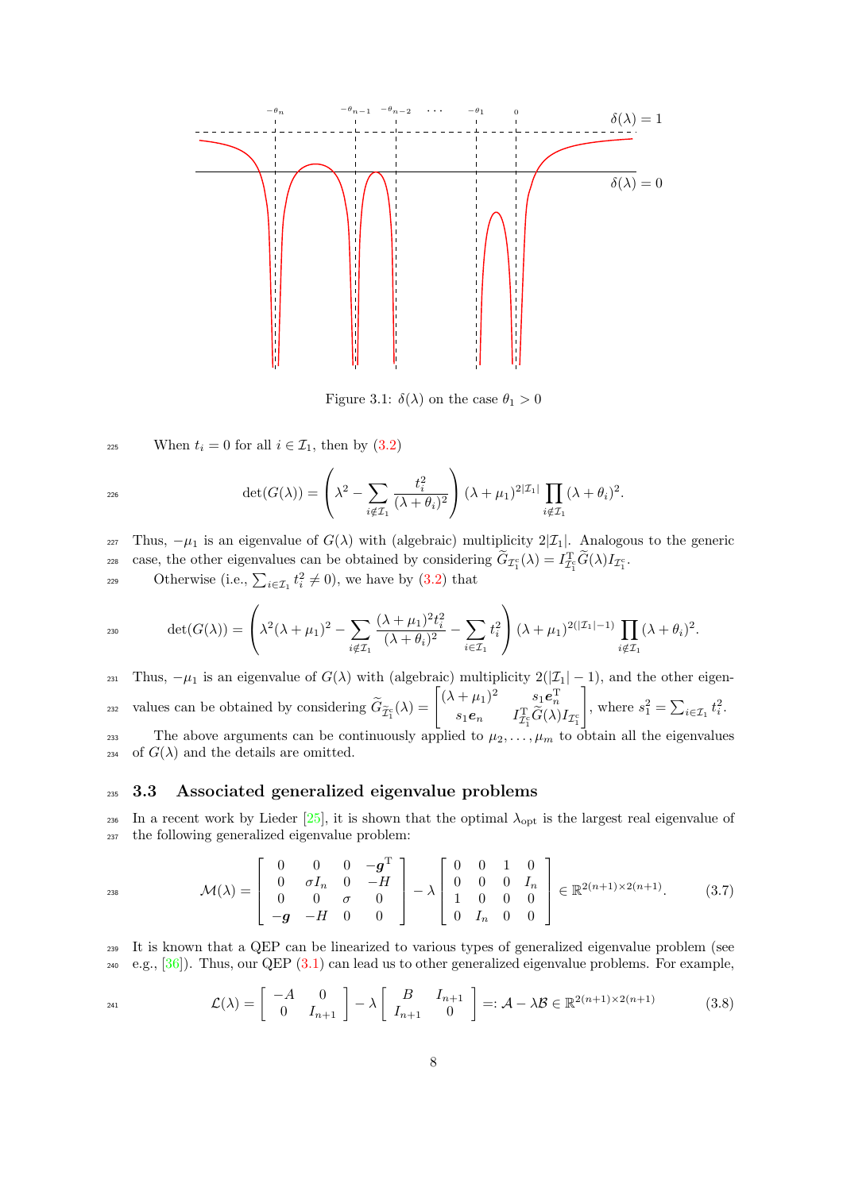

<span id="page-7-0"></span>Figure 3.1:  $\delta(\lambda)$  on the case  $\theta_1 > 0$ 

225 When  $t_i = 0$  for all  $i \in \mathcal{I}_1$ , then by  $(3.2)$ 

$$
\det(G(\lambda)) = \left(\lambda^2 - \sum_{i \notin \mathcal{I}_1} \frac{t_i^2}{(\lambda + \theta_i)^2}\right) (\lambda + \mu_1)^{2|\mathcal{I}_1|} \prod_{i \notin \mathcal{I}_1} (\lambda + \theta_i)^2.
$$

227 Thus,  $-\mu_1$  is an eigenvalue of  $G(\lambda)$  with (algebraic) multiplicity  $2|\mathcal{I}_1|$ . Analogous to the generic case, the other eigenvalues can be obtained by considering  $\tilde{G}_{\mathcal{I}_1^c}(\lambda) = I_{\mathcal{I}_1^c}^T \tilde{G}(\lambda) I_{\mathcal{I}_1^c}$ .

229 Otherwise (i.e.,  $\sum_{i \in \mathcal{I}_1} t_i^2 \neq 0$ ), we have by [\(3.2\)](#page-4-6) that

$$
det(G(\lambda)) = \left(\lambda^2(\lambda + \mu_1)^2 - \sum_{i \notin \mathcal{I}_1} \frac{(\lambda + \mu_1)^2 t_i^2}{(\lambda + \theta_i)^2} - \sum_{i \in \mathcal{I}_1} t_i^2\right) (\lambda + \mu_1)^{2(|\mathcal{I}_1| - 1)} \prod_{i \notin \mathcal{I}_1} (\lambda + \theta_i)^2.
$$

231 Thus,  $-\mu_1$  is an eigenvalue of  $G(\lambda)$  with (algebraic) multiplicity  $2(|\mathcal{I}_1| - 1)$ , and the other eigenvalues can be obtained by considering  $\widetilde{G}_{\widetilde{\mathcal{I}}_1^c}(\lambda) = \begin{bmatrix} (\lambda + \mu_1)^2 & s_1 e_n^{\mathrm{T}} \\ s_1 e_n & I_{\mathcal{I}_1^c}^{\mathrm{T}} \widetilde{G}(\lambda) \end{bmatrix}$  $s_1e_n$   $I_{\mathcal{I}_1^c}^{\mathrm{T}}\widetilde{G}(\lambda)I_{\mathcal{I}_1^c}$ 1 values can be obtained by considering  $\widetilde{G}_{\widetilde{\mathcal{I}}_1^c}(\lambda) = \begin{vmatrix} \lambda + \mu_1 & 0 \\ s_1 e_{\alpha} & I_{\widetilde{\mathcal{I}}_1^c}(\lambda) \end{vmatrix}_{\tau_c}$ , where  $s_1^2 = \sum_{i \in \mathcal{I}_1} t_i^2$ . 233 The above arguments can be continuously applied to  $\mu_2, \ldots, \mu_m$  to obtain all the eigenvalues <sup>234</sup> of  $G(\lambda)$  and the details are omitted.

## <sup>235</sup> 3.3 Associated generalized eigenvalue problems

236 In a recent work by Lieder  $[25]$ , it is shown that the optimal  $\lambda_{\text{opt}}$  is the largest real eigenvalue of <sup>237</sup> the following generalized eigenvalue problem:

<span id="page-7-2"></span>
$$
\mathcal{M}(\lambda) = \begin{bmatrix} 0 & 0 & 0 & -g^{\mathrm{T}} \\ 0 & \sigma I_n & 0 & -H \\ 0 & 0 & \sigma & 0 \\ -g & -H & 0 & 0 \end{bmatrix} - \lambda \begin{bmatrix} 0 & 0 & 1 & 0 \\ 0 & 0 & 0 & I_n \\ 1 & 0 & 0 & 0 \\ 0 & I_n & 0 & 0 \end{bmatrix} \in \mathbb{R}^{2(n+1)\times 2(n+1)}.
$$
 (3.7)

<sup>239</sup> It is known that a QEP can be linearized to various types of generalized eigenvalue problem (see  $e.g., [36]$  $e.g., [36]$ . Thus, our QEP  $(3.1)$  can lead us to other generalized eigenvalue problems. For example,

<span id="page-7-1"></span>
$$
\mathcal{L}(\lambda) = \begin{bmatrix} -A & 0 \\ 0 & I_{n+1} \end{bmatrix} - \lambda \begin{bmatrix} B & I_{n+1} \\ I_{n+1} & 0 \end{bmatrix} =: \mathcal{A} - \lambda \mathcal{B} \in \mathbb{R}^{2(n+1)\times 2(n+1)}
$$
(3.8)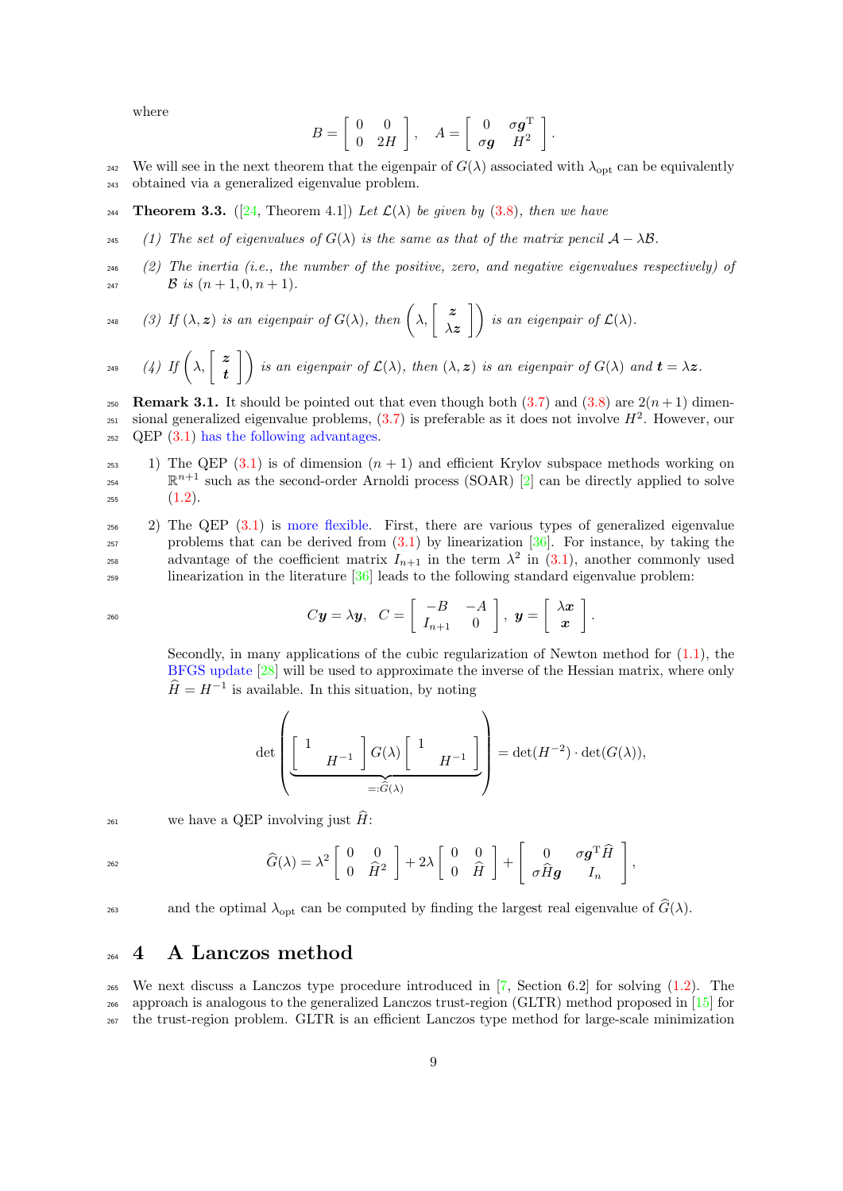where

$$
B = \left[ \begin{array}{cc} 0 & 0 \\ 0 & 2H \end{array} \right], \quad A = \left[ \begin{array}{cc} 0 & \sigma \mathbf{g}^{\mathrm{T}} \\ \sigma \mathbf{g} & H^2 \end{array} \right].
$$

<sup>242</sup> We will see in the next theorem that the eigenpair of  $G(\lambda)$  associated with  $\lambda_{\text{opt}}$  can be equivalently <sup>243</sup> obtained via a generalized eigenvalue problem.

- 244 **Theorem 3.3.** ([\[24,](#page-23-19) Theorem 4.1]) Let  $\mathcal{L}(\lambda)$  be given by [\(3.8\)](#page-7-1), then we have
- 245 (1) The set of eigenvalues of  $G(\lambda)$  is the same as that of the matrix pencil  $\mathcal{A} \lambda \mathcal{B}$ .
- $(2)$  The inertia (i.e., the number of the positive, zero, and negative eigenvalues respectively) of 247 B is  $(n+1, 0, n+1)$ .

$$
248 \qquad (3) \text{ If } (\lambda, z) \text{ is an eigenpair of } G(\lambda), \text{ then } \left(\lambda, \begin{bmatrix} z \\ \lambda z \end{bmatrix} \right) \text{ is an eigenpair of } \mathcal{L}(\lambda).
$$

(4) If  $\left(\lambda,\begin{bmatrix} z \\ 1 \end{bmatrix}\right)$ t 249 (4) If  $\left(\lambda, \begin{bmatrix} z \\ 1 \end{bmatrix}\right)$  is an eigenpair of  $\mathcal{L}(\lambda)$ , then  $(\lambda, z)$  is an eigenpair of  $G(\lambda)$  and  $\mathbf{t} = \lambda z$ .

**250** Remark 3.1. It should be pointed out that even though both  $(3.7)$  and  $(3.8)$  are  $2(n+1)$  dimen- $_{251}$  sional generalized eigenvalue problems,  $(3.7)$  is preferable as it does not involve  $H^2$ . However, our  $_{252}$  QEP  $(3.1)$  has the following advantages.

- <sup>253</sup> 1) The QEP [\(3.1\)](#page-4-3) is of dimension  $(n + 1)$  and efficient Krylov subspace methods working on  $\mathbb{R}^{n+1}$  such as the second-order Arnoldi process (SOAR) [\[2\]](#page-22-11) can be directly applied to solve  $255$   $(1.2).$  $(1.2).$
- <sup>256</sup> 2) The QEP [\(3.1\)](#page-4-3) is more flexible. First, there are various types of generalized eigenvalue problems that can be derived from  $(3.1)$  by linearization  $[36]$ . For instance, by taking the advantage of the coefficient matrix  $I_{n+1}$  in the term  $\lambda^2$  in [\(3.1\)](#page-4-3), another commonly used <sup>259</sup> linearization in the literature [\[36\]](#page-23-18) leads to the following standard eigenvalue problem:

$$
C\mathbf{y} = \lambda \mathbf{y}, \quad C = \left[ \begin{array}{cc} -B & -A \\ I_{n+1} & 0 \end{array} \right], \quad \mathbf{y} = \left[ \begin{array}{c} \lambda \mathbf{x} \\ \mathbf{x} \end{array} \right].
$$

Secondly, in many applications of the cubic regularization of Newton method for [\(1.1\)](#page-0-0), the BFGS update [\[28\]](#page-23-5) will be used to approximate the inverse of the Hessian matrix, where only  $\hat{H} = H^{-1}$  is available. In this situation, by noting

$$
\det\left(\underbrace{\left[\begin{array}{cc} 1 & \\ & H^{-1} \end{array}\right]G(\lambda)\left[\begin{array}{cc} 1 & \\ & H^{-1} \end{array}\right]}_{=: \widehat{G}(\lambda)}\right) = \det(H^{-2}) \cdot \det(G(\lambda)),
$$

<sup>261</sup> we have a QEP involving just  $\hat{H}$ :

 $\overline{1}$ 

$$
\widehat{G}(\lambda) = \lambda^2 \begin{bmatrix} 0 & 0 \\ 0 & \widehat{H}^2 \end{bmatrix} + 2\lambda \begin{bmatrix} 0 & 0 \\ 0 & \widehat{H} \end{bmatrix} + \begin{bmatrix} 0 & \sigma \mathbf{g}^{\mathrm{T}} \widehat{H} \\ \sigma \widehat{H} \mathbf{g} & I_n \end{bmatrix},
$$

and the optimal  $\lambda_{\text{opt}}$  can be computed by finding the largest real eigenvalue of  $\hat{G}(\lambda)$ .

# <span id="page-8-0"></span><sup>264</sup> 4 A Lanczos method

<sup>265</sup> We next discuss a Lanczos type procedure introduced in  $[7,$  Section 6.2 for solving  $(1.2)$ . The <sup>266</sup> approach is analogous to the generalized Lanczos trust-region (GLTR) method proposed in [\[15\]](#page-22-7) for <sup>267</sup> the trust-region problem. GLTR is an efficient Lanczos type method for large-scale minimization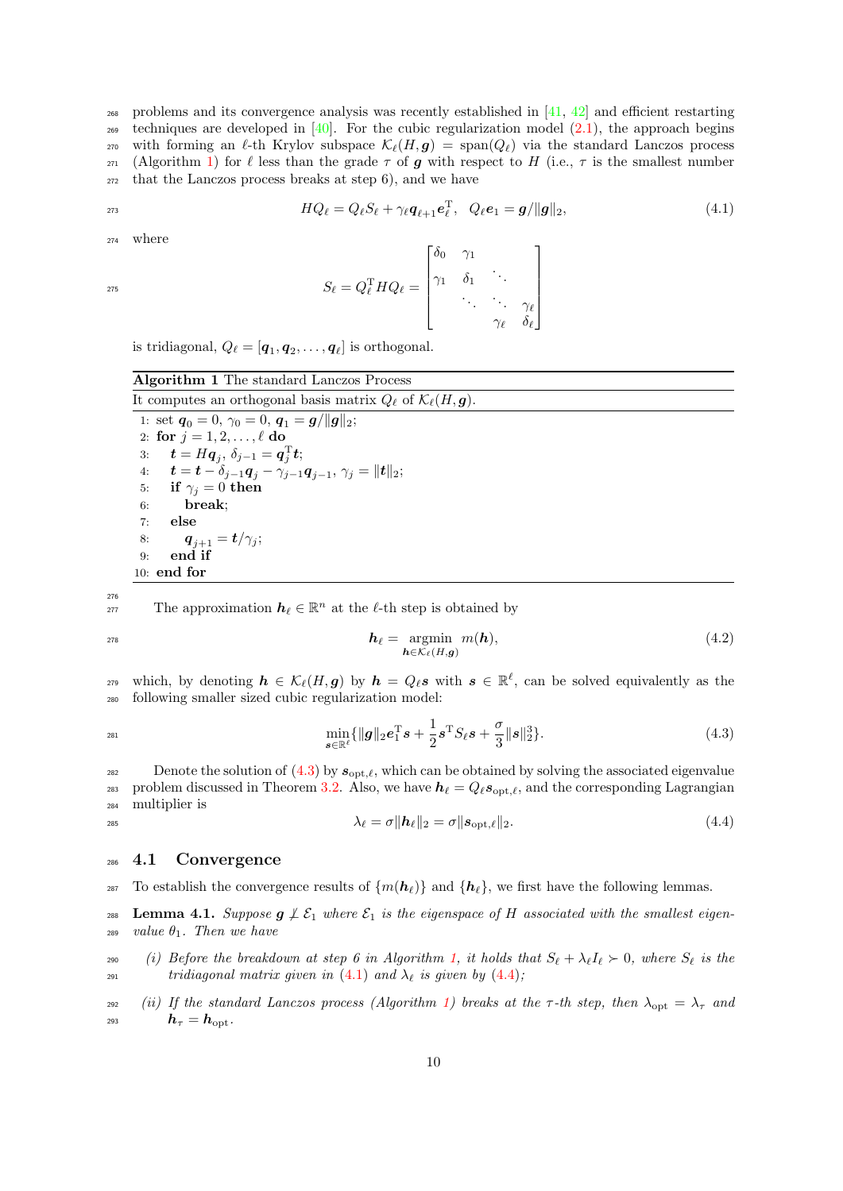<sup>268</sup> problems and its convergence analysis was recently established in [\[41,](#page-23-15) [42\]](#page-23-20) and efficient restarting z<sub>69</sub> techniques are developed in  $[40]$ . For the cubic regularization model  $(2.1)$ , the approach begins 270 with forming an  $\ell$ -th Krylov subspace  $\mathcal{K}_{\ell}(H, g) = \text{span}(Q_{\ell})$  via the standard Lanczos process 271 (Algorithm [1\)](#page-9-0) for  $\ell$  less than the grade  $\tau$  of g with respect to H (i.e.,  $\tau$  is the smallest number  $272$  that the Lanczos process breaks at step 6), and we have

$$
HQ_{\ell} = Q_{\ell}S_{\ell} + \gamma_{\ell}\mathbf{q}_{\ell+1}\mathbf{e}_{\ell}^{T}, \quad Q_{\ell}\mathbf{e}_{1} = \mathbf{g}/\|\mathbf{g}\|_{2}, \tag{4.1}
$$

<sup>274</sup> where

275

<span id="page-9-5"></span><span id="page-9-2"></span> $S_{\ell} = Q_{\ell}^{\mathrm{T}} H Q_{\ell} =$  $\lceil$   $\delta_0$   $\gamma_1$  $\gamma_1 \quad \delta_1 \quad \cdots$  $\cdot$  .  $\cdot$   $\gamma$ e  $\gamma_{\ell}$   $\delta_{\ell}$ 1 

is tridiagonal,  $Q_{\ell} = [\boldsymbol{q}_1, \boldsymbol{q}_2, \dots, \boldsymbol{q}_{\ell}]$  is orthogonal.

# <span id="page-9-0"></span>Algorithm 1 The standard Lanczos Process It computes an orthogonal basis matrix  $Q_\ell$  of  $\mathcal{K}_\ell(H, \mathbf{g})$ . 1: set  $\mathbf{q}_0 = 0$ ,  $\gamma_0 = 0$ ,  $\mathbf{q}_1 = \mathbf{g}/\|\mathbf{g}\|_2$ ; 2: for  $j = 1, 2, \ldots, \ell$  do 3:  $\boldsymbol{t} = H\boldsymbol{q}_j, \, \delta_{j-1} = \boldsymbol{q}_j^{\mathrm{T}} \boldsymbol{t};$  $\textbf{\textit{i}}: \quad \textbf{\textit{t}} = \textbf{\textit{t}} - \delta_{j-1} \textbf{\textit{q}}_j - \gamma_{j-1} \textbf{\textit{q}}_{j-1}, \, \gamma_j = \|\textbf{\textit{t}}\|_2;$ 5: if  $\gamma_j = 0$  then

The approximation  $h_\ell \in \mathbb{R}^n$  at the  $\ell$ -th step is obtained by

6: break; 7: else

9: end if 10: end for

8:  $\bm{q}_{j+1} = \bm{t}/\gamma_j;$ 

276

279 which, by denoting  $h \in \mathcal{K}_{\ell}(H,g)$  by  $h = Q_{\ell} s$  with  $s \in \mathbb{R}^{\ell}$ , can be solved equivalently as the <sup>280</sup> following smaller sized cubic regularization model:

 $\boldsymbol{h}_{\ell} = \operatornamewithlimits{argmin}_{\boldsymbol{h} \in \mathcal{K}_{\ell}(H, \boldsymbol{g})}$  $h_{\ell} = \text{argmin} \hspace{1mm} m(h),$  (4.2)

<span id="page-9-1"></span>
$$
\min_{\mathbf{s}\in\mathbb{R}^{\ell}} \{ \|\mathbf{g}\|_{2} \mathbf{e}_{1}^{\mathrm{T}}\mathbf{s} + \frac{1}{2} \mathbf{s}^{\mathrm{T}} S_{\ell} \mathbf{s} + \frac{\sigma}{3} \|\mathbf{s}\|_{2}^{3} \}.
$$
\n(4.3)

282 Denote the solution of  $(4.3)$  by  $s_{\text{opt},\ell}$ , which can be obtained by solving the associated eigenvalue 283 problem discussed in Theorem [3.2.](#page-5-1) Also, we have  $h_\ell = Q_\ell s_{\text{opt},\ell}$ , and the corresponding Lagrangian <sup>284</sup> multiplier is

<span id="page-9-3"></span>
$$
\lambda_{\ell}=\sigma\|\boldsymbol{h}_{\ell}\|_2=\sigma\|\boldsymbol{s}_{\mathrm{opt},\ell}\|_2. \hspace{1.5cm} (4.4)
$$

#### <sup>286</sup> 4.1 Convergence

<sup>287</sup> To establish the convergence results of  $\{m(h_{\ell})\}$  and  $\{h_{\ell}\}\$ , we first have the following lemmas.

<span id="page-9-4"></span>288 Lemma 4.1. Suppose  $g \nleq \mathcal{E}_1$  where  $\mathcal{E}_1$  is the eigenspace of H associated with the smallest eigen-<sup>289</sup> value  $\theta_1$ . Then we have

290 (i) Before the breakdown at step 6 in Algorithm [1,](#page-9-0) it holds that  $S_\ell + \lambda_\ell I_\ell \succ 0$ , where  $S_\ell$  is the  $291$  tridiagonal matrix given in [\(4.1\)](#page-9-2) and  $\lambda_{\ell}$  is given by [\(4.4\)](#page-9-3);

<sup>292</sup> (ii) If the standard Lanczos process (Algorithm [1\)](#page-9-0) breaks at the  $\tau$ -th step, then  $\lambda_{\text{ont}} = \lambda_{\tau}$  and  $h_\tau = h_{\rm opt}.$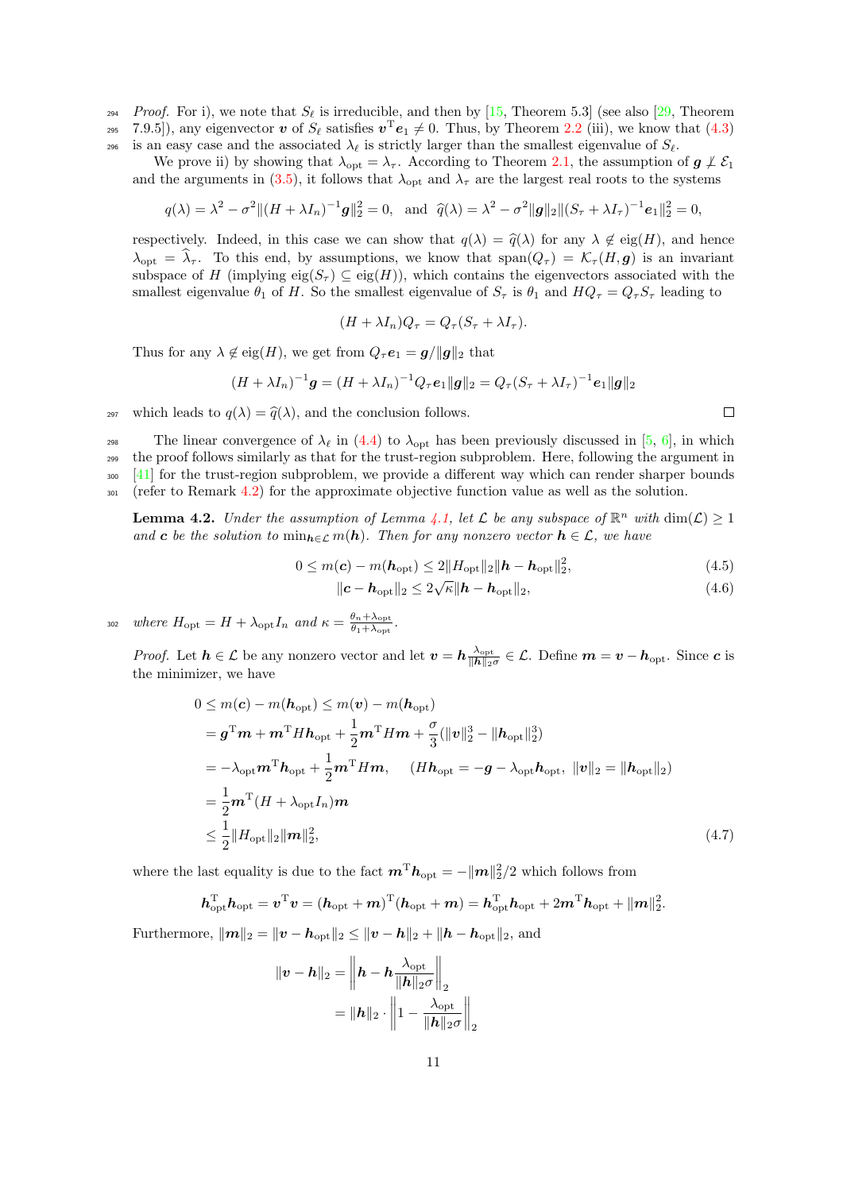*Proof.* For i), we note that  $S_\ell$  is irreducible, and then by [\[15,](#page-22-7) Theorem 5.3] (see also [\[29,](#page-23-21) Theorem <sup>295</sup> 7.9.5]), any eigenvector  $\boldsymbol{v}$  of  $S_{\ell}$  satisfies  $\boldsymbol{v}^{\mathrm{T}}\boldsymbol{e}_1 \neq 0$ . Thus, by Theorem [2.2](#page-3-1) (iii), we know that [\(4.3\)](#page-9-1) 296 is an easy case and the associated  $\lambda_{\ell}$  is strictly larger than the smallest eigenvalue of  $S_{\ell}$ .

We prove ii) by showing that  $\lambda_{opt} = \lambda_{\tau}$ . According to Theorem [2.1,](#page-2-3) the assumption of  $g \nmid \mathcal{E}_1$ and the arguments in [\(3.5\)](#page-5-2), it follows that  $\lambda_{\text{opt}}$  and  $\lambda_{\tau}$  are the largest real roots to the systems

$$
q(\lambda) = \lambda^2 - \sigma^2 || (H + \lambda I_n)^{-1} \mathbf{g} ||_2^2 = 0, \text{ and } \hat{q}(\lambda) = \lambda^2 - \sigma^2 ||\mathbf{g}||_2 || (S_\tau + \lambda I_\tau)^{-1} \mathbf{e}_1 ||_2^2 = 0,
$$

respectively. Indeed, in this case we can show that  $q(\lambda) = \hat{q}(\lambda)$  for any  $\lambda \notin eig(H)$ , and hence  $\lambda_{\text{opt}} = \hat{\lambda}_{\tau}$ . To this end, by assumptions, we know that span $(Q_{\tau}) = \mathcal{K}_{\tau} (H, g)$  is an invariant subspace of H (implying eig( $S_{\tau}$ )  $\subseteq$  eig(H)), which contains the eigenvectors associated with the smallest eigenvalue  $\theta_1$  of H. So the smallest eigenvalue of  $S_{\tau}$  is  $\theta_1$  and  $HQ_{\tau} = Q_{\tau}S_{\tau}$  leading to

$$
(H + \lambda I_n)Q_\tau = Q_\tau (S_\tau + \lambda I_\tau).
$$

Thus for any  $\lambda \notin eig(H)$ , we get from  $Q_{\tau}e_1 = g/||g||_2$  that

$$
(H + \lambda I_n)^{-1} \mathbf{g} = (H + \lambda I_n)^{-1} Q_{\tau} \mathbf{e}_1 ||\mathbf{g}||_2 = Q_{\tau} (S_{\tau} + \lambda I_{\tau})^{-1} \mathbf{e}_1 ||\mathbf{g}||_2
$$

<sup>297</sup> which leads to  $q(\lambda) = \hat{q}(\lambda)$ , and the conclusion follows.

298 The linear convergence of  $\lambda_\ell$  in [\(4.4\)](#page-9-3) to  $\lambda_{\rm opt}$  has been previously discussed in [\[5,](#page-22-8) [6\]](#page-22-9), in which <sup>299</sup> the proof follows similarly as that for the trust-region subproblem. Here, following the argument in <sup>300</sup> [\[41\]](#page-23-15) for the trust-region subproblem, we provide a different way which can render sharper bounds <sup>301</sup> (refer to Remark [4.2\)](#page-13-0) for the approximate objective function value as well as the solution.

<span id="page-10-3"></span>**Lemma 4.2.** Under the assumption of Lemma [4.1,](#page-9-4) let  $\mathcal L$  be any subspace of  $\mathbb R^n$  with  $\dim(\mathcal L) \geq 1$ and c be the solution to  $\min_{h \in \mathcal{L}} m(h)$ . Then for any nonzero vector  $h \in \mathcal{L}$ , we have

$$
0 \le m(\mathbf{c}) - m(\mathbf{h}_{\text{opt}}) \le 2\|H_{\text{opt}}\|_2 \|\mathbf{h} - \mathbf{h}_{\text{opt}}\|_2^2,\tag{4.5}
$$

$$
\|\boldsymbol{c} - \boldsymbol{h}_{\text{opt}}\|_2 \le 2\sqrt{\kappa} \|\boldsymbol{h} - \boldsymbol{h}_{\text{opt}}\|_2, \tag{4.6}
$$

where  $H_{\text{opt}} = H + \lambda_{\text{opt}} I_n$  and  $\kappa = \frac{\theta_n + \lambda_{\text{opt}}}{\theta_1 + \lambda_{\text{opt}}}$ 302 where  $H_{\text{opt}} = H + \lambda_{\text{opt}} I_n$  and  $\kappa = \frac{\sigma_n + \lambda_{\text{opt}}}{\theta_1 + \lambda_{\text{opt}}}.$ 

*Proof.* Let  $h \in \mathcal{L}$  be any nonzero vector and let  $v = h \frac{\lambda_{\text{opt}}}{\|\mathbf{h}\|_{\infty}}$  $\frac{\lambda_{\rm opt}}{\|\boldsymbol{h}\|_2 \sigma} \in \mathcal{L}$ . Define  $\boldsymbol{m} = \boldsymbol{v} - \boldsymbol{h}_{\rm opt}$ . Since  $\boldsymbol{c}$  is the minimizer, we have

$$
0 \leq m(\mathbf{c}) - m(\mathbf{h}_{\text{opt}}) \leq m(\mathbf{v}) - m(\mathbf{h}_{\text{opt}})
$$
  
\n
$$
= \mathbf{g}^{\text{T}} \mathbf{m} + \mathbf{m}^{\text{T}} H \mathbf{h}_{\text{opt}} + \frac{1}{2} \mathbf{m}^{\text{T}} H \mathbf{m} + \frac{\sigma}{3} (\|\mathbf{v}\|_{2}^{3} - \|\mathbf{h}_{\text{opt}}\|_{2}^{3})
$$
  
\n
$$
= -\lambda_{\text{opt}} \mathbf{m}^{\text{T}} \mathbf{h}_{\text{opt}} + \frac{1}{2} \mathbf{m}^{\text{T}} H \mathbf{m}, \quad (H \mathbf{h}_{\text{opt}} = -\mathbf{g} - \lambda_{\text{opt}} \mathbf{h}_{\text{opt}}, \ \|\mathbf{v}\|_{2} = \|\mathbf{h}_{\text{opt}}\|_{2})
$$
  
\n
$$
= \frac{1}{2} \mathbf{m}^{\text{T}} (H + \lambda_{\text{opt}} I_{n}) \mathbf{m}
$$
  
\n
$$
\leq \frac{1}{2} \|H_{\text{opt}}\|_{2} \|\mathbf{m}\|_{2}^{2}, \tag{4.7}
$$

where the last equality is due to the fact  $\bm{m}^{\mathrm{T}}\bm{h}_{\mathrm{opt}} = -\|\bm{m}\|_2^2/2$  which follows from

$$
\boldsymbol{h}_{\mathrm{opt}}^{\mathrm{T}} \boldsymbol{h}_{\mathrm{opt}} = \boldsymbol{v}^{\mathrm{T}} \boldsymbol{v} = (\boldsymbol{h}_{\mathrm{opt}} + \boldsymbol{m})^{\mathrm{T}} (\boldsymbol{h}_{\mathrm{opt}} + \boldsymbol{m}) = \boldsymbol{h}_{\mathrm{opt}}^{\mathrm{T}} \boldsymbol{h}_{\mathrm{opt}} + 2 \boldsymbol{m}^{\mathrm{T}} \boldsymbol{h}_{\mathrm{opt}} + ||\boldsymbol{m}||_2^2.
$$

Furthermore,  $||m||_2 = ||v - h_{opt}||_2 \le ||v - h||_2 + ||h - h_{opt}||_2$ , and

$$
\|\mathbf{v} - \mathbf{h}\|_2 = \left\|\mathbf{h} - \mathbf{h}\frac{\lambda_{\text{opt}}}{\|\mathbf{h}\|_2 \sigma}\right\|_2
$$

$$
= \|\mathbf{h}\|_2 \cdot \left\|1 - \frac{\lambda_{\text{opt}}}{\|\mathbf{h}\|_2 \sigma}\right\|_2
$$

<span id="page-10-2"></span><span id="page-10-1"></span><span id="page-10-0"></span> $\Box$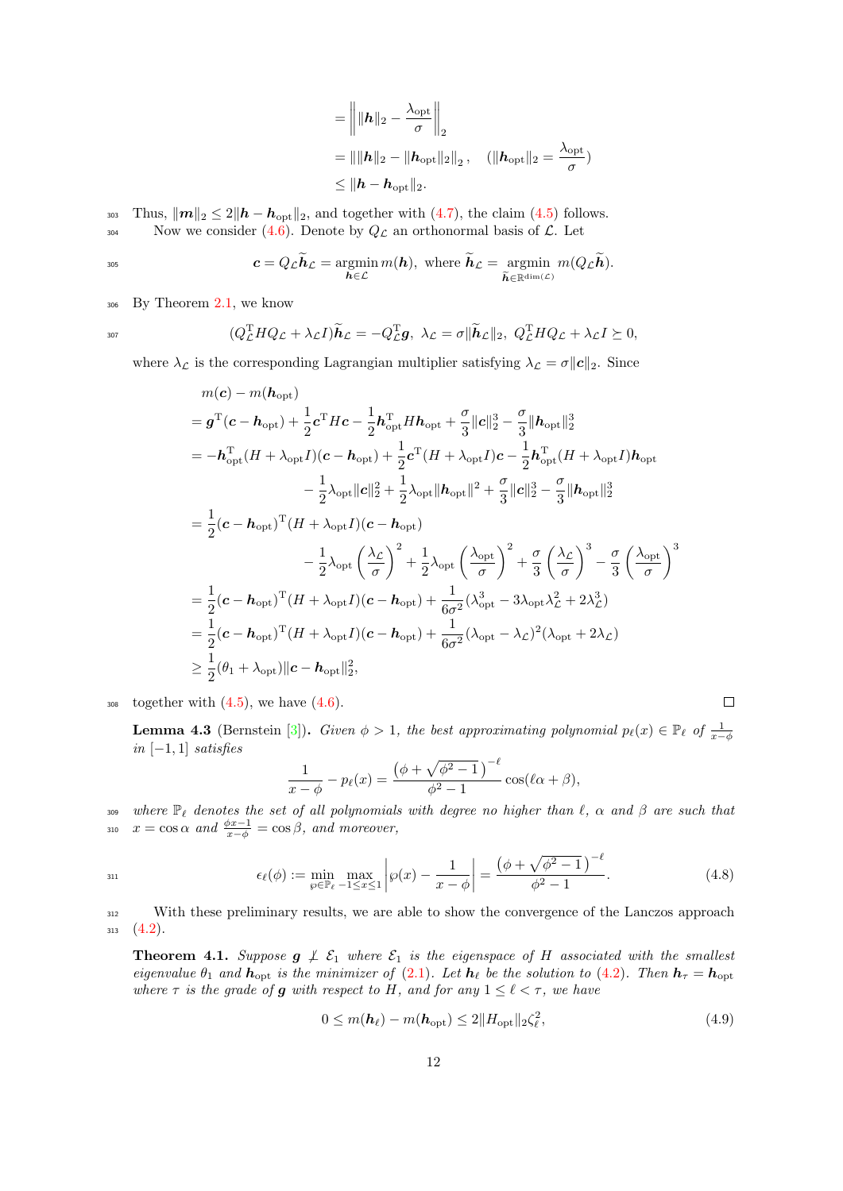$$
= \left\| \|\boldsymbol{h}\|_2 - \frac{\lambda_{\text{opt}}}{\sigma} \right\|_2
$$
  
=  $\|\|\boldsymbol{h}\|_2 - \|\boldsymbol{h}_{\text{opt}}\|_2\|_2$ ,  $(\|\boldsymbol{h}_{\text{opt}}\|_2 = \frac{\lambda_{\text{opt}}}{\sigma})$   
 $\leq \|\boldsymbol{h} - \boldsymbol{h}_{\text{opt}}\|_2$ .

303 Thus,  $\|\boldsymbol{m}\|_2 \leq 2\|\boldsymbol{h} - \boldsymbol{h}_{\text{opt}}\|_2$ , and together with  $(4.7)$ , the claim  $(4.5)$  follows. 304 Now we consider [\(4.6\)](#page-10-2). Denote by  $Q_{\mathcal{L}}$  an orthonormal basis of  $\mathcal{L}$ . Let

$$
c = Q_{\mathcal{L}} \widetilde{\boldsymbol{h}}_{\mathcal{L}} = \operatornamewithlimits{argmin}_{\boldsymbol{h} \in \mathcal{L}} m(\boldsymbol{h}), \text{ where } \widetilde{\boldsymbol{h}}_{\mathcal{L}} = \operatornamewithlimits{argmin}_{\widetilde{\boldsymbol{h}} \in \mathbb{R}^{\dim(\mathcal{L})}} m(Q_{\mathcal{L}} \widetilde{\boldsymbol{h}}).
$$

<sup>306</sup> By Theorem [2.1,](#page-2-3) we know

$$
^{307}
$$

$$
(Q_{\mathcal{L}}^{\mathrm{T}}HQ_{\mathcal{L}} + \lambda_{\mathcal{L}}I)\widetilde{\boldsymbol{h}}_{\mathcal{L}} = -Q_{\mathcal{L}}^{\mathrm{T}}\boldsymbol{g}, \ \lambda_{\mathcal{L}} = \sigma \|\widetilde{\boldsymbol{h}}_{\mathcal{L}}\|_2, \ Q_{\mathcal{L}}^{\mathrm{T}}HQ_{\mathcal{L}} + \lambda_{\mathcal{L}}I \succeq 0,
$$

where  $\lambda_{\mathcal{L}}$  is the corresponding Lagrangian multiplier satisfying  $\lambda_{\mathcal{L}} = \sigma ||c||_2$ . Since

$$
m(c) - m(h_{\text{opt}})
$$
  
\n
$$
= g^{\text{T}}(c - h_{\text{opt}}) + \frac{1}{2}c^{\text{T}}Hc - \frac{1}{2}h_{\text{opt}}^{\text{T}}Hh_{\text{opt}} + \frac{\sigma}{3}||c||_2^3 - \frac{\sigma}{3}||h_{\text{opt}}||_2^3
$$
  
\n
$$
= -h_{\text{opt}}^{\text{T}}(H + \lambda_{\text{opt}}I)(c - h_{\text{opt}}) + \frac{1}{2}c^{\text{T}}(H + \lambda_{\text{opt}}I)c - \frac{1}{2}h_{\text{opt}}^{\text{T}}(H + \lambda_{\text{opt}}I)h_{\text{opt}}
$$
  
\n
$$
- \frac{1}{2}\lambda_{\text{opt}}||c||_2^2 + \frac{1}{2}\lambda_{\text{opt}}||h_{\text{opt}}||^2 + \frac{\sigma}{3}||c||_2^3 - \frac{\sigma}{3}||h_{\text{opt}}||_2^3
$$
  
\n
$$
= \frac{1}{2}(c - h_{\text{opt}})^{\text{T}}(H + \lambda_{\text{opt}}I)(c - h_{\text{opt}})
$$
  
\n
$$
- \frac{1}{2}\lambda_{\text{opt}}\left(\frac{\lambda_c}{\sigma}\right)^2 + \frac{1}{2}\lambda_{\text{opt}}\left(\frac{\lambda_{\text{opt}}}{\sigma}\right)^2 + \frac{\sigma}{3}\left(\frac{\lambda_c}{\sigma}\right)^3 - \frac{\sigma}{3}\left(\frac{\lambda_{\text{opt}}}{\sigma}\right)^3
$$
  
\n
$$
= \frac{1}{2}(c - h_{\text{opt}})^{\text{T}}(H + \lambda_{\text{opt}}I)(c - h_{\text{opt}}) + \frac{1}{6\sigma^2}(\lambda_{\text{opt}}^3 - 3\lambda_{\text{opt}}\lambda_c^2 + 2\lambda_c^3)
$$
  
\n
$$
= \frac{1}{2}(c - h_{\text{opt}})^{\text{T}}(H + \lambda_{\text{opt}}I)(c - h_{\text{opt}}) + \frac{1}{6\sigma^2}(\lambda_{\text{opt}} - \lambda_c)^2(\lambda_{\text{opt}} + 2\lambda_c)
$$
  
\n
$$
\geq \frac{1}{2}(\theta_1 + \lambda_{\text{opt}})||c - h_{\text{opt}}||_2^
$$

 $_{308}$  together with  $(4.5)$ , we have  $(4.6)$ .

<span id="page-11-2"></span>**Lemma 4.3** (Bernstein [\[3\]](#page-22-14)). Given  $\phi > 1$ , the best approximating polynomial  $p_{\ell}(x) \in \mathbb{P}_{\ell}$  of  $\frac{1}{x-\phi}$  $in [-1, 1]$  satisfies

<span id="page-11-1"></span>
$$
\frac{1}{x-\phi} - p_{\ell}(x) = \frac{\left(\phi + \sqrt{\phi^2 - 1}\right)^{-\ell}}{\phi^2 - 1} \cos(\ell \alpha + \beta),
$$

309 where  $\mathbb{P}_{\ell}$  denotes the set of all polynomials with degree no higher than  $\ell$ ,  $\alpha$  and  $\beta$  are such that  $x = \cos \alpha$  and  $\frac{\phi x - 1}{x - \phi} = \cos \beta$ , and moreover, 310

311 
$$
\epsilon_{\ell}(\phi) := \min_{\varphi \in \mathbb{P}_{\ell}} \max_{-1 \le x \le 1} \left| \varphi(x) - \frac{1}{x - \phi} \right| = \frac{\left(\phi + \sqrt{\phi^2 - 1}\right)^{-\ell}}{\phi^2 - 1}.
$$
 (4.8)

<sup>312</sup> With these preliminary results, we are able to show the convergence of the Lanczos approach  $313 \quad (4.2).$  $313 \quad (4.2).$  $313 \quad (4.2).$ 

<span id="page-11-0"></span>**Theorem 4.1.** Suppose  $g \not\perp \mathcal{E}_1$  where  $\mathcal{E}_1$  is the eigenspace of H associated with the smallest eigenvalue  $\theta_1$  and  $h_{\text{opt}}$  is the minimizer of [\(2.1\)](#page-2-0). Let  $h_\ell$  be the solution to [\(4.2\)](#page-9-5). Then  $h_\tau = h_{\text{opt}}$ where  $\tau$  is the grade of g with respect to H, and for any  $1 \leq \ell < \tau$ , we have

$$
0 \le m(\mathbf{h}_{\ell}) - m(\mathbf{h}_{\text{opt}}) \le 2||H_{\text{opt}}||_2 \zeta_{\ell}^2, \tag{4.9}
$$

<span id="page-11-3"></span> $\Box$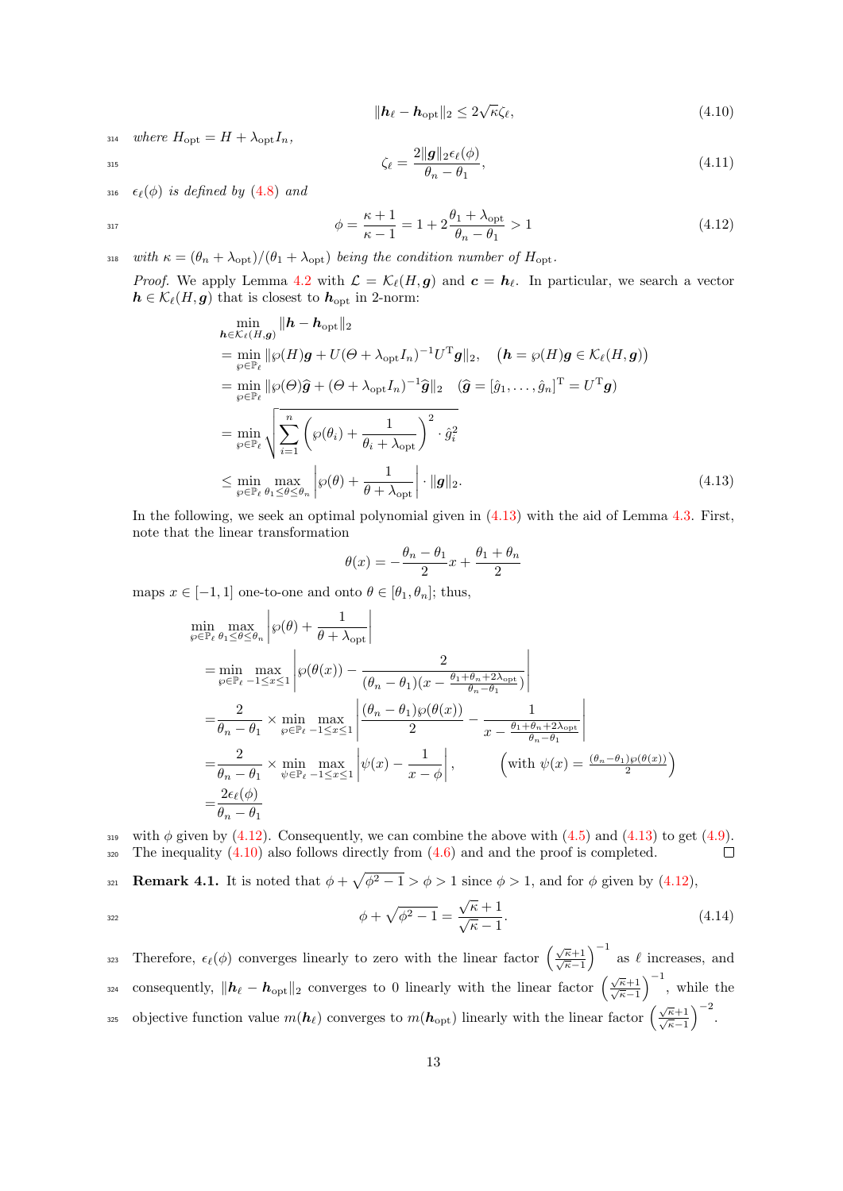<span id="page-12-3"></span><span id="page-12-2"></span><span id="page-12-1"></span>
$$
\|\mathbf{h}_{\ell} - \mathbf{h}_{\text{opt}}\|_2 \le 2\sqrt{\kappa}\zeta_{\ell},\tag{4.10}
$$

314 where  $H_{\text{opt}} = H + \lambda_{\text{opt}} I_n$ ,

$$
\zeta_{\ell} = \frac{2\|\boldsymbol{g}\|_2 \epsilon_{\ell}(\phi)}{\theta_n - \theta_1},\tag{4.11}
$$

316  $\epsilon_{\ell}(\phi)$  is defined by [\(4.8\)](#page-11-1) and

$$
\phi = \frac{\kappa + 1}{\kappa - 1} = 1 + 2 \frac{\theta_1 + \lambda_{\text{opt}}}{\theta_n - \theta_1} > 1 \tag{4.12}
$$

318 with  $\kappa = (\theta_n + \lambda_{\text{opt}})/(\theta_1 + \lambda_{\text{opt}})$  being the condition number of  $H_{\text{opt}}$ .

*Proof.* We apply Lemma [4.2](#page-10-3) with  $\mathcal{L} = \mathcal{K}_{\ell}(H, g)$  and  $\mathbf{c} = \mathbf{h}_{\ell}$ . In particular, we search a vector  $h \in \mathcal{K}_{\ell}(H, g)$  that is closest to  $h_{\text{opt}}$  in 2-norm:

$$
\min_{\mathbf{h}\in\mathcal{K}_{\ell}(H,g)} \|\mathbf{h}-\mathbf{h}_{\text{opt}}\|_{2}
$$
\n
$$
= \min_{\varphi\in\mathbb{P}_{\ell}} \|\varphi(H)g + U(\Theta + \lambda_{\text{opt}}I_{n})^{-1}U^{T}g\|_{2}, \quad (\mathbf{h}=\varphi(H)g \in \mathcal{K}_{\ell}(H,g))
$$
\n
$$
= \min_{\varphi\in\mathbb{P}_{\ell}} \|\varphi(\Theta)\widehat{g} + (\Theta + \lambda_{\text{opt}}I_{n})^{-1}\widehat{g}\|_{2} \quad (\widehat{g}=[\widehat{g}_{1},\ldots,\widehat{g}_{n}]^{T}=U^{T}g)
$$
\n
$$
= \min_{\varphi\in\mathbb{P}_{\ell}} \sqrt{\sum_{i=1}^{n} \left(\varphi(\theta_{i}) + \frac{1}{\theta_{i}+\lambda_{\text{opt}}}\right)^{2} \cdot \widehat{g}_{i}^{2}}
$$
\n
$$
\leq \min_{\varphi\in\mathbb{P}_{\ell}} \max_{\theta_{1}\leq\theta\leq\theta_{n}} \left|\varphi(\theta) + \frac{1}{\theta+\lambda_{\text{opt}}}\right| \cdot \|g\|_{2}.
$$
\n(4.13)

In the following, we seek an optimal polynomial given in [\(4.13\)](#page-12-0) with the aid of Lemma [4.3.](#page-11-2) First, note that the linear transformation

<span id="page-12-0"></span>
$$
\theta(x) = -\frac{\theta_n - \theta_1}{2}x + \frac{\theta_1 + \theta_n}{2}
$$

maps  $x \in [-1, 1]$  one-to-one and onto  $\theta \in [\theta_1, \theta_n]$ ; thus,

$$
\min_{\varphi \in \mathbb{P}_{\ell}} \max_{\theta_1 \leq \theta \leq \theta_n} \left| \varphi(\theta) + \frac{1}{\theta + \lambda_{\text{opt}}} \right|
$$
\n
$$
= \min_{\varphi \in \mathbb{P}_{\ell}} \max_{-1 \leq x \leq 1} \left| \varphi(\theta(x)) - \frac{2}{(\theta_n - \theta_1)(x - \frac{\theta_1 + \theta_n + 2\lambda_{\text{opt}}}{\theta_n - \theta_1})} \right|
$$
\n
$$
= \frac{2}{\theta_n - \theta_1} \times \min_{\varphi \in \mathbb{P}_{\ell}} \max_{-1 \leq x \leq 1} \left| \frac{(\theta_n - \theta_1)\varphi(\theta(x))}{2} - \frac{1}{x - \frac{\theta_1 + \theta_n + 2\lambda_{\text{opt}}}{\theta_n - \theta_1}} \right|
$$
\n
$$
= \frac{2}{\theta_n - \theta_1} \times \min_{\psi \in \mathbb{P}_{\ell}} \max_{-1 \leq x \leq 1} \left| \psi(x) - \frac{1}{x - \phi} \right|, \qquad \left(\text{with } \psi(x) = \frac{(\theta_n - \theta_1)\varphi(\theta(x))}{2}\right)
$$
\n
$$
= \frac{2\epsilon_{\ell}(\phi)}{\theta_n - \theta_1}
$$

319 with  $\phi$  given by [\(4.12\)](#page-12-1). Consequently, we can combine the above with [\(4.5\)](#page-10-1) and [\(4.13\)](#page-12-0) to get [\(4.9\)](#page-11-3).  $\frac{320}{20}$  The inequality [\(4.10\)](#page-12-2) also follows directly from [\(4.6\)](#page-10-2) and and the proof is completed.  $\Box$ 

321 **Remark 4.1.** It is noted that  $\phi + \sqrt{\phi^2 - 1} > \phi > 1$  since  $\phi > 1$ , and for  $\phi$  given by [\(4.12\)](#page-12-1),

<span id="page-12-4"></span>
$$
\phi + \sqrt{\phi^2 - 1} = \frac{\sqrt{\kappa} + 1}{\sqrt{\kappa} - 1}.
$$
\n(4.14)

323 Therefore,  $\epsilon_{\ell}(\phi)$  converges linearly to zero with the linear factor  $\left(\frac{\sqrt{\kappa}+1}{\sqrt{\kappa}-1}\right)^{-1}$  as  $\ell$  increases, and consequently,  $\|\mathbf{h}_{\ell} - \mathbf{h}_{\text{opt}}\|_2$  converges to 0 linearly with the linear factor  $\left(\frac{\sqrt{\kappa}+1}{\sqrt{\kappa}-1}\right)^{-1}$ , while the by objective function value  $m(\mathbf{h}_{\ell})$  converges to  $m(\mathbf{h}_{\text{opt}})$  linearly with the linear factor  $\left(\frac{\sqrt{\kappa}+1}{\sqrt{\kappa}-1}\right)^{-2}$ .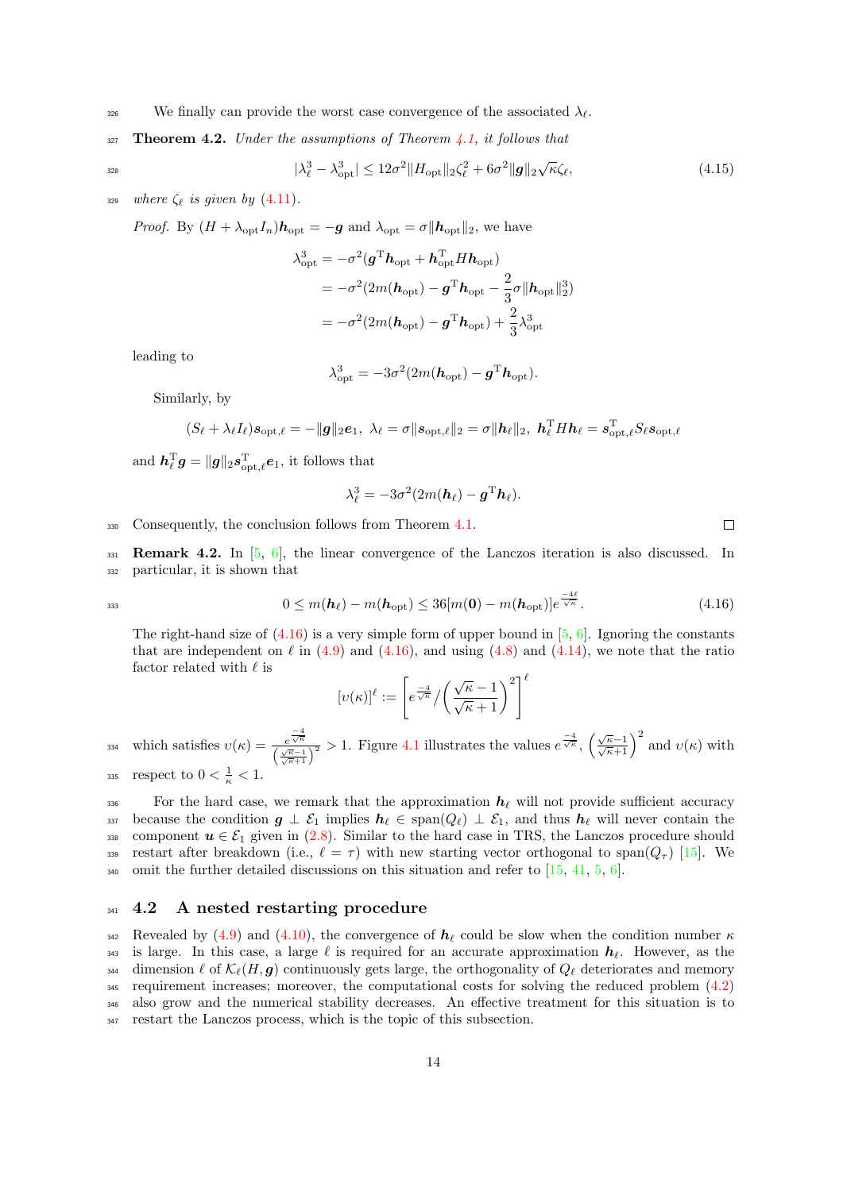<span id="page-13-2"></span><sup>326</sup> We finally can provide the worst case convergence of the associated  $\lambda_{\ell}$ .

 $327$  Theorem 4.2. Under the assumptions of Theorem [4.1,](#page-11-0) it follows that

$$
|\lambda_{\ell}^{3} - \lambda_{\rm opt}^{3}| \le 12\sigma^2 \|H_{\rm opt}\|_2 \zeta_{\ell}^2 + 6\sigma^2 \|g\|_2 \sqrt{\kappa} \zeta_{\ell},\tag{4.15}
$$

329 where  $\zeta_{\ell}$  is given by [\(4.11\)](#page-12-3).

*Proof.* By  $(H + \lambda_{opt} I_n)h_{opt} = -g$  and  $\lambda_{opt} = \sigma ||h_{opt}||_2$ , we have

$$
\lambda_{\rm opt}^3 = -\sigma^2 (\mathbf{g}^{\rm T} \mathbf{h}_{\rm opt} + \mathbf{h}_{\rm opt}^{\rm T} H \mathbf{h}_{\rm opt})
$$
  
=  $-\sigma^2 (2m(\mathbf{h}_{\rm opt}) - \mathbf{g}^{\rm T} \mathbf{h}_{\rm opt} - \frac{2}{3} \sigma ||\mathbf{h}_{\rm opt}||_2^3)$   
=  $-\sigma^2 (2m(\mathbf{h}_{\rm opt}) - \mathbf{g}^{\rm T} \mathbf{h}_{\rm opt}) + \frac{2}{3} \lambda_{\rm opt}^3$ 

leading to

$$
\lambda_{\rm opt}^3 = -3\sigma^2(2m(\boldsymbol{h}_{\rm opt}) - \boldsymbol{g}^{\rm T} \boldsymbol{h}_{\rm opt}).
$$

Similarly, by

$$
(S_{\ell} + \lambda_{\ell} I_{\ell}) \mathbf{s}_{\mathrm{opt},\ell} = -\|\mathbf{g}\|_2 \mathbf{e}_1, \ \lambda_{\ell} = \sigma \|\mathbf{s}_{\mathrm{opt},\ell}\|_2 = \sigma \|\mathbf{h}_{\ell}\|_2, \ \mathbf{h}_{\ell}^{\mathrm{T}} H \mathbf{h}_{\ell} = \mathbf{s}_{\mathrm{opt},\ell}^{\mathrm{T}} S_{\ell} \mathbf{s}_{\mathrm{opt},\ell}
$$

and  $\boldsymbol{h}_{\ell}^{\mathrm{T}}\boldsymbol{g} = \|\boldsymbol{g}\|_{2} \boldsymbol{s}_{\mathrm{opt},\ell}^{\mathrm{T}}\boldsymbol{e}_{1},$  it follows that

$$
\lambda_{\ell}^3 = -3\sigma^2(2m(\boldsymbol{h}_{\ell}) - \boldsymbol{g}^{\mathrm{T}} \boldsymbol{h}_{\ell}).
$$

<sup>330</sup> Consequently, the conclusion follows from Theorem [4.1.](#page-11-0)

<span id="page-13-0"></span>331 **Remark 4.2.** In  $[5, 6]$  $[5, 6]$  $[5, 6]$ , the linear convergence of the Lanczos iteration is also discussed. In <sup>332</sup> particular, it is shown that

$$
0 \le m(\mathbf{h}_{\ell}) - m(\mathbf{h}_{\mathrm{opt}}) \le 36[m(\mathbf{0}) - m(\mathbf{h}_{\mathrm{opt}})]e^{\frac{1}{\sqrt{\kappa}}}.
$$
\n(4.16)

 $=4^\circ$ 

 $\Box$ 

The right-hand size of  $(4.16)$  is a very simple form of upper bound in [\[5,](#page-22-8) [6\]](#page-22-9). Ignoring the constants that are independent on  $\ell$  in [\(4.9\)](#page-11-3) and [\(4.16\)](#page-13-1), and using [\(4.8\)](#page-11-1) and [\(4.14\)](#page-12-4), we note that the ratio factor related with  $\ell$  is

<span id="page-13-1"></span>
$$
[v(\kappa)]^{\ell} := \left[ e^{\frac{-4}{\sqrt{\kappa}}} / \left( \frac{\sqrt{\kappa} - 1}{\sqrt{\kappa} + 1} \right)^2 \right]^{\ell}
$$

334 which satisfies  $v(\kappa) = \frac{e^{\frac{-4}{\sqrt{\kappa}}}}{\left(\frac{\sqrt{\kappa}-1}{\sqrt{\kappa}+1}\right)^2} > 1$ . Figure [4.1](#page-14-0) illustrates the values  $e^{\frac{-4}{\sqrt{\kappa}}}$ ,  $\left(\frac{\sqrt{\kappa}-1}{\sqrt{\kappa}+1}\right)^2$  and  $v(\kappa)$  with 335 respect to  $0 < \frac{1}{\kappa} < 1$ .

336 For the hard case, we remark that the approximation  $h_\ell$  will not provide sufficient accuracy 337 because the condition  $g \perp \mathcal{E}_1$  implies  $h_\ell \in \text{span}(Q_\ell) \perp \mathcal{E}_1$ , and thus  $h_\ell$  will never contain the 338 component  $u \in \mathcal{E}_1$  given in [\(2.8\)](#page-4-7). Similar to the hard case in TRS, the Lanczos procedure should 339 restart after breakdown (i.e.,  $\ell = \tau$ ) with new starting vector orthogonal to span $(Q_{\tau})$  [\[15\]](#page-22-7). We  $_{340}$  omit the further detailed discussions on this situation and refer to [\[15,](#page-22-7) [41,](#page-23-15) [5,](#page-22-8) [6\]](#page-22-9).

## <sup>341</sup> 4.2 A nested restarting procedure

342 Revealed by [\(4.9\)](#page-11-3) and [\(4.10\)](#page-12-2), the convergence of  $h_\ell$  could be slow when the condition number  $\kappa$ <sup>343</sup> is large. In this case, a large  $\ell$  is required for an accurate approximation  $h_{\ell}$ . However, as the 344 dimension  $\ell$  of  $\mathcal{K}_{\ell}(H, g)$  continuously gets large, the orthogonality of  $Q_{\ell}$  deteriorates and memory <sup>345</sup> requirement increases; moreover, the computational costs for solving the reduced problem [\(4.2\)](#page-9-5) <sup>346</sup> also grow and the numerical stability decreases. An effective treatment for this situation is to <sup>347</sup> restart the Lanczos process, which is the topic of this subsection.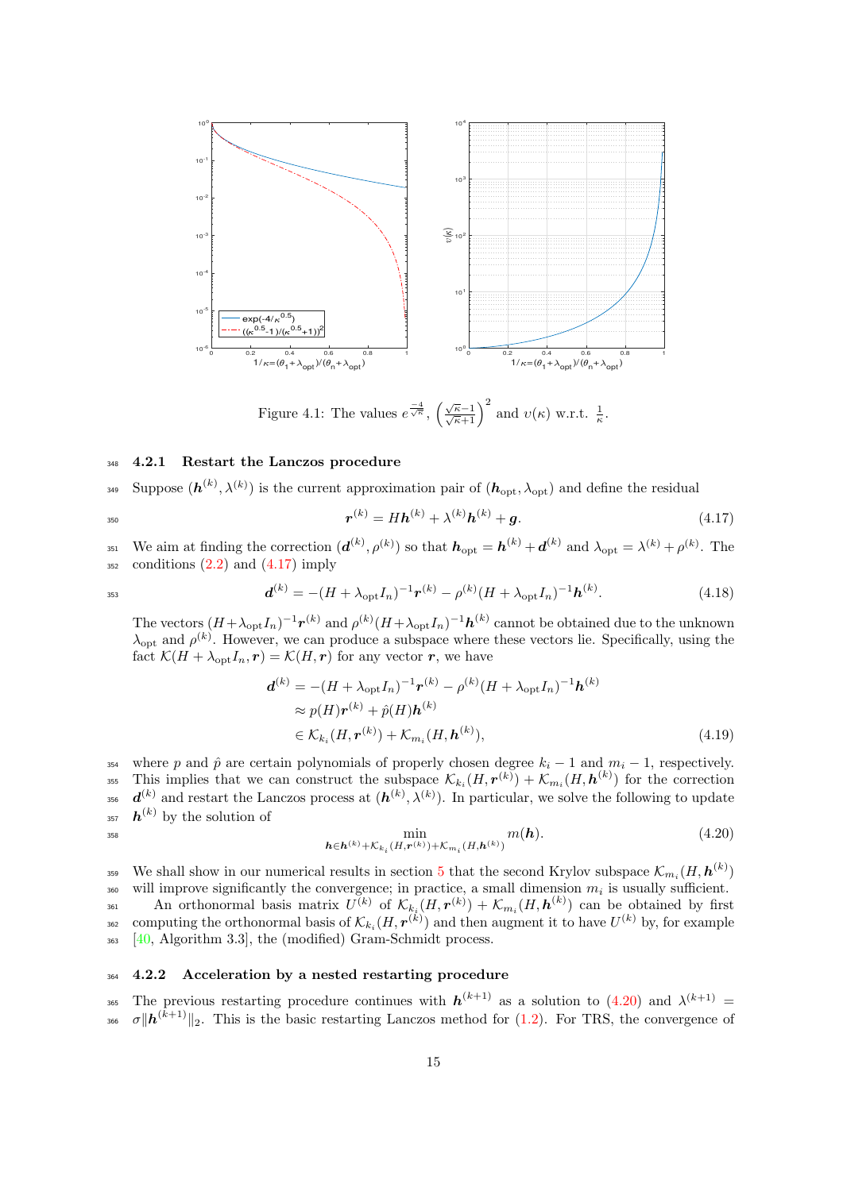

<span id="page-14-1"></span>Figure 4.1: The values  $e^{\frac{-4}{\sqrt{\kappa}}}, \left(\frac{\sqrt{\kappa}-1}{\sqrt{\kappa}+1}\right)^2$  and  $v(\kappa)$  w.r.t.  $\frac{1}{\kappa}$ .

#### <span id="page-14-0"></span><sup>348</sup> 4.2.1 Restart the Lanczos procedure

 $\text{Suppose }(\boldsymbol{h}^{(k)},\lambda^{(k)})$  is the current approximation pair of  $(\boldsymbol{h}_{\text{opt}},\lambda_{\text{opt}})$  and define the residual

$$
r^{(k)} = Hh^{(k)} + \lambda^{(k)}h^{(k)} + g.
$$
\n(4.17)

<sup>351</sup> We aim at finding the correction  $(\boldsymbol{d}^{(k)}, \rho^{(k)})$  so that  $\boldsymbol{h}_{\text{opt}} = \boldsymbol{h}^{(k)} + \boldsymbol{d}^{(k)}$  and  $\lambda_{\text{opt}} = \lambda^{(k)} + \rho^{(k)}$ . The  $352$  conditions  $(2.2)$  and  $(4.17)$  imply

$$
\mathbf{d}^{(k)} = -(H + \lambda_{\text{opt}} I_n)^{-1} \mathbf{r}^{(k)} - \rho^{(k)} (H + \lambda_{\text{opt}} I_n)^{-1} \mathbf{h}^{(k)}.
$$
(4.18)

The vectors  $(H + \lambda_{\text{opt}} I_n)^{-1} r^{(k)}$  and  $\rho^{(k)} (H + \lambda_{\text{opt}} I_n)^{-1} h^{(k)}$  cannot be obtained due to the unknown  $\lambda_{\text{opt}}$  and  $\rho^{(k)}$ . However, we can produce a subspace where these vectors lie. Specifically, using the fact  $\mathcal{K}(H + \lambda_{\text{opt}} I_n, r) = \mathcal{K}(H, r)$  for any vector r, we have

<span id="page-14-2"></span>
$$
\mathbf{d}^{(k)} = -(H + \lambda_{\text{opt}} I_n)^{-1} \mathbf{r}^{(k)} - \rho^{(k)} (H + \lambda_{\text{opt}} I_n)^{-1} \mathbf{h}^{(k)}
$$
  
\n
$$
\approx p(H) \mathbf{r}^{(k)} + \hat{p}(H) \mathbf{h}^{(k)}
$$
  
\n
$$
\in \mathcal{K}_{k_i}(H, \mathbf{r}^{(k)}) + \mathcal{K}_{m_i}(H, \mathbf{h}^{(k)}),
$$
\n(4.19)

354 where p and  $\hat{p}$  are certain polynomials of properly chosen degree  $k_i - 1$  and  $m_i - 1$ , respectively. <sup>355</sup> This implies that we can construct the subspace  $\mathcal{K}_{k_i}(H, r^{(k)}) + \mathcal{K}_{m_i}(H, h^{(k)})$  for the correction <sup>356</sup>  $d^{(k)}$  and restart the Lanczos process at  $(h^{(k)}, \lambda^{(k)})$ . In particular, we solve the following to update <sup>357</sup>  $h^{(k)}$  by the solution of

$$
\min_{\boldsymbol{h}\in\boldsymbol{h}^{(k)}+\mathcal{K}_{k_i}(H,\boldsymbol{r}^{(k)})+\mathcal{K}_{m_i}(H,\boldsymbol{h}^{(k)})}m(\boldsymbol{h}).
$$
\n(4.20)

<sup>3[5](#page-16-0)9</sup> We shall show in our numerical results in section 5 that the second Krylov subspace  $\mathcal{K}_{m_i}(H, \bm{h}^{(k)})$  $_{360}$  will improve significantly the convergence; in practice, a small dimension  $m_i$  is usually sufficient. 361 An orthonormal basis matrix  $U^{(k)}$  of  $\mathcal{K}_{k_i}(H, \mathbf{r}^{(k)}) + \mathcal{K}_{m_i}(H, \mathbf{h}^{(k)})$  can be obtained by first <sup>362</sup> computing the orthonormal basis of  $\mathcal{K}_{k_i}(H, \mathbf{r}^{(k)})$  and then augment it to have  $U^{(k)}$  by, for example

<sup>363</sup> [\[40,](#page-23-14) Algorithm 3.3], the (modified) Gram-Schmidt process.

## 364 4.2.2 Acceleration by a nested restarting procedure

365 The previous restarting procedure continues with  $h^{(k+1)}$  as a solution to  $(4.20)$  and  $\lambda^{(k+1)}$  = 366  $\sigma \| h^{(k+1)} \|_2$ . This is the basic restarting Lanczos method for [\(1.2\)](#page-1-0). For TRS, the convergence of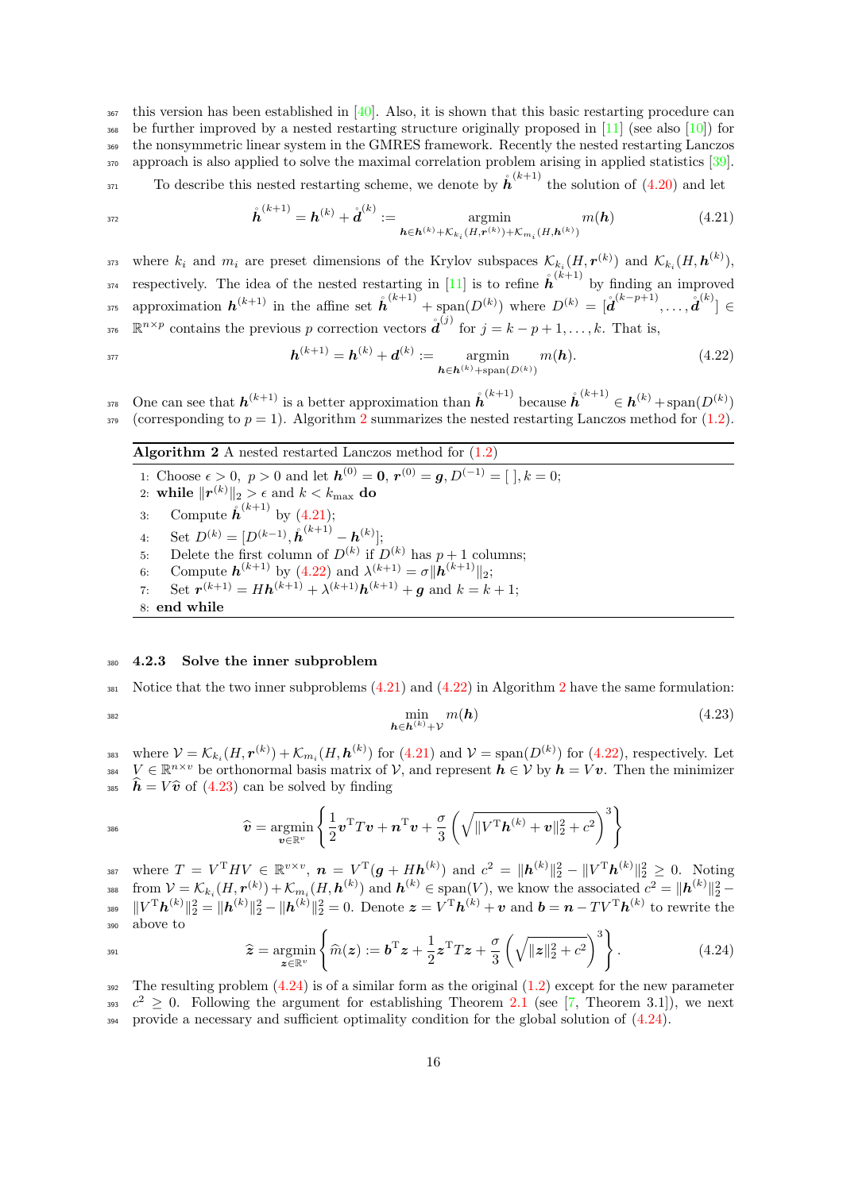$367$  this version has been established in [\[40\]](#page-23-14). Also, it is shown that this basic restarting procedure can <sup>368</sup> be further improved by a nested restarting structure originally proposed in  $[11]$  (see also  $[10]$ ) for <sup>369</sup> the nonsymmetric linear system in the GMRES framework. Recently the nested restarting Lanczos 370 approach is also applied to solve the maximal correlation problem arising in applied statistics [\[39\]](#page-23-22).

 $T_{371}$  To describe this nested restarting scheme, we denote by  $\mathring{h}^{(k+1)}$  the solution of [\(4.20\)](#page-14-2) and let

<span id="page-15-1"></span>
$$
\hat{\boldsymbol{h}}^{(k+1)} = \boldsymbol{h}^{(k)} + \mathring{\boldsymbol{d}}^{(k)} := \operatorname*{argmin}_{\boldsymbol{h} \in \boldsymbol{h}^{(k)} + \mathcal{K}_{k_i}(H, \boldsymbol{r}^{(k)}) + \mathcal{K}_{m_i}(H, \boldsymbol{h}^{(k)})} m(\boldsymbol{h})
$$
(4.21)

<sup>373</sup> where  $k_i$  and  $m_i$  are preset dimensions of the Krylov subspaces  $\mathcal{K}_{k_i}(H, \mathbf{r}^{(k)})$  and  $\mathcal{K}_{k_i}(H, \mathbf{h}^{(k)})$ , <sup>374</sup> respectively. The idea of the nested restarting in [\[11\]](#page-22-15) is to refine  $\mathring{h}^{(k+1)}$  by finding an improved <sup>375</sup> approximation  $h^{(k+1)}$  in the affine set  $\hat{h}^{(k+1)}$  + span $(D^{(k)})$  where  $D^{(k)} = [\hat{d}^{(k-p+1)}, \ldots, \hat{d}^{(k)}]$ <sup>376</sup> R<sup>n × p</sup> contains the previous p correction vectors  $\mathbf{\hat{d}}^{(j)}$  for  $j = k - p + 1, \ldots, k$ . That is,

<span id="page-15-2"></span>
$$
h^{(k+1)} = h^{(k)} + d^{(k)} := \operatorname*{argmin}_{h \in h^{(k)} + \operatorname{span}(D^{(k)})} m(h).
$$
 (4.22)

<sup>378</sup> One can see that  $h^{(k+1)}$  is a better approximation than  $\hat{h}^{(k+1)}$  because  $\hat{h}^{(k+1)} \in h^{(k)}$  + span $(D^{(k)})$ 379 (corresponding to  $p = 1$ ). Algorithm [2](#page-15-0) summarizes the nested restarting Lanczos method for [\(1.2\)](#page-1-0).

Algorithm 2 A nested restarted Lanczos method for  $(1.2)$ 

<span id="page-15-0"></span>1: Choose  $\epsilon > 0$ ,  $p > 0$  and let  $h^{(0)} = 0$ ,  $r^{(0)} = g$ ,  $D^{(-1)} = [$ ,  $k = 0$ ; 2: while  $\|\boldsymbol{r}^{(k)}\|_2 > \epsilon$  and  $k < k_{\text{max}}$  do 3: Compute  $\mathring{h}^{(k+1)}$  by [\(4.21\)](#page-15-1); 4: Set  $D^{(k)} = [D^{(k-1)}, \mathring{\boldsymbol{h}}^{(k+1)} - \boldsymbol{h}^{(k)}];$ 5: Delete the first column of  $D^{(k)}$  if  $D^{(k)}$  has  $p+1$  columns; 6: Compute  $h^{(k+1)}$  by [\(4.22\)](#page-15-2) and  $\lambda^{(k+1)} = \sigma ||h^{(k+1)}||_2$ ; 7: Set  $r^{(k+1)} = Hh^{(k+1)} + \lambda^{(k+1)}h^{(k+1)} + g$  and  $k = k + 1$ ; 8: end while

#### 380 4.2.3 Solve the inner subproblem

381 Notice that the two inner subproblems  $(4.21)$  and  $(4.22)$  in Algorithm [2](#page-15-0) have the same formulation:

386

$$
\min_{\mathbf{h}\in\mathbf{h}^{(k)}+\mathcal{V}}m(\mathbf{h})\tag{4.23}
$$

<sup>383</sup> where  $V = \mathcal{K}_{k_i}(H, \mathbf{r}^{(k)}) + \mathcal{K}_{m_i}(H, \mathbf{h}^{(k)})$  for  $(4.21)$  and  $V = \text{span}(D^{(k)})$  for  $(4.22)$ , respectively. Let 384  $V \in \mathbb{R}^{n \times v}$  be orthonormal basis matrix of  $V$ , and represent  $h \in V$  by  $h = Vv$ . Then the minimizer <sup>385</sup>  $\hat{h} = V \hat{v}$  of [\(4.23\)](#page-15-3) can be solved by finding

<span id="page-15-4"></span><span id="page-15-3"></span>
$$
\widehat{\boldsymbol{v}} = \operatornamewithlimits{argmin}_{\boldsymbol{v} \in \mathbb{R}^v} \left\{ \frac{1}{2} \boldsymbol{v}^{\text{T}} T \boldsymbol{v} + \boldsymbol{n}^{\text{T}} \boldsymbol{v} + \frac{\sigma}{3} \left( \sqrt{\|V^{\text{T}} \boldsymbol{h}^{(k)} + \boldsymbol{v}\|_2^2 + c^2} \right)^3 \right\}
$$

387 where  $T = V^{T}HV \in \mathbb{R}^{v \times v}$ ,  $n = V^{T}(\boldsymbol{g} + H\boldsymbol{h}^{(k)})$  and  $c^{2} = \|\boldsymbol{h}^{(k)}\|_{2}^{2} - \|V^{T}\boldsymbol{h}^{(k)}\|_{2}^{2} \geq 0$ . Noting <sup>388</sup> from  $V = \mathcal{K}_{k_i}(H, \mathbf{r}^{(k)}) + \mathcal{K}_{m_i}(H, \mathbf{h}^{(k)})$  and  $\mathbf{h}^{(k)} \in \text{span}(V)$ , we know the associated  $c^2 = ||\mathbf{h}^{(k)}||_2^2$  $\|V^{\mathrm{T}}\boldsymbol{h}^{(k)}\|_2^2 = \|\boldsymbol{h}^{(k)}\|_2^2 - \|\boldsymbol{h}^{(k)}\|_2^2 = 0.$  Denote  $\boldsymbol{z} = V^{\mathrm{T}}\boldsymbol{h}^{(k)} + \boldsymbol{v}$  and  $\boldsymbol{b} = \boldsymbol{n} - TV^{\mathrm{T}}\boldsymbol{h}^{(k)}$  to rewrite the <sup>390</sup> above to

$$
\widehat{\boldsymbol{z}} = \underset{\boldsymbol{z} \in \mathbb{R}^v}{\operatorname{argmin}} \left\{ \widehat{m}(\boldsymbol{z}) := \boldsymbol{b}^{\mathrm{T}} \boldsymbol{z} + \frac{1}{2} \boldsymbol{z}^{\mathrm{T}} T \boldsymbol{z} + \frac{\sigma}{3} \left( \sqrt{\|\boldsymbol{z}\|_2^2 + c^2} \right)^3 \right\}.
$$
 (4.24)

392 The resulting problem  $(4.24)$  is of a similar form as the original  $(1.2)$  except for the new parameter 393  $c^2 \geq 0$ . Following the argument for establishing Theorem [2.1](#page-2-3) (see [\[7,](#page-22-1) Theorem 3.1]), we next <sup>394</sup> provide a necessary and sufficient optimality condition for the global solution of [\(4.24\)](#page-15-4).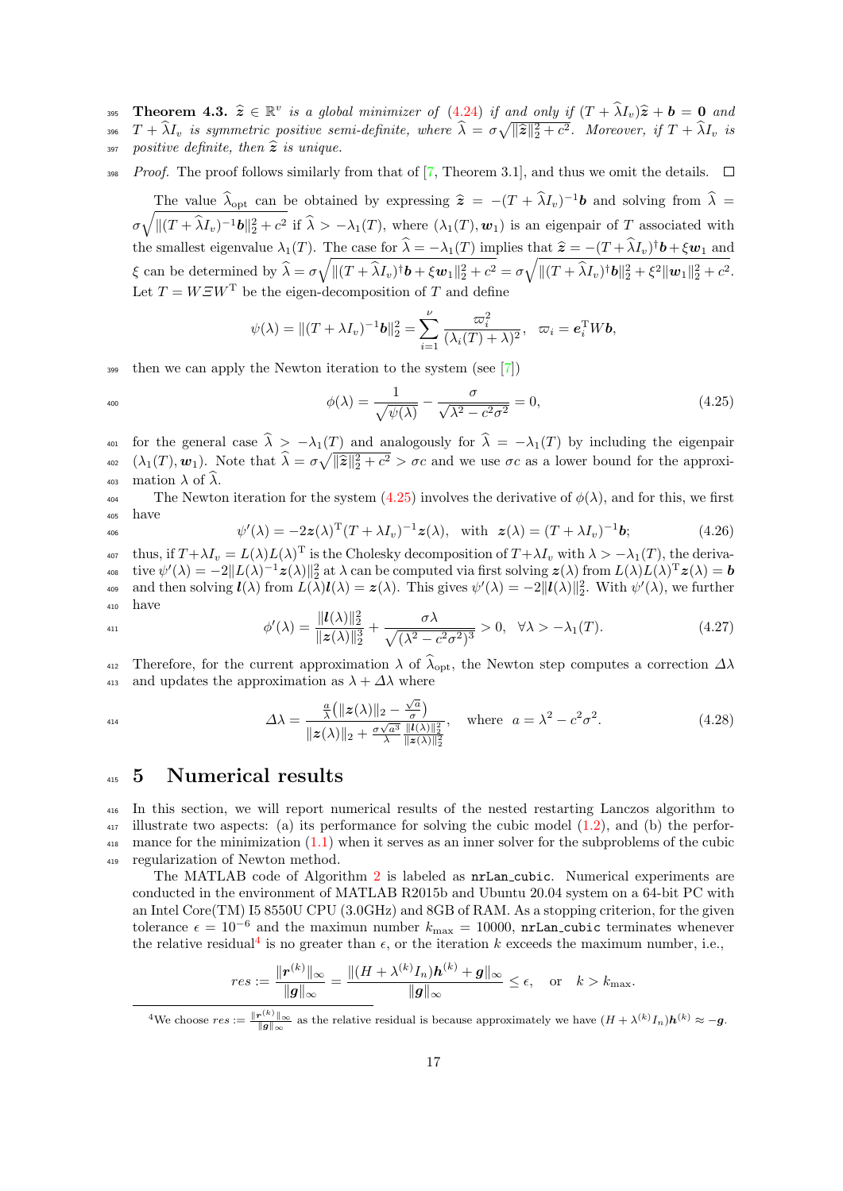- **Theorem 4.3.**  $\hat{z} \in \mathbb{R}^v$  is a global minimizer of [\(4.24\)](#page-15-4) if and only if  $(T + \hat{\lambda}I_v)\hat{z} + \hat{b} = 0$  and  $T_v \hat{\lambda}I_v$  is a generately assigned the subset of  $\hat{\lambda}$ 396  $T + \tilde{\lambda}I_v$  is symmetric positive semi-definite, where  $\hat{\lambda} = \sigma \sqrt{\|\hat{\boldsymbol{z}}\|_2^2 + c^2}$ . Moreover, if  $T + \tilde{\lambda}I_v$  is
- 397 positive definite, then  $\hat{z}$  is unique.
- *Proof.* The proof follows similarly from that of [\[7,](#page-22-1) Theorem 3.1], and thus we omit the details.  $\square$

The value  $\lambda_{\text{opt}}$  can be obtained by expressing  $\hat{z} = -(T + \lambda I_v)^{-1}b$  and solving from  $\lambda =$  $\sigma \sqrt{\|(T+\widehat{\lambda}I_v)^{-1}b\|_2^2+c^2}$  if  $\widehat{\lambda} > -\lambda_1(T)$ , where  $(\lambda_1(T), w_1)$  is an eigenpair of T associated with the smallest eigenvalue  $\lambda_1(T)$ . The case for  $\hat{\lambda} = -\lambda_1(T)$  implies that  $\hat{z} = -(T + \hat{\lambda}I_v)^{\dagger}b + \xi w_1$  and  $\xi$  can be determined by  $\widehat{\lambda} = \sigma \sqrt{\|(T + \widehat{\lambda}I_v)^{\dagger} \boldsymbol{b} + \xi \boldsymbol{w}_1\|_2^2 + c^2} = \sigma \sqrt{\|(T + \widehat{\lambda}I_v)^{\dagger} \boldsymbol{b}\|_2^2 + \xi^2 \|\boldsymbol{w}_1\|_2^2 + c^2}$ . Let  $T = W \Xi W^{T}$  be the eigen-decomposition of T and define

<span id="page-16-1"></span>
$$
\psi(\lambda) = ||(T + \lambda I_v)^{-1} \mathbf{b}||_2^2 = \sum_{i=1}^{\nu} \frac{\varpi_i^2}{(\lambda_i(T) + \lambda)^2}, \quad \varpi_i = \mathbf{e}_i^{\mathrm{T}} W \mathbf{b},
$$

 $\frac{399}{100}$  then we can apply the Newton iteration to the system (see [\[7\]](#page-22-1))

$$
\phi(\lambda) = \frac{1}{\sqrt{\psi(\lambda)}} - \frac{\sigma}{\sqrt{\lambda^2 - c^2 \sigma^2}} = 0,\tag{4.25}
$$

401 for the general case  $\hat{\lambda} > -\lambda_1(T)$  and analogously for  $\hat{\lambda} = -\lambda_1(T)$  by including the eigenpair <sup>402</sup>  $(\lambda_1(T), \mathbf{w}_1)$ . Note that  $\widehat{\lambda} = \sigma \sqrt{\|\widehat{\mathbf{z}}\|_2^2 + c^2} > \sigma c$  and we use  $\sigma c$  as a lower bound for the approxi-403 mation  $\lambda$  of  $\hat{\lambda}$ .<br>The Newto

The Newton iteration for the system [\(4.25\)](#page-16-1) involves the derivative of  $\phi(\lambda)$ , and for this, we first <sup>405</sup> have

$$
\psi'(\lambda) = -2\mathbf{z}(\lambda)^{\mathrm{T}}(T + \lambda I_v)^{-1}\mathbf{z}(\lambda), \quad \text{with} \quad \mathbf{z}(\lambda) = (T + \lambda I_v)^{-1}\mathbf{b};\tag{4.26}
$$

<sup>407</sup> thus, if  $T + \lambda I_v = L(\lambda) L(\lambda)^T$  is the Cholesky decomposition of  $T + \lambda I_v$  with  $\lambda > -\lambda_1(T)$ , the deriva- $\text{Cov}( \lambda ) = -2\| L(\lambda)^{-1} \boldsymbol{z}(\lambda) \|_2^2 \text{ at } \lambda \text{ can be computed via first solving } \boldsymbol{z}(\lambda) \text{ from } L(\lambda) L(\lambda)^\mathrm{T} \boldsymbol{z}(\lambda) = \boldsymbol{b}$ as and then solving  $\mathbf{I}(\lambda)$  from  $L(\lambda)\mathbf{I}(\lambda) = \mathbf{z}(\lambda)$ . This gives  $\psi'(\lambda) = -2||\mathbf{I}(\lambda)||_2^2$ . With  $\psi'(\lambda)$ , we further <sup>410</sup> have

$$
\phi'(\lambda) = \frac{\|l(\lambda)\|_2^2}{\|z(\lambda)\|_2^3} + \frac{\sigma\lambda}{\sqrt{(\lambda^2 - c^2\sigma^2)^3}} > 0, \quad \forall \lambda > -\lambda_1(T). \tag{4.27}
$$

Therefore, for the current approximation  $\lambda$  of  $\widehat{\lambda}_{opt}$ , the Newton step computes a correction  $\Delta\lambda$  and updates the approximation as  $\lambda + \Delta\lambda$  where and updates the approximation as  $\lambda + \Delta\lambda$  where

$$
\Delta\lambda = \frac{\frac{a}{\lambda} (\| \mathbf{z}(\lambda) \|_2 - \frac{\sqrt{a}}{\sigma})}{\| \mathbf{z}(\lambda) \|_2 + \frac{\sigma\sqrt{a^3}}{\lambda} \frac{\| \mathbf{I}(\lambda) \|_2^2}{\| \mathbf{z}(\lambda) \|_2^2}}, \quad \text{where} \quad a = \lambda^2 - c^2 \sigma^2. \tag{4.28}
$$

# <span id="page-16-0"></span><sup>415</sup> 5 Numerical results

 In this section, we will report numerical results of the nested restarting Lanczos algorithm to illustrate two aspects: (a) its performance for solving the cubic model [\(1.2\)](#page-1-0), and (b) the perfor- mance for the minimization [\(1.1\)](#page-0-0) when it serves as an inner solver for the subproblems of the cubic regularization of Newton method.

The MATLAB code of Algorithm [2](#page-15-0) is labeled as nrLan cubic. Numerical experiments are conducted in the environment of MATLAB R2015b and Ubuntu 20.04 system on a 64-bit PC with an Intel Core(TM) I5 8550U CPU (3.0GHz) and 8GB of RAM. As a stopping criterion, for the given tolerance  $\epsilon = 10^{-6}$  and the maximun number  $k_{\text{max}} = 10000$ , nrLan\_cubic terminates whenever the relative residual<sup>[4](#page-16-2)</sup> is no greater than  $\epsilon$ , or the iteration k exceeds the maximum number, i.e.,

$$
res:=\frac{\|\bm r^{(k)}\|_\infty}{\|\bm g\|_\infty}=\frac{\|(H+\lambda^{(k)}I_n)\bm h^{(k)}+\bm g\|_\infty}{\|\bm g\|_\infty}\leq \epsilon, \quad \text{or} \quad k>k_{\max}.
$$

<span id="page-16-2"></span>We choose  $res := \frac{\|\mathbf{r}^{(k)}\|_{\infty}}{\|\mathbf{g}\|_{\infty}}$  as the relative residual is because approximately we have  $(H + \lambda^{(k)} I_n) \mathbf{h}^{(k)} \approx -\mathbf{g}$ .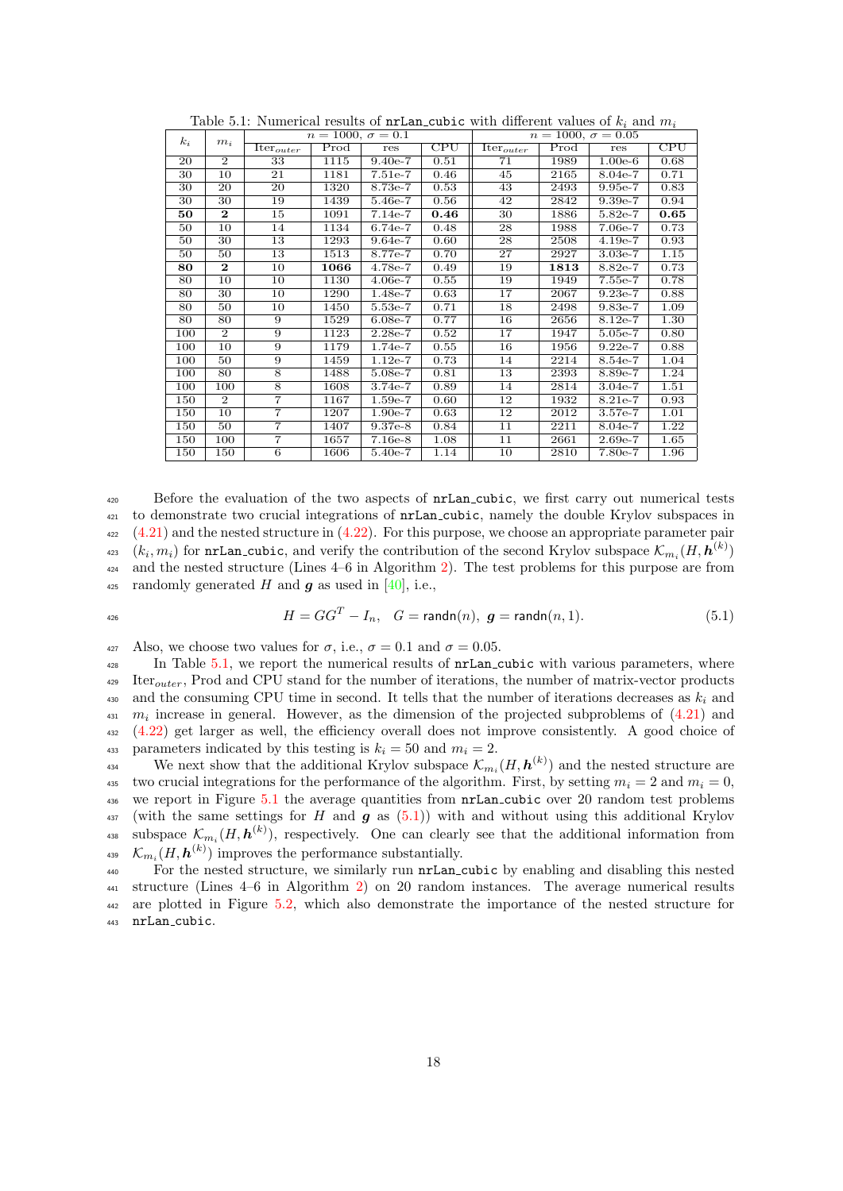<span id="page-17-0"></span>

| $k_i$ | $m_i$          | $n = 1000, \sigma = 0.1$         |                            |           |                         | $n = 1000, \sigma = 0.05$ |                            |           |                         |  |
|-------|----------------|----------------------------------|----------------------------|-----------|-------------------------|---------------------------|----------------------------|-----------|-------------------------|--|
|       |                | $\overline{\text{Iter}}_{outer}$ | $\overline{\mathrm{Prod}}$ | res       | $\overline{\text{CPU}}$ | Iter <sub>outer</sub>     | $\overline{\mathrm{Prod}}$ | res       | $\overline{\text{CPU}}$ |  |
| 20    | $\overline{2}$ | 33                               | 1115                       | $9.40e-7$ | 0.51                    | 71                        | 1989                       | $1.00e-6$ | 0.68                    |  |
| 30    | 10             | 21                               | 1181                       | $7.51e-7$ | 0.46                    | 45                        | 2165                       | 8.04e-7   | 0.71                    |  |
| 30    | 20             | 20                               | 1320                       | 8.73e-7   | 0.53                    | 43                        | 2493                       | 9.95e-7   | 0.83                    |  |
| 30    | 30             | 19                               | 1439                       | 5.46e-7   | 0.56                    | 42                        | 2842                       | $9.39e-7$ | 0.94                    |  |
| 50    | $\mathbf{2}$   | 15                               | 1091                       | $7.14e-7$ | 0.46                    | 30                        | 1886                       | $5.82e-7$ | 0.65                    |  |
| 50    | 10             | 14                               | 1134                       | $6.74e-7$ | 0.48                    | 28                        | 1988                       | 7.06e-7   | 0.73                    |  |
| 50    | 30             | 13                               | 1293                       | $9.64e-7$ | 0.60                    | 28                        | 2508                       | $4.19e-7$ | 0.93                    |  |
| 50    | 50             | 13                               | 1513                       | 8.77e-7   | 0.70                    | 27                        | 2927                       | $3.03e-7$ | 1.15                    |  |
| 80    | $\mathbf{2}$   | 10                               | 1066                       | $4.78e-7$ | 0.49                    | 19                        | 1813                       | 8.82e-7   | 0.73                    |  |
| 80    | 10             | 10                               | 1130                       | $4.06e-7$ | 0.55                    | 19                        | 1949                       | $7.55e-7$ | 0.78                    |  |
| 80    | 30             | 10                               | 1290                       | 1.48e-7   | 0.63                    | 17                        | 2067                       | $9.23e-7$ | 0.88                    |  |
| 80    | 50             | 10                               | 1450                       | 5.53e-7   | 0.71                    | 18                        | 2498                       | 9.83e-7   | 1.09                    |  |
| 80    | 80             | 9                                | 1529                       | $6.08e-7$ | 0.77                    | 16                        | 2656                       | $8.12e-7$ | 1.30                    |  |
| 100   | $\overline{2}$ | 9                                | 1123                       | $2.28e-7$ | 0.52                    | 17                        | 1947                       | 5.05e-7   | 0.80                    |  |
| 100   | 10             | 9                                | 1179                       | 1.74e-7   | 0.55                    | 16                        | 1956                       | $9.22e-7$ | 0.88                    |  |
| 100   | 50             | 9                                | 1459                       | $1.12e-7$ | 0.73                    | 14                        | 2214                       | $8.54e-7$ | 1.04                    |  |
| 100   | 80             | 8                                | 1488                       | 5.08e-7   | 0.81                    | 13                        | 2393                       | 8.89e-7   | 1.24                    |  |
| 100   | 100            | 8                                | 1608                       | $3.74e-7$ | 0.89                    | 14                        | 2814                       | $3.04e-7$ | 1.51                    |  |
| 150   | $\overline{2}$ | $\overline{7}$                   | 1167                       | $1.59e-7$ | 0.60                    | 12                        | 1932                       | $8.21e-7$ | 0.93                    |  |
| 150   | 10             | 7                                | 1207                       | $1.90e-7$ | 0.63                    | 12                        | 2012                       | 3.57e-7   | 1.01                    |  |
| 150   | 50             | $\overline{7}$                   | 1407                       | $9.37e-8$ | 0.84                    | 11                        | 2211                       | $8.04e-7$ | 1.22                    |  |
| 150   | 100            | $\overline{7}$                   | 1657                       | $7.16e-8$ | 1.08                    | 11                        | 2661                       | $2.69e-7$ | 1.65                    |  |
| 150   | 150            | 6                                | 1606                       | $5.40e-7$ | 1.14                    | 10                        | 2810                       | 7.80e-7   | 1.96                    |  |

Table 5.1: Numerical results of  $n$ -Lan cubic with different values of  $k_i$  and  $m_i$ 

 Before the evaluation of the two aspects of nrLan cubic, we first carry out numerical tests to demonstrate two crucial integrations of nrLan cubic, namely the double Krylov subspaces in  $(4.21)$  and the nested structure in  $(4.22)$ . For this purpose, we choose an appropriate parameter pair <sup>423</sup>  $(k_i, m_i)$  for nrLan\_cubic, and verify the contribution of the second Krylov subspace  $\mathcal{K}_{m_i}(H, \mathbf{h}^{(k)})$  and the nested structure (Lines 4–6 in Algorithm [2\)](#page-15-0). The test problems for this purpose are from 425 randomly generated H and  $\boldsymbol{g}$  as used in [\[40\]](#page-23-14), i.e.,

<span id="page-17-1"></span>
$$
H = GG^T - I_n, \quad G = \mathsf{randn}(n), \ \mathbf{g} = \mathsf{randn}(n, 1). \tag{5.1}
$$

427 Also, we choose two values for  $\sigma$ , i.e.,  $\sigma = 0.1$  and  $\sigma = 0.05$ .

<sup>428</sup> In Table [5.1,](#page-17-0) we report the numerical results of **nrLan** cubic with various parameters, where  $\mu_{29}$  Iter<sub>outer</sub>, Prod and CPU stand for the number of iterations, the number of matrix-vector products 430 and the consuming CPU time in second. It tells that the number of iterations decreases as  $k_i$  and  $m_i$  increase in general. However, as the dimension of the projected subproblems of  $(4.21)$  and [\(4.22\)](#page-15-2) get larger as well, the efficiency overall does not improve consistently. A good choice of 433 parameters indicated by this testing is  $k_i = 50$  and  $m_i = 2$ .

We next show that the additional Krylov subspace  $\mathcal{K}_{m_i}(H, \mathbf{h}^{(k)})$  and the nested structure are 435 two crucial integrations for the performance of the algorithm. First, by setting  $m_i = 2$  and  $m_i = 0$ , 436 we report in Figure [5.1](#page-18-0) the average quantities from  $nr Lan\_cubic$  over 20 random test problems  $_{437}$  (with the same settings for H and  $g$  as [\(5.1\)](#page-17-1)) with and without using this additional Krylov <sup>438</sup> subspace  $\mathcal{K}_{m_i}(H, \mathbf{h}^{(k)})$ , respectively. One can clearly see that the additional information from <sup>439</sup>  $\mathcal{K}_{m_i}(H, \boldsymbol{h}^{(k)})$  improves the performance substantially.

 For the nested structure, we similarly run nrLan cubic by enabling and disabling this nested structure (Lines 4–6 in Algorithm [2\)](#page-15-0) on 20 random instances. The average numerical results are plotted in Figure [5.2,](#page-18-1) which also demonstrate the importance of the nested structure for nrLan cubic.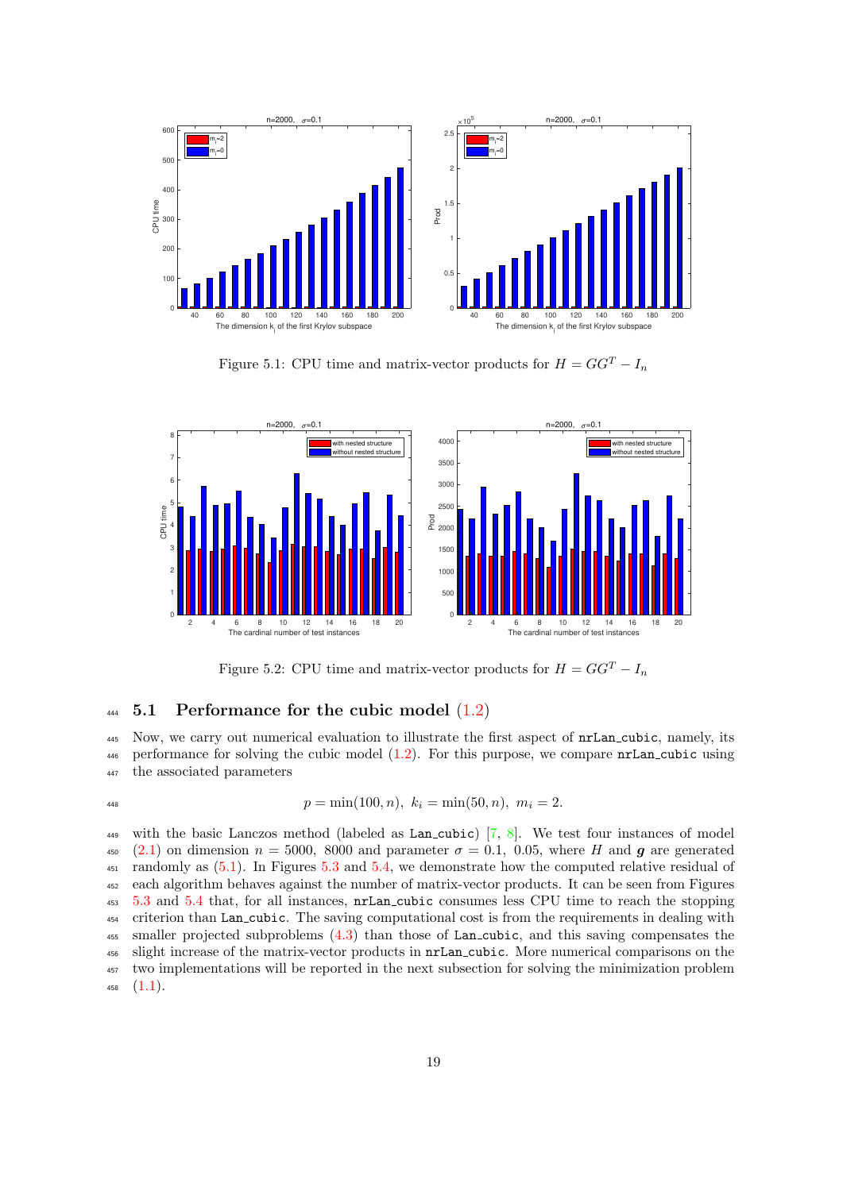

<span id="page-18-0"></span>Figure 5.1: CPU time and matrix-vector products for  $H = GG^T - I_n$ 



<span id="page-18-1"></span>Figure 5.2: CPU time and matrix-vector products for  $H = GG^T - I_n$ 

# $444$  5.1 Performance for the cubic model  $(1.2)$

<sup>445</sup> Now, we carry out numerical evaluation to illustrate the first aspect of nrLan cubic, namely, its <sup>446</sup> performance for solving the cubic model [\(1.2\)](#page-1-0). For this purpose, we compare nrLan cubic using <sup>447</sup> the associated parameters

$$
^{448}
$$

$$
p = \min(100, n), \ k_i = \min(50, n), \ m_i = 2.
$$

449 with the basic Lanczos method (labeled as Lan cubic)  $[7, 8]$  $[7, 8]$  $[7, 8]$ . We test four instances of model [\(2.1\)](#page-2-0) on dimension  $n = 5000$ , 8000 and parameter  $\sigma = 0.1$ , 0.05, where H and q are generated <sup>451</sup> randomly as  $(5.1)$ . In Figures [5.3](#page-19-0) and [5.4,](#page-19-1) we demonstrate how the computed relative residual of each algorithm behaves against the number of matrix-vector products. It can be seen from Figures [5.3](#page-19-0) and [5.4](#page-19-1) that, for all instances, nrLan cubic consumes less CPU time to reach the stopping criterion than Lan cubic. The saving computational cost is from the requirements in dealing with smaller projected subproblems [\(4.3\)](#page-9-1) than those of Lan cubic, and this saving compensates the slight increase of the matrix-vector products in nrLan cubic. More numerical comparisons on the two implementations will be reported in the next subsection for solving the minimization problem  $458 \quad (1.1).$  $458 \quad (1.1).$  $458 \quad (1.1).$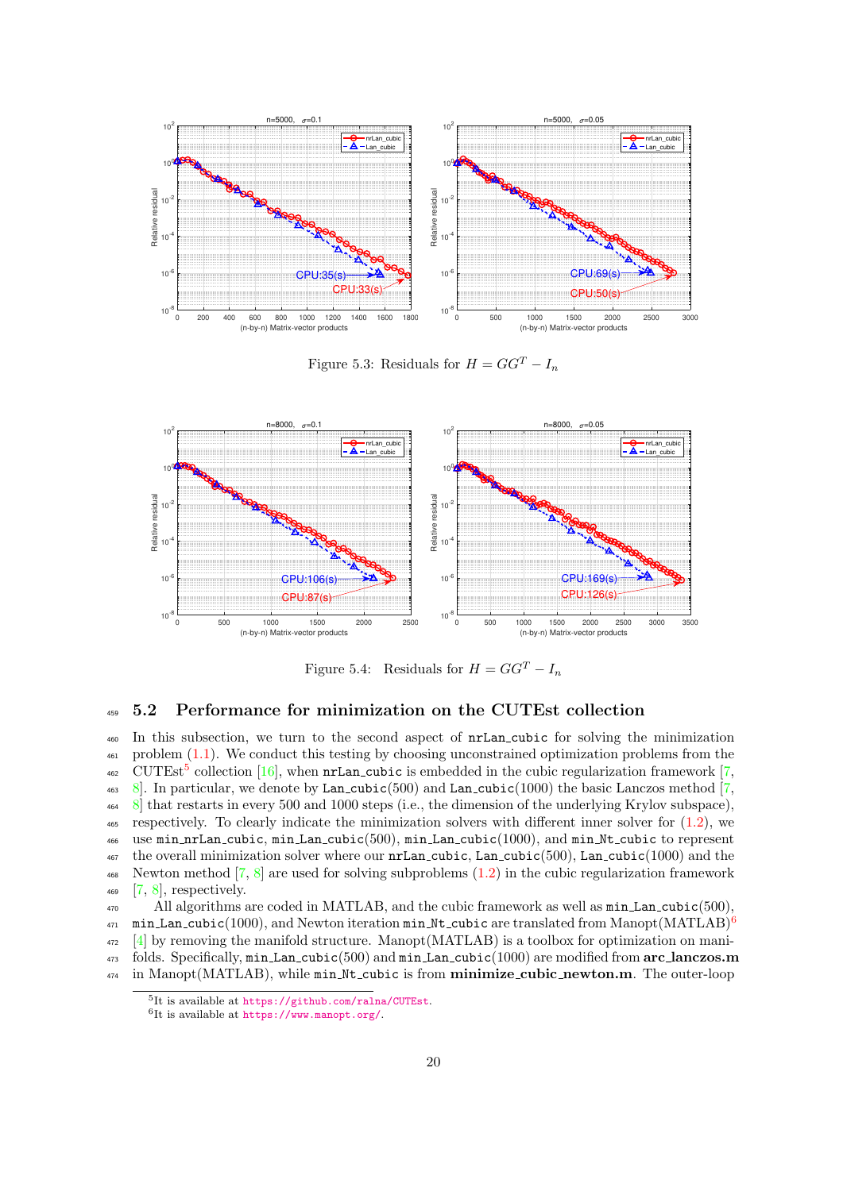

<span id="page-19-0"></span>Figure 5.3: Residuals for  $H = GG^T - I_n$ 



<span id="page-19-1"></span>Figure 5.4: Residuals for  $H = GG^T - I_n$ 

## <sup>459</sup> 5.2 Performance for minimization on the CUTEst collection

 In this subsection, we turn to the second aspect of nrLan cubic for solving the minimization <sup>461</sup> problem [\(1.1\)](#page-0-0). We conduct this testing by choosing unconstrained optimization problems from the <sup>462</sup> CUTEst<sup>[5](#page-19-2)</sup> collection [\[16\]](#page-22-12), when **nrLan\_cubic** is embedded in the cubic regularization framework [\[7,](#page-22-1) 463 8. In particular, we denote by Lan cubic(500) and Lan cubic(1000) the basic Lanczos method  $[7, 8]$  $[7, 8]$  [8\]](#page-22-2) that restarts in every 500 and 1000 steps (i.e., the dimension of the underlying Krylov subspace), respectively. To clearly indicate the minimization solvers with different inner solver for [\(1.2\)](#page-1-0), we use min nrLan cubic, min Lan cubic(500), min Lan cubic(1000), and min Nt cubic to represent the overall minimization solver where our  $nrLan$ -cubic, Lan-cubic(500), Lan-cubic(1000) and the Newton method [\[7,](#page-22-1) [8\]](#page-22-2) are used for solving subproblems [\(1.2\)](#page-1-0) in the cubic regularization framework [\[7,](#page-22-1) [8\]](#page-22-2), respectively.

<sup>470</sup> All algorithms are coded in MATLAB, and the cubic framework as well as min Lan cubic(500), min Lan cubic(1000), and Newton iteration min Nt cubic are translated from Manopt(MATLAB)<sup>[6](#page-19-3)</sup> 471 <sup>472</sup> [\[4\]](#page-22-17) by removing the manifold structure. Manopt(MATLAB) is a toolbox for optimization on mani- $_{473}$  folds. Specifically,  $min\_tan\_cubic(500)$  and  $min\_tan\_cubic(1000)$  are modified from  $arc\_lanczos.m$ <sup>474</sup> in Manopt(MATLAB), while min Nt\_cubic is from minimize\_cubic\_newton.m. The outer-loop

<span id="page-19-2"></span><sup>5</sup> It is available at <https://github.com/ralna/CUTEst>.

<span id="page-19-3"></span><sup>6</sup> It is available at <https://www.manopt.org/>.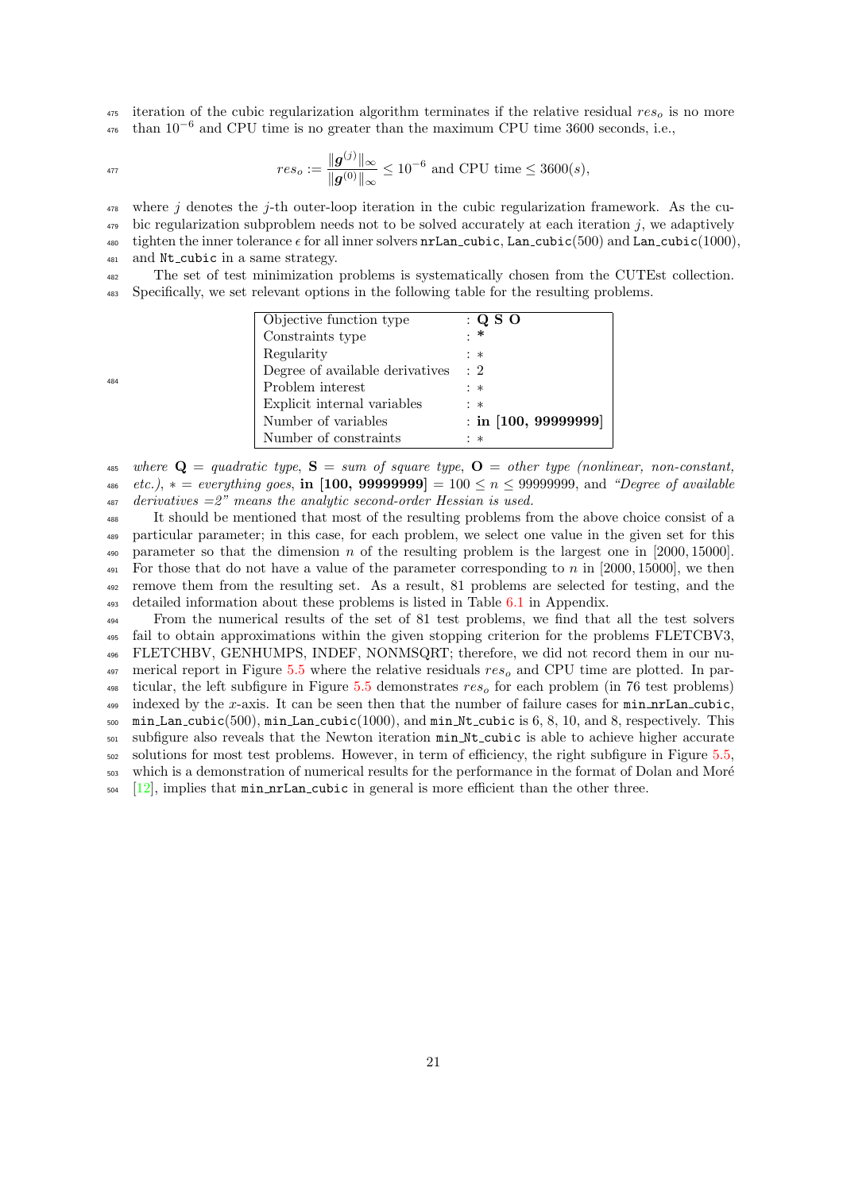$\frac{475}{475}$  iteration of the cubic regularization algorithm terminates if the relative residual  $res<sub>o</sub>$  is no more  $476$  than 10<sup>-6</sup> and CPU time is no greater than the maximum CPU time 3600 seconds, i.e.,

$$
res_o := \frac{\|\bm{g}^{(j)}\|_{\infty}}{\|\bm{g}^{(0)}\|_{\infty}} \le 10^{-6} \text{ and CPU time} \le 3600(s),
$$

 $478$  where j denotes the j-th outer-loop iteration in the cubic regularization framework. As the cu-479 bic regularization subproblem needs not to be solved accurately at each iteration j, we adaptively 480 tighten the inner tolerance  $\epsilon$  for all inner solvers nrLan cubic, Lan cubic(500) and Lan cubic(1000),

481 and Nt\_cubic in a same strategy.

<sup>482</sup> The set of test minimization problems is systematically chosen from the CUTEst collection. <sup>483</sup> Specifically, we set relevant options in the following table for the resulting problems.

| Objective function type         | : Q S O                |
|---------------------------------|------------------------|
| Constraints type                | : *                    |
| Regularity                      | : ∗                    |
| Degree of available derivatives | $\cdot$ 2              |
| Problem interest                | : ∗                    |
| Explicit internal variables     | : ∗                    |
| Number of variables             | $:$ in [100, 99999999] |
| Number of constraints           | : ∗                    |

485 where  $\mathbf{Q} =$  quadratic type,  $\mathbf{S} =$  sum of square type,  $\mathbf{O} =$  other type (nonlinear, non-constant, 486 etc.),  $* = everything goes$ , in [100, 99999999] = 100  $\leq n \leq$  99999999, and "Degree of available  $487$  derivatives  $=2$ " means the analytic second-order Hessian is used.

 It should be mentioned that most of the resulting problems from the above choice consist of a particular parameter; in this case, for each problem, we select one value in the given set for this 490 parameter so that the dimension n of the resulting problem is the largest one in [2000, 15000].  $_{491}$  For those that do not have a value of the parameter corresponding to n in [2000, 15000], we then remove them from the resulting set. As a result, 81 problems are selected for testing, and the detailed information about these problems is listed in Table [6.1](#page-24-0) in Appendix.

 From the numerical results of the set of 81 test problems, we find that all the test solvers fail to obtain approximations within the given stopping criterion for the problems FLETCBV3, FLETCHBV, GENHUMPS, INDEF, NONMSQRT; therefore, we did not record them in our nu- merical report in Figure [5.5](#page-21-1) where the relative residuals  $res<sub>o</sub>$  and CPU time are plotted. In par- $\frac{498}{100}$  ticular, the left subfigure in Figure [5.5](#page-21-1) demonstrates res<sub>o</sub> for each problem (in 76 test problems) 499 indexed by the x-axis. It can be seen then that the number of failure cases for  $min\_nrLan\_cubic$ , min Lan cubic(500), min Lan cubic(1000), and min Nt cubic is 6, 8, 10, and 8, respectively. This subfigure also reveals that the Newton iteration min Nt cubic is able to achieve higher accurate solutions for most test problems. However, in term of efficiency, the right subfigure in Figure [5.5,](#page-21-1) 503 which is a demonstration of numerical results for the performance in the format of Dolan and Moré  $_{504}$  [\[12\]](#page-22-18), implies that  $min_nrLan_cubic$  in general is more efficient than the other three.

484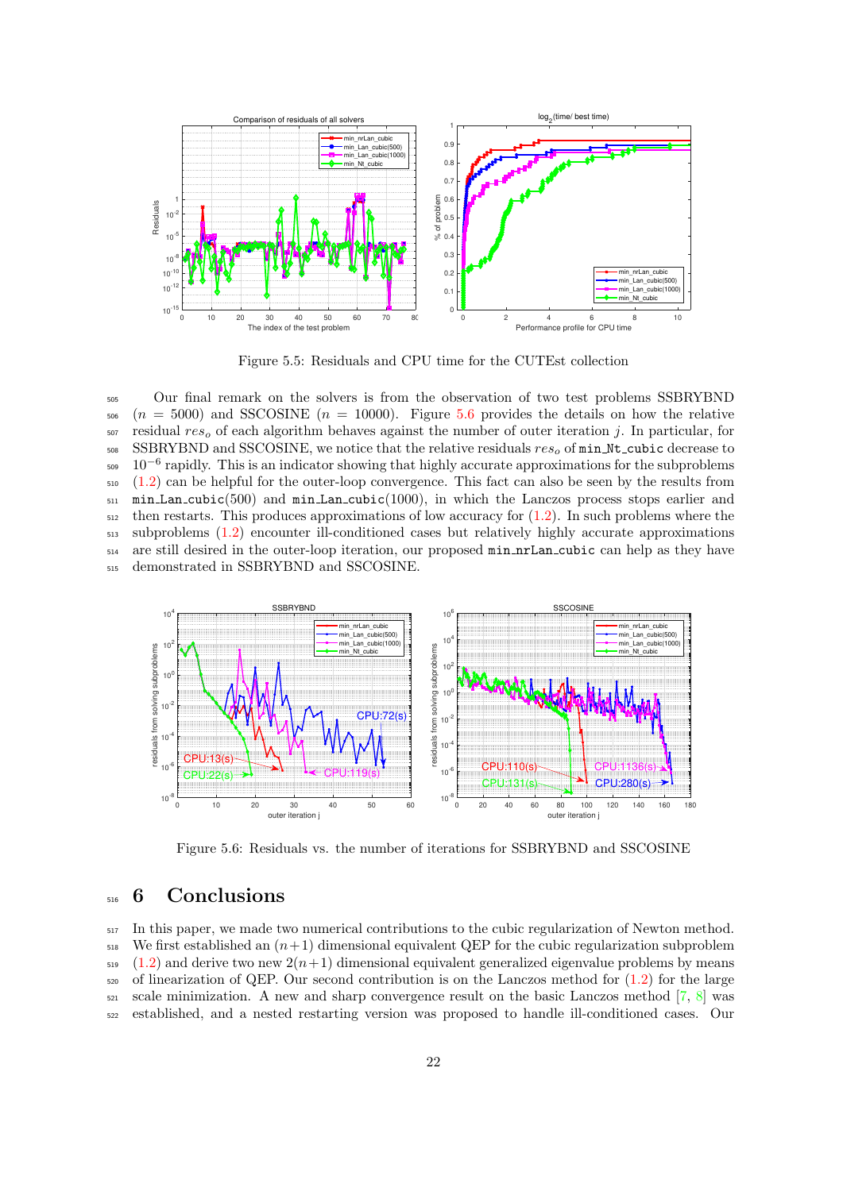

<span id="page-21-1"></span>Figure 5.5: Residuals and CPU time for the CUTEst collection

 Our final remark on the solvers is from the observation of two test problems SSBRYBND  $506(n = 5000)$  and SSCOSINE  $(n = 10000)$ . Figure [5.6](#page-21-2) provides the details on how the relative residual  $res<sub>o</sub>$  of each algorithm behaves against the number of outer iteration j. In particular, for SSBRYBND and SSCOSINE, we notice that the relative residuals  $res<sub>o</sub>$  of min Nt\_cubic decrease to  $10^{-6}$  rapidly. This is an indicator showing that highly accurate approximations for the subproblems [\(1.2\)](#page-1-0) can be helpful for the outer-loop convergence. This fact can also be seen by the results from  $\mu$ <sub>511</sub> min Lan cubic(500) and min Lan cubic(1000), in which the Lanczos process stops earlier and then restarts. This produces approximations of low accuracy for  $(1.2)$ . In such problems where the subproblems [\(1.2\)](#page-1-0) encounter ill-conditioned cases but relatively highly accurate approximations are still desired in the outer-loop iteration, our proposed min nrLan cubic can help as they have demonstrated in SSBRYBND and SSCOSINE.



<span id="page-21-2"></span>Figure 5.6: Residuals vs. the number of iterations for SSBRYBND and SSCOSINE

# <span id="page-21-0"></span>516 6 Conclusions

<sup>517</sup> In this paper, we made two numerical contributions to the cubic regularization of Newton method. <sup>518</sup> We first established an  $(n+1)$  dimensional equivalent QEP for the cubic regularization subproblem  $_{519}$  [\(1.2\)](#page-1-0) and derive two new  $2(n+1)$  dimensional equivalent generalized eigenvalue problems by means  $520$  of linearization of QEP. Our second contribution is on the Lanczos method for  $(1.2)$  for the large  $521$  scale minimization. A new and sharp convergence result on the basic Lanczos method  $\left[7, 8\right]$  $\left[7, 8\right]$  $\left[7, 8\right]$  was <sup>522</sup> established, and a nested restarting version was proposed to handle ill-conditioned cases. Our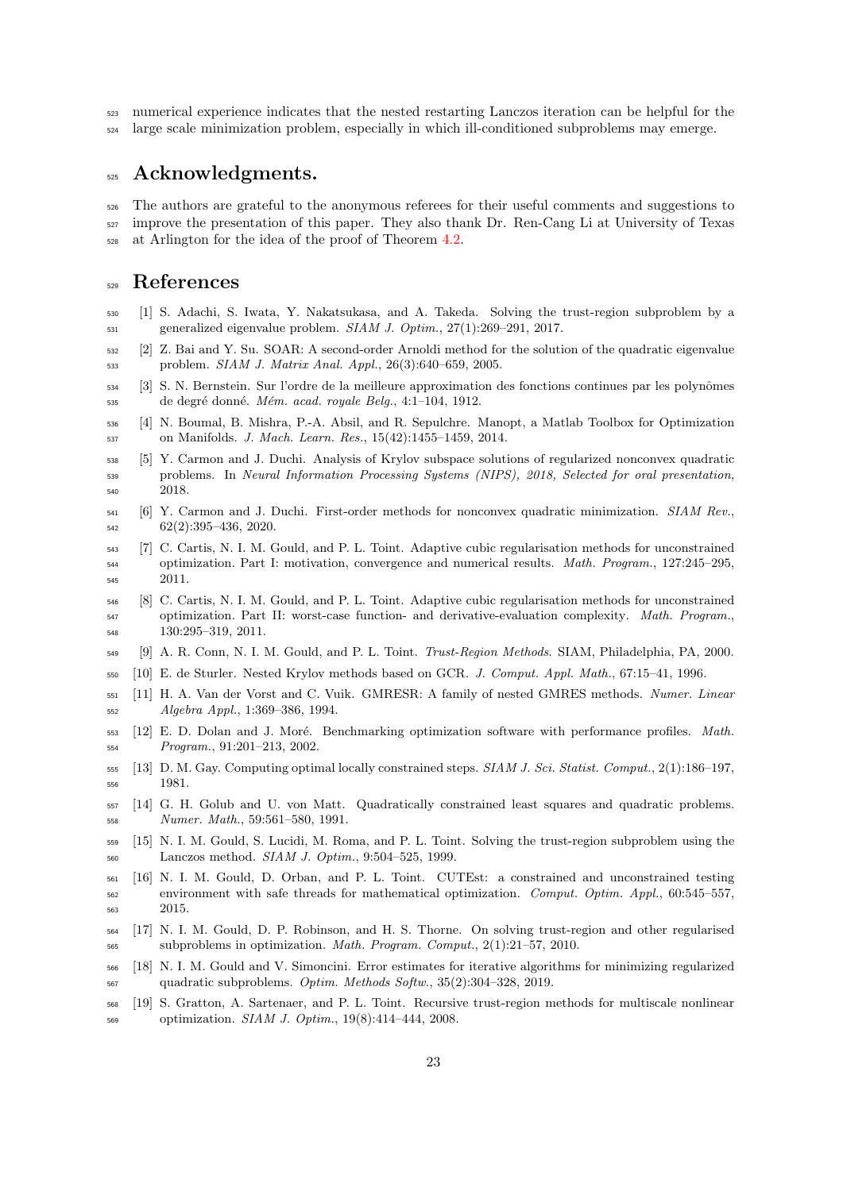numerical experience indicates that the nested restarting Lanczos iteration can be helpful for the large scale minimization problem, especially in which ill-conditioned subproblems may emerge.

# 525 Acknowledgments.

 The authors are grateful to the anonymous referees for their useful comments and suggestions to <sub>527</sub> improve the presentation of this paper. They also thank Dr. Ren-Cang Li at University of Texas at Arlington for the idea of the proof of Theorem [4.2.](#page-13-2)

# References

- <span id="page-22-4"></span> [1] S. Adachi, S. Iwata, Y. Nakatsukasa, and A. Takeda. Solving the trust-region subproblem by a generalized eigenvalue problem. SIAM J. Optim., 27(1):269–291, 2017.
- <span id="page-22-11"></span> [2] Z. Bai and Y. Su. SOAR: A second-order Arnoldi method for the solution of the quadratic eigenvalue problem. SIAM J. Matrix Anal. Appl., 26(3):640–659, 2005.
- <span id="page-22-14"></span>534 [3] S. N. Bernstein. Sur l'ordre de la meilleure approximation des fonctions continues par les polynômes de degré donné. *Mém. acad. royale Belg.*, 4:1–104, 1912.
- <span id="page-22-17"></span> [4] N. Boumal, B. Mishra, P.-A. Absil, and R. Sepulchre. Manopt, a Matlab Toolbox for Optimization on Manifolds. J. Mach. Learn. Res., 15(42):1455–1459, 2014.
- <span id="page-22-8"></span> [5] Y. Carmon and J. Duchi. Analysis of Krylov subspace solutions of regularized nonconvex quadratic problems. In Neural Information Processing Systems (NIPS), 2018, Selected for oral presentation, 2018.
- <span id="page-22-9"></span> [6] Y. Carmon and J. Duchi. First-order methods for nonconvex quadratic minimization. SIAM Rev.,  $\frac{62(2):395-436}{2020}$
- <span id="page-22-1"></span> [7] C. Cartis, N. I. M. Gould, and P. L. Toint. Adaptive cubic regularisation methods for unconstrained optimization. Part I: motivation, convergence and numerical results. Math. Program., 127:245–295, 2011.
- <span id="page-22-2"></span> [8] C. Cartis, N. I. M. Gould, and P. L. Toint. Adaptive cubic regularisation methods for unconstrained optimization. Part II: worst-case function- and derivative-evaluation complexity. Math. Program., 130:295–319, 2011.
- <span id="page-22-0"></span>[9] A. R. Conn, N. I. M. Gould, and P. L. Toint. Trust-Region Methods. SIAM, Philadelphia, PA, 2000.
- <span id="page-22-16"></span>[10] E. de Sturler. Nested Krylov methods based on GCR. J. Comput. Appl. Math., 67:15–41, 1996.
- <span id="page-22-15"></span> [11] H. A. Van der Vorst and C. Vuik. GMRESR: A family of nested GMRES methods. Numer. Linear Algebra Appl., 1:369–386, 1994.
- <span id="page-22-18"></span> [12] E. D. Dolan and J. Moré. Benchmarking optimization software with performance profiles. Math. Program., 91:201–213, 2002.
- <span id="page-22-13"></span> [13] D. M. Gay. Computing optimal locally constrained steps. SIAM J. Sci. Statist. Comput., 2(1):186–197, 1981.
- <span id="page-22-5"></span> [14] G. H. Golub and U. von Matt. Quadratically constrained least squares and quadratic problems. Numer. Math., 59:561–580, 1991.
- <span id="page-22-7"></span> [15] N. I. M. Gould, S. Lucidi, M. Roma, and P. L. Toint. Solving the trust-region subproblem using the Lanczos method. SIAM J. Optim., 9:504–525, 1999.
- <span id="page-22-12"></span> [16] N. I. M. Gould, D. Orban, and P. L. Toint. CUTEst: a constrained and unconstrained testing environment with safe threads for mathematical optimization. Comput. Optim. Appl., 60:545–557, 2015.
- <span id="page-22-6"></span> [17] N. I. M. Gould, D. P. Robinson, and H. S. Thorne. On solving trust-region and other regularised subproblems in optimization. Math. Program. Comput., 2(1):21–57, 2010.
- <span id="page-22-10"></span> [18] N. I. M. Gould and V. Simoncini. Error estimates for iterative algorithms for minimizing regularized quadratic subproblems. Optim. Methods Softw., 35(2):304–328, 2019.
- <span id="page-22-3"></span> [19] S. Gratton, A. Sartenaer, and P. L. Toint. Recursive trust-region methods for multiscale nonlinear optimization. SIAM J. Optim., 19(8):414–444, 2008.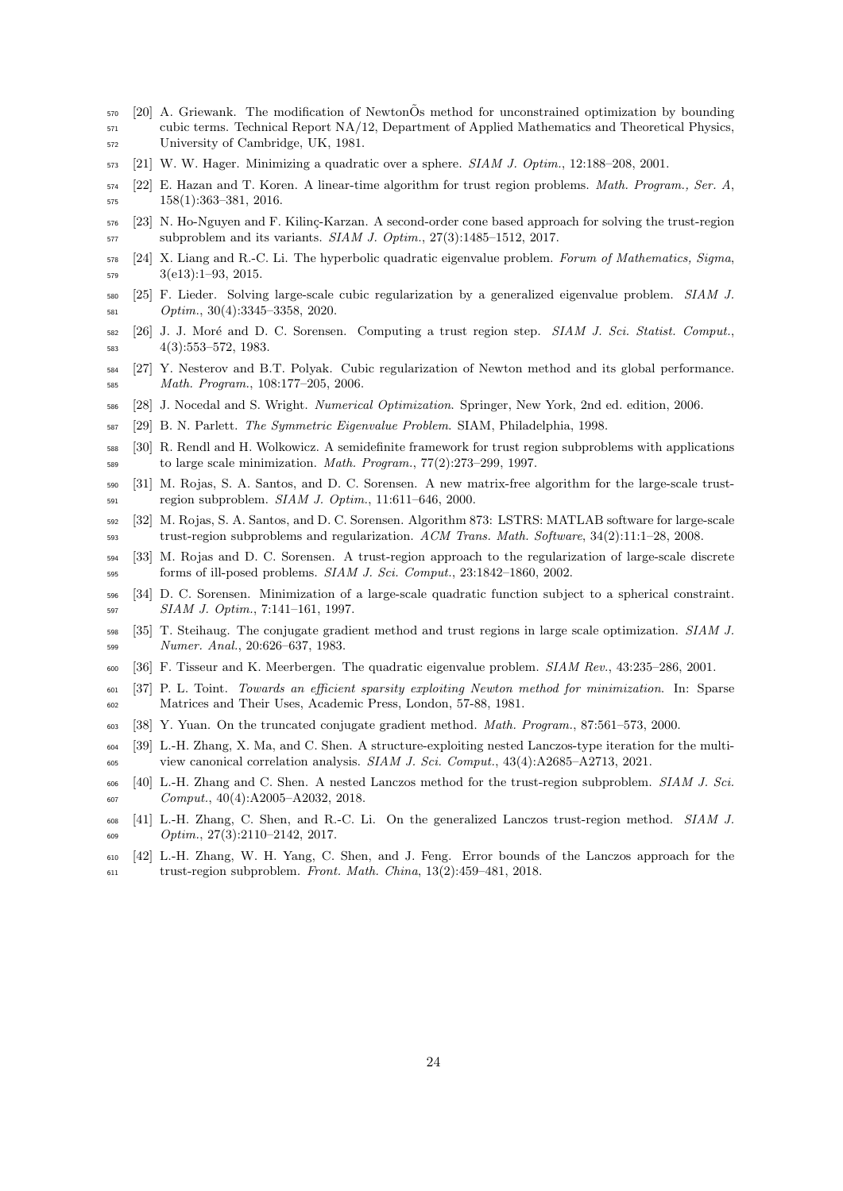- <span id="page-23-17"></span> [20] A. Griewank. The modification of NewtonOs method for unconstrained optimization by bounding ˜ cubic terms. Technical Report NA/12, Department of Applied Mathematics and Theoretical Physics, University of Cambridge, UK, 1981.
- <span id="page-23-2"></span>[21] W. W. Hager. Minimizing a quadratic over a sphere. SIAM J. Optim., 12:188–208, 2001.
- <span id="page-23-3"></span> [22] E. Hazan and T. Koren. A linear-time algorithm for trust region problems. Math. Program., Ser. A, 158(1):363–381, 2016.
- <span id="page-23-7"></span>576 [23] N. Ho-Nguyen and F. Kilinç-Karzan. A second-order cone based approach for solving the trust-region subproblem and its variants. SIAM J. Optim., 27(3):1485–1512, 2017.
- <span id="page-23-19"></span> [24] X. Liang and R.-C. Li. The hyperbolic quadratic eigenvalue problem. Forum of Mathematics, Sigma, 3(e13):1–93, 2015.
- <span id="page-23-16"></span> [25] F. Lieder. Solving large-scale cubic regularization by a generalized eigenvalue problem. SIAM J. Optim., 30(4):3345–3358, 2020.
- <span id="page-23-4"></span>582 [26] J. J. Moré and D. C. Sorensen. Computing a trust region step. SIAM J. Sci. Statist. Comput., 4(3):553–572, 1983.
- <span id="page-23-0"></span> [27] Y. Nesterov and B.T. Polyak. Cubic regularization of Newton method and its global performance. Math. Program., 108:177–205, 2006.
- <span id="page-23-5"></span>[28] J. Nocedal and S. Wright. Numerical Optimization. Springer, New York, 2nd ed. edition, 2006.
- <span id="page-23-21"></span>[29] B. N. Parlett. The Symmetric Eigenvalue Problem. SIAM, Philadelphia, 1998.
- <span id="page-23-8"></span> [30] R. Rendl and H. Wolkowicz. A semidefinite framework for trust region subproblems with applications to large scale minimization. Math. Program., 77(2):273–299, 1997.
- <span id="page-23-9"></span> [31] M. Rojas, S. A. Santos, and D. C. Sorensen. A new matrix-free algorithm for the large-scale trust-region subproblem. SIAM J. Optim., 11:611–646, 2000.
- <span id="page-23-10"></span> [32] M. Rojas, S. A. Santos, and D. C. Sorensen. Algorithm 873: LSTRS: MATLAB software for large-scale trust-region subproblems and regularization. ACM Trans. Math. Software,  $34(2):11:1-28$ , 2008.
- <span id="page-23-11"></span> [33] M. Rojas and D. C. Sorensen. A trust-region approach to the regularization of large-scale discrete forms of ill-posed problems. SIAM J. Sci. Comput., 23:1842–1860, 2002.
- <span id="page-23-12"></span> [34] D. C. Sorensen. Minimization of a large-scale quadratic function subject to a spherical constraint. SIAM J. Optim., 7:141–161, 1997.
- <span id="page-23-1"></span> [35] T. Steihaug. The conjugate gradient method and trust regions in large scale optimization. SIAM J. Numer. Anal., 20:626–637, 1983.
- <span id="page-23-18"></span>[36] F. Tisseur and K. Meerbergen. The quadratic eigenvalue problem. SIAM Rev., 43:235–286, 2001.
- <span id="page-23-13"></span> [37] P. L. Toint. Towards an efficient sparsity exploiting Newton method for minimization. In: Sparse Matrices and Their Uses, Academic Press, London, 57-88, 1981.
- <span id="page-23-6"></span>[38] Y. Yuan. On the truncated conjugate gradient method. Math. Program., 87:561–573, 2000.
- <span id="page-23-22"></span> [39] L.-H. Zhang, X. Ma, and C. Shen. A structure-exploiting nested Lanczos-type iteration for the multi-view canonical correlation analysis. SIAM J. Sci. Comput., 43(4):A2685–A2713, 2021.
- <span id="page-23-14"></span> [40] L.-H. Zhang and C. Shen. A nested Lanczos method for the trust-region subproblem. SIAM J. Sci. Comput., 40(4):A2005–A2032, 2018.
- <span id="page-23-15"></span> [41] L.-H. Zhang, C. Shen, and R.-C. Li. On the generalized Lanczos trust-region method. SIAM J. Optim., 27(3):2110–2142, 2017.
- <span id="page-23-20"></span> [42] L.-H. Zhang, W. H. Yang, C. Shen, and J. Feng. Error bounds of the Lanczos approach for the trust-region subproblem. Front. Math. China, 13(2):459–481, 2018.